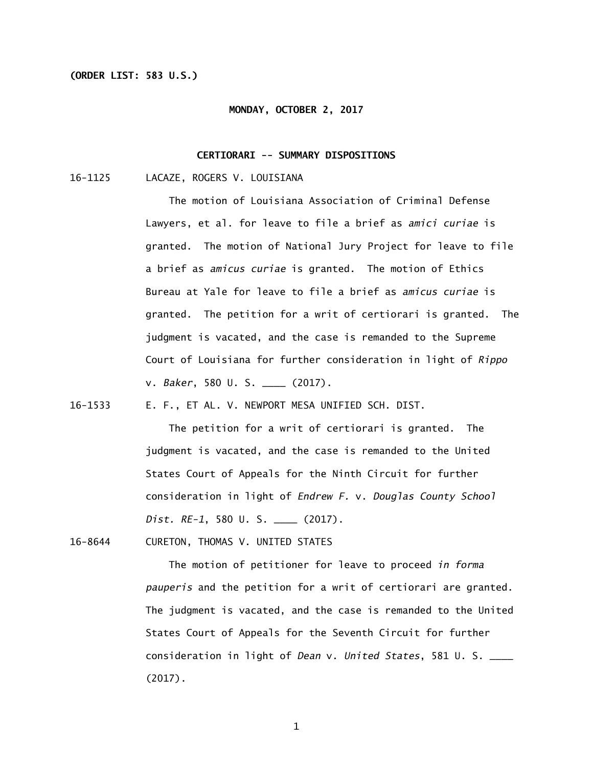# **(ORDER LIST: 583 U.S.)**

#### **MONDAY, OCTOBER 2, 2017**

# **CERTIORARI -- SUMMARY DISPOSITIONS**

16-1125 LACAZE, ROGERS V. LOUISIANA

The motion of Louisiana Association of Criminal Defense Lawyers, et al. for leave to file a brief as *amici curiae* is granted. The motion of National Jury Project for leave to file a brief as *amicus curiae* is granted. The motion of Ethics Bureau at Yale for leave to file a brief as *amicus curiae* is granted. The petition for a writ of certiorari is granted. The judgment is vacated, and the case is remanded to the Supreme Court of Louisiana for further consideration in light of *Rippo*  v. *Baker*, 580 U. S. \_\_\_\_ (2017).

16-1533 E. F., ET AL. V. NEWPORT MESA UNIFIED SCH. DIST.

 The petition for a writ of certiorari is granted. The judgment is vacated, and the case is remanded to the United States Court of Appeals for the Ninth Circuit for further consideration in light of *Endrew F.* v. *Douglas County School Dist. RE-1*, 580 U. S. \_\_\_\_ (2017).

16-8644 CURETON, THOMAS V. UNITED STATES

 The motion of petitioner for leave to proceed *in forma pauperis* and the petition for a writ of certiorari are granted. The judgment is vacated, and the case is remanded to the United States Court of Appeals for the Seventh Circuit for further consideration in light of *Dean* v. *United States*, 581 U. S. \_\_\_\_ (2017).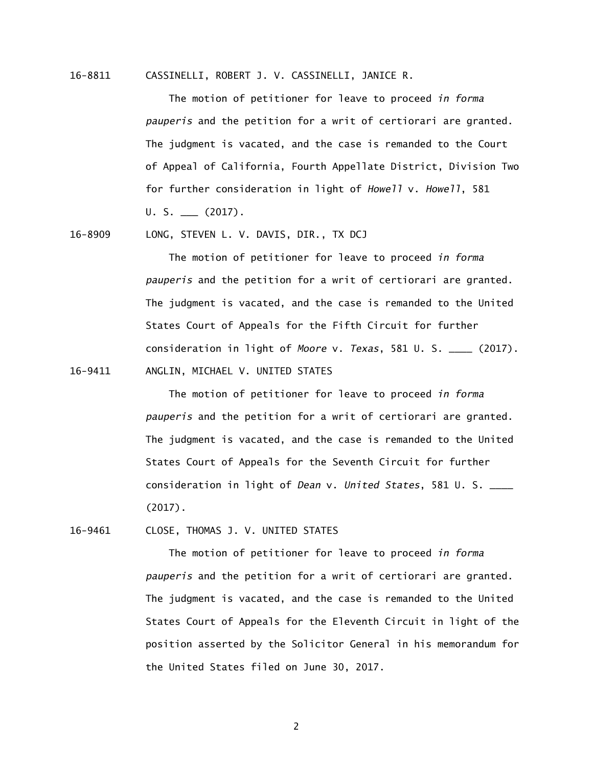16-8811 CASSINELLI, ROBERT J. V. CASSINELLI, JANICE R.

 The motion of petitioner for leave to proceed *in forma pauperis* and the petition for a writ of certiorari are granted. The judgment is vacated, and the case is remanded to the Court of Appeal of California, Fourth Appellate District, Division Two for further consideration in light of *Howell* v. *Howell*, 581  $U. S.$  (2017).

16-8909 LONG, STEVEN L. V. DAVIS, DIR., TX DCJ

 The motion of petitioner for leave to proceed *in forma pauperis* and the petition for a writ of certiorari are granted. The judgment is vacated, and the case is remanded to the United States Court of Appeals for the Fifth Circuit for further consideration in light of *Moore* v. *Texas*, 581 U. S. \_\_\_\_ (2017). 16-9411 ANGLIN, MICHAEL V. UNITED STATES

> The motion of petitioner for leave to proceed *in forma pauperis* and the petition for a writ of certiorari are granted. The judgment is vacated, and the case is remanded to the United States Court of Appeals for the Seventh Circuit for further consideration in light of *Dean* v. *United States*, 581 U. S. \_\_\_\_ (2017).

16-9461 CLOSE, THOMAS J. V. UNITED STATES

 The motion of petitioner for leave to proceed *in forma pauperis* and the petition for a writ of certiorari are granted. The judgment is vacated, and the case is remanded to the United States Court of Appeals for the Eleventh Circuit in light of the position asserted by the Solicitor General in his memorandum for the United States filed on June 30, 2017.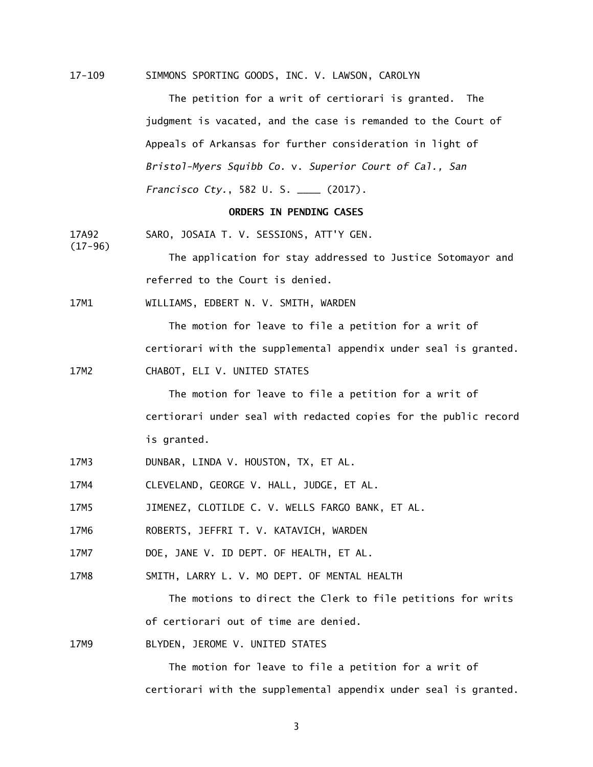$17 - 109$ SIMMONS SPORTING GOODS, INC. V. LAWSON, CAROLYN

> The petition for a writ of certiorari is granted. The judgment is vacated, and the case is remanded to the Court of Appeals of Arkansas for further consideration in light of *Bristol-Myers Squibb Co.* v. *Superior Court of Cal., San Francisco Cty.*, 582 U. S. \_\_\_\_ (2017).

#### **ORDERS IN PENDING CASES**

17A92 SARO, JOSAIA T. V. SESSIONS, ATT'Y GEN.

> The application for stay addressed to Justice Sotomayor and referred to the Court is denied.

17M1 WILLIAMS, EDBERT N. V. SMITH, WARDEN

> The motion for leave to file a petition for a writ of certiorari with the supplemental appendix under seal is granted.

17M2 CHABOT, ELI V. UNITED STATES

(17-96)

The motion for leave to file a petition for a writ of certiorari under seal with redacted copies for the public record is granted.

- 17M3 DUNBAR, LINDA V. HOUSTON, TX, ET AL.
- 17M4 CLEVELAND, GEORGE V. HALL, JUDGE, ET AL.

17M5 17M5 JIMENEZ, CLOTILDE C. V. WELLS FARGO BANK, ET AL.

17M6 ROBERTS, JEFFRI T. V. KATAVICH, WARDEN

17M7 DOE, JANE V. ID DEPT. OF HEALTH, ET AL.

17M8 SMITH, LARRY L. V. MO DEPT. OF MENTAL HEALTH

> The motions to direct the Clerk to file petitions for writs of certiorari out of time are denied.

17M9 BLYDEN, JEROME V. UNITED STATES

> The motion for leave to file a petition for a writ of certiorari with the supplemental appendix under seal is granted.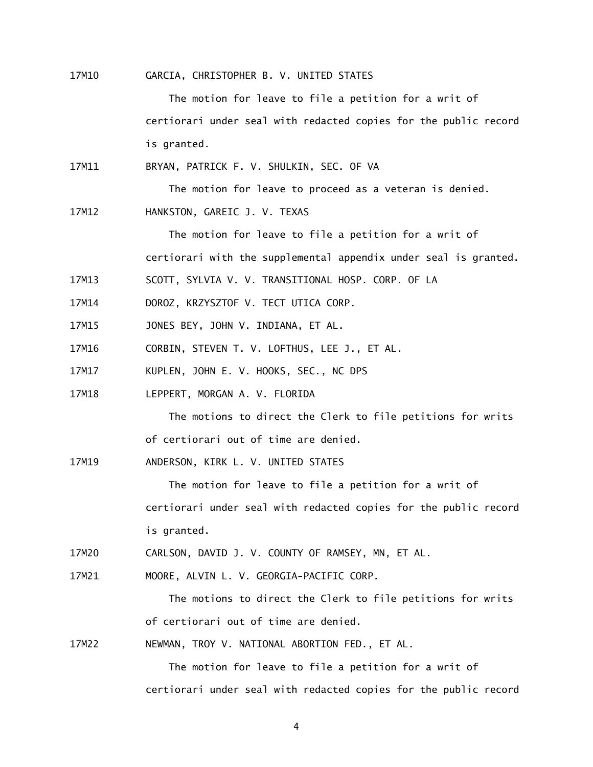17M10 GARCIA, CHRISTOPHER B. V. UNITED STATES

> The motion for leave to file a petition for a writ of certiorari under seal with redacted copies for the public record is granted.

17M11 BRYAN, PATRICK F. V. SHULKIN, SEC. OF VA

The motion for leave to proceed as a veteran is denied.

17M12 HANKSTON, GAREIC J. V. TEXAS

> The motion for leave to file a petition for a writ of certiorari with the supplemental appendix under seal is granted.

17M13 SCOTT, SYLVIA V. V. TRANSITIONAL HOSP. CORP. OF LA

17M14 DOROZ, KRZYSZTOF V. TECT UTICA CORP.

- 17M15 JONES BEY, JOHN V. INDIANA, ET AL.
- 17M16 CORBIN, STEVEN T. V. LOFTHUS, LEE J., ET AL.
- 17M17 KUPLEN, JOHN E. V. HOOKS, SEC., NC DPS
- 17M18 LEPPERT, MORGAN A. V. FLORIDA

 The motions to direct the Clerk to file petitions for writs of certiorari out of time are denied.

17M19 ANDERSON, KIRK L. V. UNITED STATES

> The motion for leave to file a petition for a writ of certiorari under seal with redacted copies for the public record is granted.

17M20 CARLSON, DAVID J. V. COUNTY OF RAMSEY, MN, ET AL.

17M21 17M21 MOORE, ALVIN L. V. GEORGIA-PACIFIC CORP.

> The motions to direct the Clerk to file petitions for writs of certiorari out of time are denied.

17M22 NEWMAN, TROY V. NATIONAL ABORTION FED., ET AL.

> The motion for leave to file a petition for a writ of certiorari under seal with redacted copies for the public record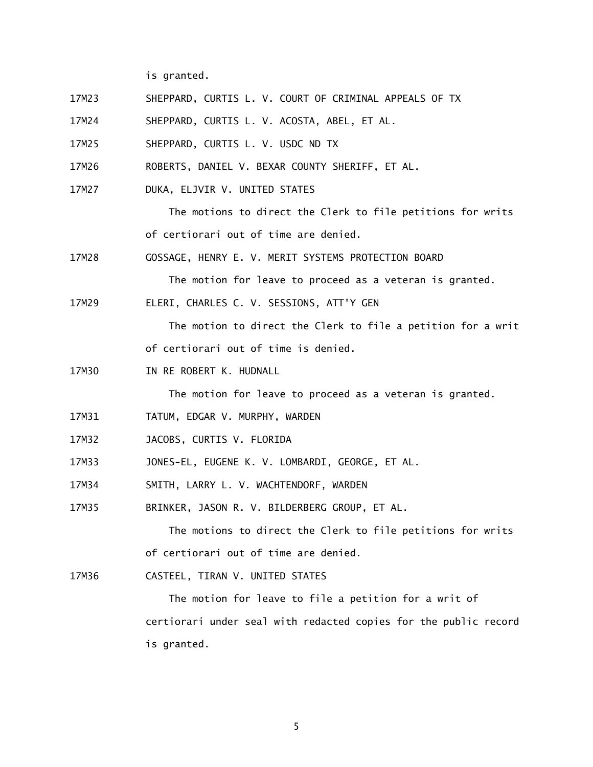is granted.

- 17M23 SHEPPARD, CURTIS L. V. COURT OF CRIMINAL APPEALS OF TX
- 17M24 SHEPPARD, CURTIS L. V. ACOSTA, ABEL, ET AL.
- 17M25 SHEPPARD, CURTIS L. V. USDC ND TX
- 17M26 ROBERTS, DANIEL V. BEXAR COUNTY SHERIFF, ET AL.
- 17M27 DUKA, ELJVIR V. UNITED STATES

 The motions to direct the Clerk to file petitions for writs of certiorari out of time are denied.

17M28 17M28 GOSSAGE, HENRY E. V. MERIT SYSTEMS PROTECTION BOARD

The motion for leave to proceed as a veteran is granted.

17M29 ELERI, CHARLES C. V. SESSIONS, ATT'Y GEN

> The motion to direct the Clerk to file a petition for a writ of certiorari out of time is denied.

17M30 IN RE ROBERT K. HUDNALL

The motion for leave to proceed as a veteran is granted.

- 17M31 TATUM, EDGAR V. MURPHY, WARDEN
- 17M32 JACOBS, CURTIS V. FLORIDA
- 17M33 17M33 JONES-EL, EUGENE K. V. LOMBARDI, GEORGE, ET AL.
- 17M34 SMITH, LARRY L. V. WACHTENDORF, WARDEN
- 17M35 BRINKER, JASON R. V. BILDERBERG GROUP, ET AL.

 The motions to direct the Clerk to file petitions for writs of certiorari out of time are denied.

17M36 CASTEEL, TIRAN V. UNITED STATES

> The motion for leave to file a petition for a writ of certiorari under seal with redacted copies for the public record is granted.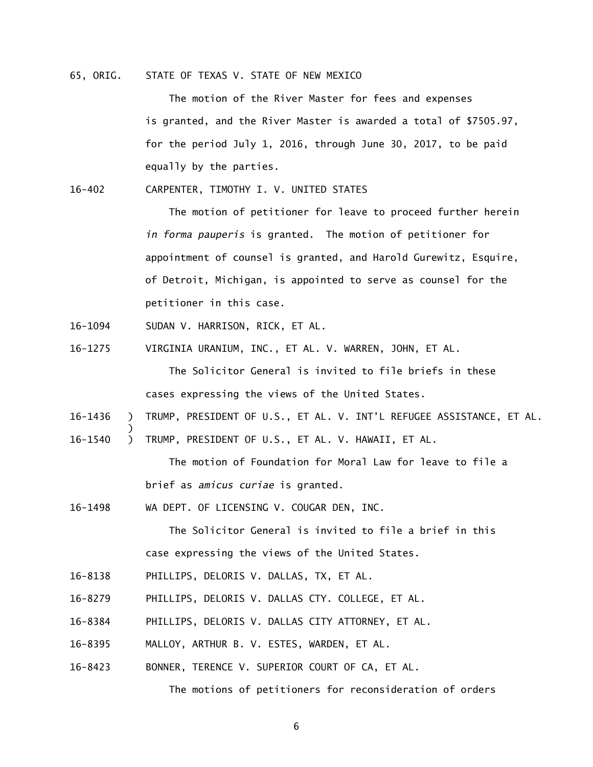# 65, ORIG. STATE OF TEXAS V. STATE OF NEW MEXICO

The motion of the River Master for fees and expenses is granted, and the River Master is awarded a total of \$7505.97, for the period July 1, 2016, through June 30, 2017, to be paid equally by the parties.

 $16 - 402$ 16-402 CARPENTER, TIMOTHY I. V. UNITED STATES

> The motion of petitioner for leave to proceed further herein *in forma pauperis* is granted. The motion of petitioner for appointment of counsel is granted, and Harold Gurewitz, Esquire, of Detroit, Michigan, is appointed to serve as counsel for the petitioner in this case.

- 16-1094 SUDAN V. HARRISON, RICK, ET AL.
- 16-1275 VIRGINIA URANIUM, INC., ET AL. V. WARREN, JOHN, ET AL. The Solicitor General is invited to file briefs in these

cases expressing the views of the United States.

- 16-1436 ) TRUMP, PRESIDENT OF U.S., ET AL. V. INT'L REFUGEE ASSISTANCE, ET AL. )
- 16-1540 ) TRUMP, PRESIDENT OF U.S., ET AL. V. HAWAII, ET AL.

 The motion of Foundation for Moral Law for leave to file a brief as *amicus curiae* is granted.

16-1498 WA DEPT. OF LICENSING V. COUGAR DEN, INC.

 The Solicitor General is invited to file a brief in this case expressing the views of the United States.

- 16-8138 PHILLIPS, DELORIS V. DALLAS, TX, ET AL.
- 16-8279 PHILLIPS, DELORIS V. DALLAS CTY. COLLEGE, ET AL.
- 16-8384 PHILLIPS, DELORIS V. DALLAS CITY ATTORNEY, ET AL.
- 16-8395 MALLOY, ARTHUR B. V. ESTES, WARDEN, ET AL.
- 16-8423 BONNER, TERENCE V. SUPERIOR COURT OF CA, ET AL.

The motions of petitioners for reconsideration of orders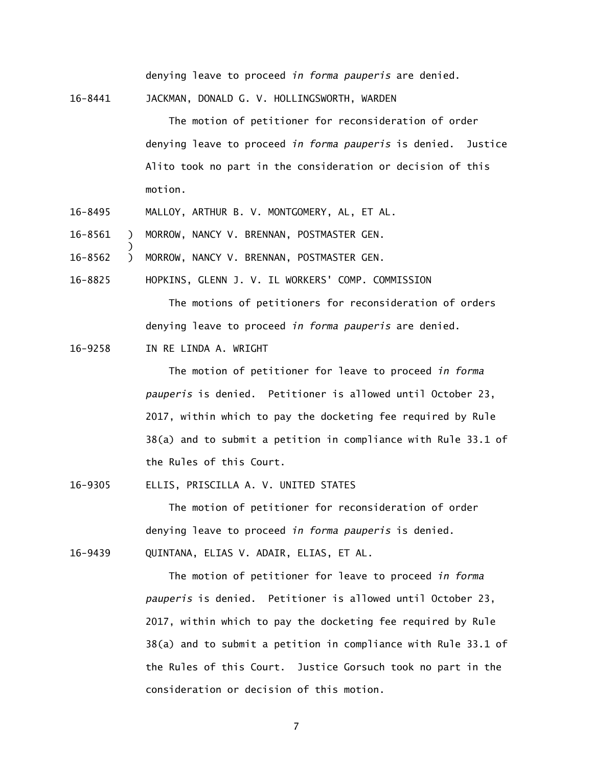denying leave to proceed *in forma pauperis* are denied.

16-8441 JACKMAN, DONALD G. V. HOLLINGSWORTH, WARDEN

 The motion of petitioner for reconsideration of order denying leave to proceed *in forma pauperis* is denied. Justice Alito took no part in the consideration or decision of this motion.

- 16-8495 MALLOY, ARTHUR B. V. MONTGOMERY, AL, ET AL.
- 16-8561 ) MORROW, NANCY V. BRENNAN, POSTMASTER GEN.
- $\mathcal{L}$ 16-8562 ) MORROW, NANCY V. BRENNAN, POSTMASTER GEN.

16-8825 HOPKINS, GLENN J. V. IL WORKERS' COMP. COMMISSION The motions of petitioners for reconsideration of orders denying leave to proceed *in forma pauperis* are denied.

16-9258 IN RE LINDA A. WRIGHT

)

 The motion of petitioner for leave to proceed *in forma pauperis* is denied. Petitioner is allowed until October 23, 2017, within which to pay the docketing fee required by Rule 38(a) and to submit a petition in compliance with Rule 33.1 of the Rules of this Court.

16-9305 ELLIS, PRISCILLA A. V. UNITED STATES

 The motion of petitioner for reconsideration of order denying leave to proceed *in forma pauperis* is denied.

16-9439 QUINTANA, ELIAS V. ADAIR, ELIAS, ET AL.

 The motion of petitioner for leave to proceed *in forma pauperis* is denied. Petitioner is allowed until October 23, 2017, within which to pay the docketing fee required by Rule 38(a) and to submit a petition in compliance with Rule 33.1 of the Rules of this Court. Justice Gorsuch took no part in the consideration or decision of this motion.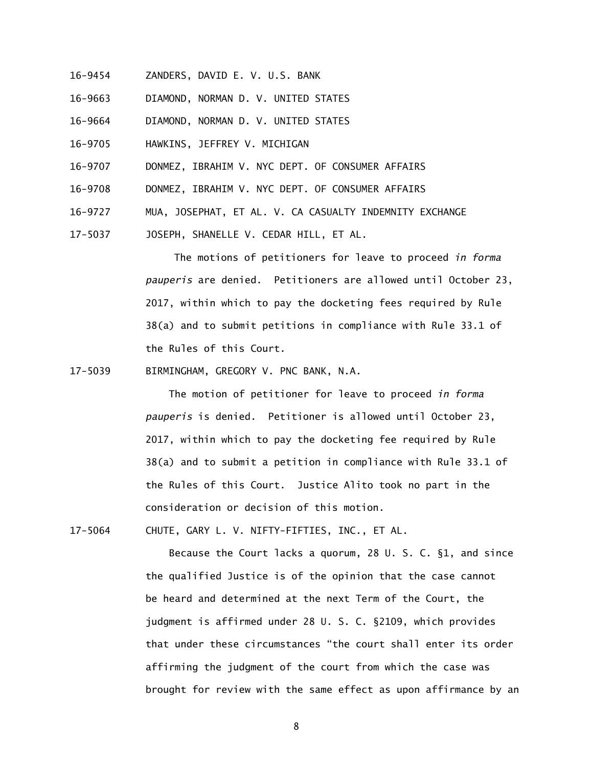- 16-9454 ZANDERS, DAVID E. V. U.S. BANK
- 16-9663 DIAMOND, NORMAN D. V. UNITED STATES
- 16-9664 DIAMOND, NORMAN D. V. UNITED STATES
- 16-9705 HAWKINS, JEFFREY V. MICHIGAN
- 16-9707 DONMEZ, IBRAHIM V. NYC DEPT. OF CONSUMER AFFAIRS
- 16-9708 DONMEZ, IBRAHIM V. NYC DEPT. OF CONSUMER AFFAIRS
- 16-9727 MUA, JOSEPHAT, ET AL. V. CA CASUALTY INDEMNITY EXCHANGE
- 17-5037 JOSEPH, SHANELLE V. CEDAR HILL, ET AL.

The motions of petitioners for leave to proceed *in forma pauperis* are denied. Petitioners are allowed until October 23, 2017, within which to pay the docketing fees required by Rule 38(a) and to submit petitions in compliance with Rule 33.1 of the Rules of this Court.

17-5039 BIRMINGHAM, GREGORY V. PNC BANK, N.A.

 The motion of petitioner for leave to proceed *in forma pauperis* is denied. Petitioner is allowed until October 23, 2017, within which to pay the docketing fee required by Rule 38(a) and to submit a petition in compliance with Rule 33.1 of the Rules of this Court. Justice Alito took no part in the consideration or decision of this motion.

17-5064 CHUTE, GARY L. V. NIFTY-FIFTIES, INC., ET AL.

 Because the Court lacks a quorum, 28 U. S. C. §1, and since the qualified Justice is of the opinion that the case cannot be heard and determined at the next Term of the Court, the judgment is affirmed under 28 U. S. C. §2109, which provides that under these circumstances "the court shall enter its order affirming the judgment of the court from which the case was brought for review with the same effect as upon affirmance by an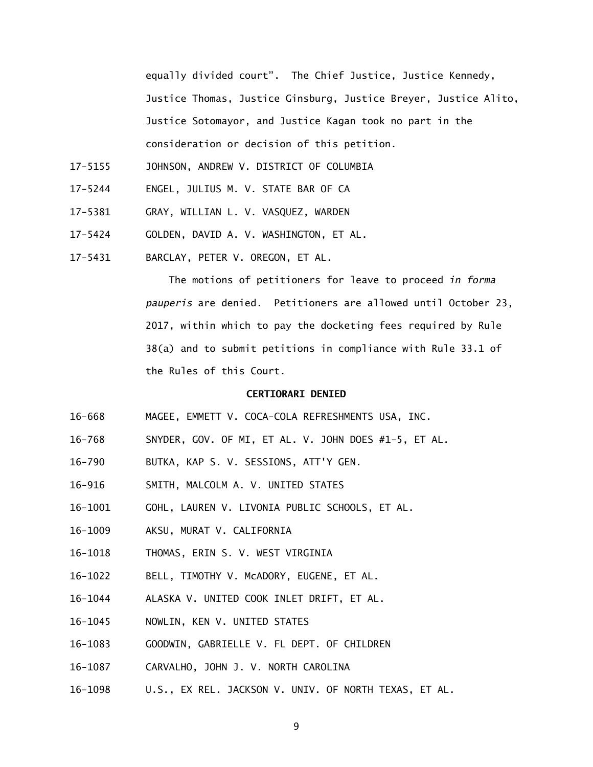equally divided court". The Chief Justice, Justice Kennedy, Justice Thomas, Justice Ginsburg, Justice Breyer, Justice Alito, Justice Sotomayor, and Justice Kagan took no part in the consideration or decision of this petition.

- 17-5155 JOHNSON, ANDREW V. DISTRICT OF COLUMBIA
- 17-5244 ENGEL, JULIUS M. V. STATE BAR OF CA
- 17-5381 GRAY, WILLIAN L. V. VASQUEZ, WARDEN
- 17-5424 GOLDEN, DAVID A. V. WASHINGTON, ET AL.
- 17-5431 BARCLAY, PETER V. OREGON, ET AL.

 The motions of petitioners for leave to proceed *in forma pauperis* are denied. Petitioners are allowed until October 23, 2017, within which to pay the docketing fees required by Rule 38(a) and to submit petitions in compliance with Rule 33.1 of the Rules of this Court.

### **CERTIORARI DENIED**

- $16 668$ MAGEE, EMMETT V. COCA-COLA REFRESHMENTS USA, INC.
- $16 768$ SNYDER, GOV. OF MI, ET AL. V. JOHN DOES #1-5, ET AL.
- $16 790$ BUTKA, KAP S. V. SESSIONS, ATT'Y GEN.
- $16 916$ SMITH, MALCOLM A. V. UNITED STATES
- 16-1001 GOHL, LAUREN V. LIVONIA PUBLIC SCHOOLS, ET AL.
- 16-1009 AKSU, MURAT V. CALIFORNIA
- 16-1018 THOMAS, ERIN S. V. WEST VIRGINIA
- 16-1022 BELL, TIMOTHY V. McADORY, EUGENE, ET AL.
- 16-1044 ALASKA V. UNITED COOK INLET DRIFT, ET AL.
- 16-1045 NOWLIN, KEN V. UNITED STATES
- 16-1083 GOODWIN, GABRIELLE V. FL DEPT. OF CHILDREN
- 16-1087 CARVALHO, JOHN J. V. NORTH CAROLINA
- 16-1098 U.S., EX REL. JACKSON V. UNIV. OF NORTH TEXAS, ET AL.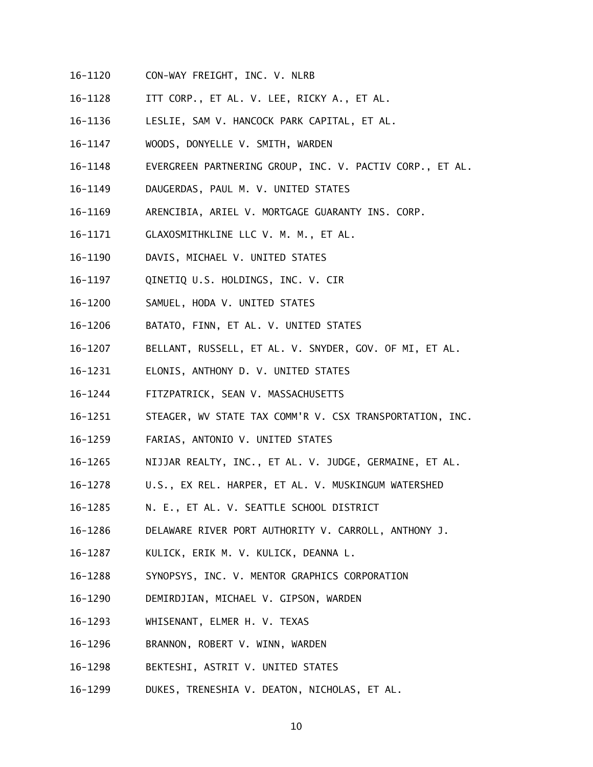- 16-1120 CON-WAY FREIGHT, INC. V. NLRB
- 16-1128 ITT CORP., ET AL. V. LEE, RICKY A., ET AL.
- 16-1136 LESLIE, SAM V. HANCOCK PARK CAPITAL, ET AL.
- 16-1147 WOODS, DONYELLE V. SMITH, WARDEN
- 16-1148 EVERGREEN PARTNERING GROUP, INC. V. PACTIV CORP., ET AL.
- 16-1149 DAUGERDAS, PAUL M. V. UNITED STATES
- 16-1169 ARENCIBIA, ARIEL V. MORTGAGE GUARANTY INS. CORP.
- 16-1171 GLAXOSMITHKLINE LLC V. M. M., ET AL.
- 16-1190 DAVIS, MICHAEL V. UNITED STATES
- 16-1197 QINETIQ U.S. HOLDINGS, INC. V. CIR
- 16-1200 SAMUEL, HODA V. UNITED STATES
- 16-1206 BATATO, FINN, ET AL. V. UNITED STATES
- 16-1207 BELLANT, RUSSELL, ET AL. V. SNYDER, GOV. OF MI, ET AL.
- $16 1231$ ELONIS, ANTHONY D. V. UNITED STATES
- 16-1244 16-1244 FITZPATRICK, SEAN V. MASSACHUSETTS
- 16-1251 STEAGER, WV STATE TAX COMM'R V. CSX TRANSPORTATION, INC.
- 16-1259 FARIAS, ANTONIO V. UNITED STATES
- 16-1265 NIJJAR REALTY, INC., ET AL. V. JUDGE, GERMAINE, ET AL.
- 16-1278 U.S., EX REL. HARPER, ET AL. V. MUSKINGUM WATERSHED
- 16-1285 N. E., ET AL. V. SEATTLE SCHOOL DISTRICT
- 16-1286 DELAWARE RIVER PORT AUTHORITY V. CARROLL, ANTHONY J.
- 16-1287 KULICK, ERIK M. V. KULICK, DEANNA L.
- 16-1288 SYNOPSYS, INC. V. MENTOR GRAPHICS CORPORATION
- 16-1290 DEMIRDJIAN, MICHAEL V. GIPSON, WARDEN
- 16-1293 WHISENANT, ELMER H. V. TEXAS
- 16-1296 BRANNON, ROBERT V. WINN, WARDEN
- 16-1298 BEKTESHI, ASTRIT V. UNITED STATES
- 16-1299 DUKES, TRENESHIA V. DEATON, NICHOLAS, ET AL.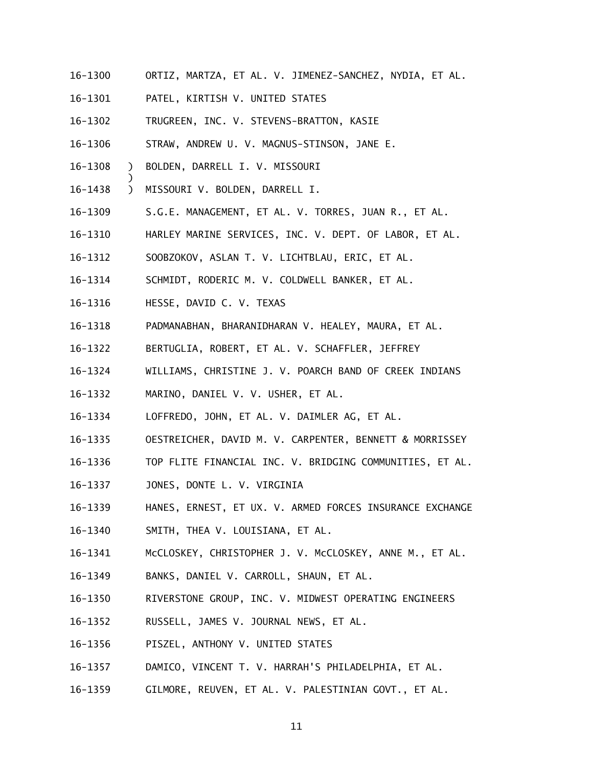- 16-1300 ORTIZ, MARTZA, ET AL. V. JIMENEZ-SANCHEZ, NYDIA, ET AL.
- 16-1301 PATEL, KIRTISH V. UNITED STATES
- 16-1302 TRUGREEN, INC. V. STEVENS-BRATTON, KASIE
- 16-1306 STRAW, ANDREW U. V. MAGNUS-STINSON, JANE E.
- 16-1308 ) BOLDEN, DARRELL I. V. MISSOURI
- 16-1438 ) MISSOURI V. BOLDEN, DARRELL I.

- 16-1309 S.G.E. MANAGEMENT, ET AL. V. TORRES, JUAN R., ET AL.
- 16-1310 HARLEY MARINE SERVICES, INC. V. DEPT. OF LABOR, ET AL.
- 16-1312 SOOBZOKOV, ASLAN T. V. LICHTBLAU, ERIC, ET AL.
- 16-1314 SCHMIDT, RODERIC M. V. COLDWELL BANKER, ET AL.
- 16-1316 HESSE, DAVID C. V. TEXAS
- 16-1318 PADMANABHAN, BHARANIDHARAN V. HEALEY, MAURA, ET AL.
- 16-1322 BERTUGLIA, ROBERT, ET AL. V. SCHAFFLER, JEFFREY
- 16-1324 WILLIAMS, CHRISTINE J. V. POARCH BAND OF CREEK INDIANS
- 16-1332 MARINO, DANIEL V. V. USHER, ET AL.
- 16-1334 LOFFREDO, JOHN, ET AL. V. DAIMLER AG, ET AL.
- 16-1335 OESTREICHER, DAVID M. V. CARPENTER, BENNETT & MORRISSEY
- 16-1336 TOP FLITE FINANCIAL INC. V. BRIDGING COMMUNITIES, ET AL.
- 16-1337 JONES, DONTE L. V. VIRGINIA
- 16-1339 HANES, ERNEST, ET UX. V. ARMED FORCES INSURANCE EXCHANGE
- 16-1340 SMITH, THEA V. LOUISIANA, ET AL.
- 16-1341 McCLOSKEY, CHRISTOPHER J. V. McCLOSKEY, ANNE M., ET AL.
- 16-1349 BANKS, DANIEL V. CARROLL, SHAUN, ET AL.
- 16-1350 RIVERSTONE GROUP, INC. V. MIDWEST OPERATING ENGINEERS
- 16-1352 RUSSELL, JAMES V. JOURNAL NEWS, ET AL.
- 16-1356 PISZEL, ANTHONY V. UNITED STATES
- 16-1357 DAMICO, VINCENT T. V. HARRAH'S PHILADELPHIA, ET AL.
- 16-1359 GILMORE, REUVEN, ET AL. V. PALESTINIAN GOVT., ET AL.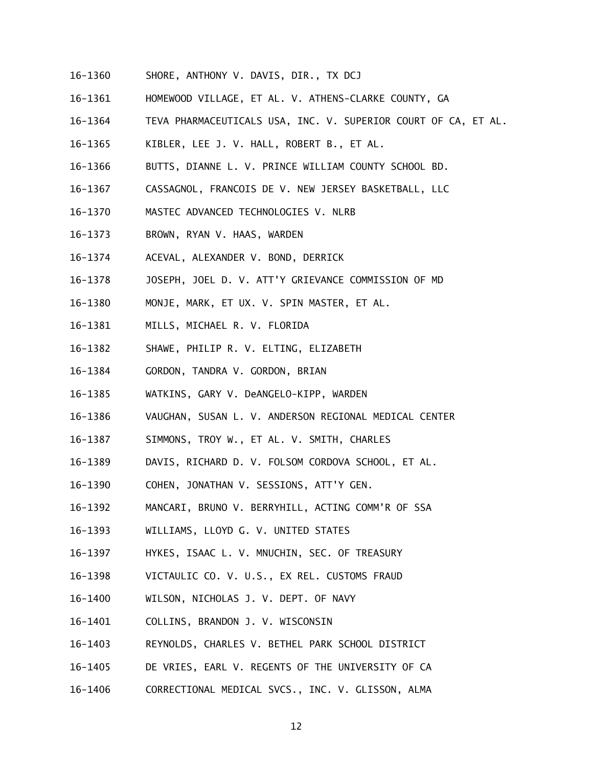- 16-1360 SHORE, ANTHONY V. DAVIS, DIR., TX DCJ
- 16-1361 HOMEWOOD VILLAGE, ET AL. V. ATHENS-CLARKE COUNTY, GA
- 16-1364 TEVA PHARMACEUTICALS USA, INC. V. SUPERIOR COURT OF CA, ET AL.
- 16-1365 KIBLER, LEE J. V. HALL, ROBERT B., ET AL.
- 16-1366 BUTTS, DIANNE L. V. PRINCE WILLIAM COUNTY SCHOOL BD.
- 16-1367 16-1367 CASSAGNOL, FRANCOIS DE V. NEW JERSEY BASKETBALL, LLC
- 16-1370 MASTEC ADVANCED TECHNOLOGIES V. NLRB
- 16-1373 BROWN, RYAN V. HAAS, WARDEN
- 16-1374 ACEVAL, ALEXANDER V. BOND, DERRICK
- 16-1378 JOSEPH, JOEL D. V. ATT'Y GRIEVANCE COMMISSION OF MD
- 16-1380 MONJE, MARK, ET UX. V. SPIN MASTER, ET AL.
- 16-1381 MILLS, MICHAEL R. V. FLORIDA
- 16-1382 SHAWE, PHILIP R. V. ELTING, ELIZABETH
- 16-1384 GORDON, TANDRA V. GORDON, BRIAN
- 16-1385 WATKINS, GARY V. DeANGELO-KIPP, WARDEN
- 16-1386 VAUGHAN, SUSAN L. V. ANDERSON REGIONAL MEDICAL CENTER
- 16-1387 SIMMONS, TROY W., ET AL. V. SMITH, CHARLES
- 16-1389 DAVIS, RICHARD D. V. FOLSOM CORDOVA SCHOOL, ET AL.
- 16-1390 COHEN, JONATHAN V. SESSIONS, ATT'Y GEN.
- 16-1392 MANCARI, BRUNO V. BERRYHILL, ACTING COMM'R OF SSA
- 16-1393 WILLIAMS, LLOYD G. V. UNITED STATES
- 16-1397 HYKES, ISAAC L. V. MNUCHIN, SEC. OF TREASURY
- 16-1398 VICTAULIC CO. V. U.S., EX REL. CUSTOMS FRAUD
- 16-1400 WILSON, NICHOLAS J. V. DEPT. OF NAVY
- 16-1401 COLLINS, BRANDON J. V. WISCONSIN
- 16-1403 REYNOLDS, CHARLES V. BETHEL PARK SCHOOL DISTRICT
- 16-1405 DE VRIES, EARL V. REGENTS OF THE UNIVERSITY OF CA
- $16 1406$ 16-1406 CORRECTIONAL MEDICAL SVCS., INC. V. GLISSON, ALMA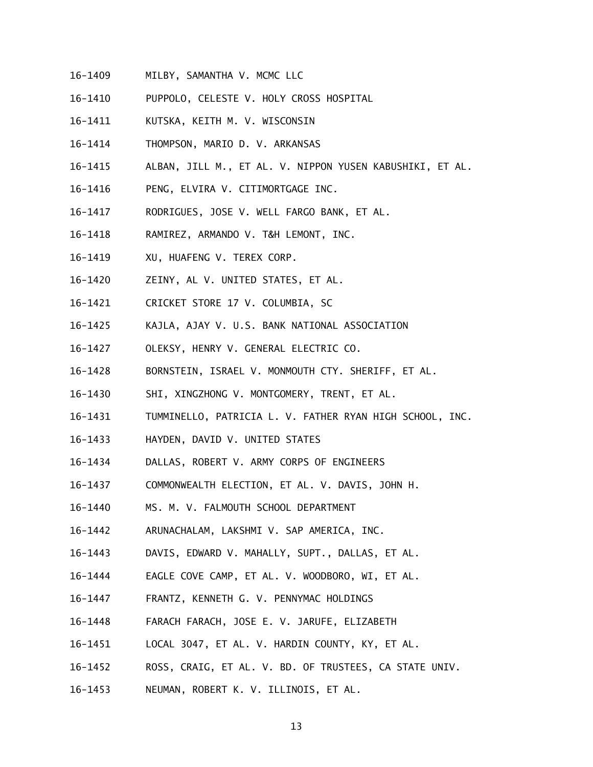- 16-1409 MILBY, SAMANTHA V. MCMC LLC
- 16-1410 PUPPOLO, CELESTE V. HOLY CROSS HOSPITAL
- 16-1411 KUTSKA, KEITH M. V. WISCONSIN
- 16-1414 THOMPSON, MARIO D. V. ARKANSAS
- 16-1415 ALBAN, JILL M., ET AL. V. NIPPON YUSEN KABUSHIKI, ET AL.
- 16-1416 PENG, ELVIRA V. CITIMORTGAGE INC.
- 16-1417 RODRIGUES, JOSE V. WELL FARGO BANK, ET AL.
- 16-1418 RAMIREZ, ARMANDO V. T&H LEMONT, INC.
- 16-1419 XU, HUAFENG V. TEREX CORP.
- 16-1420 ZEINY, AL V. UNITED STATES, ET AL.
- 16-1421 CRICKET STORE 17 V. COLUMBIA, SC
- 16-1425 KAJLA, AJAY V. U.S. BANK NATIONAL ASSOCIATION
- 16-1427 OLEKSY, HENRY V. GENERAL ELECTRIC CO.
- 16-1428 BORNSTEIN, ISRAEL V. MONMOUTH CTY. SHERIFF, ET AL.
- 16-1430 SHI, XINGZHONG V. MONTGOMERY, TRENT, ET AL.
- 16-1431 TUMMINELLO, PATRICIA L. V. FATHER RYAN HIGH SCHOOL, INC.
- 16-1433 HAYDEN, DAVID V. UNITED STATES
- 16-1434 DALLAS, ROBERT V. ARMY CORPS OF ENGINEERS
- 16-1437 COMMONWEALTH ELECTION, ET AL. V. DAVIS, JOHN H.
- 16-1440 MS. M. V. FALMOUTH SCHOOL DEPARTMENT
- 16-1442 ARUNACHALAM, LAKSHMI V. SAP AMERICA, INC.
- 16-1443 DAVIS, EDWARD V. MAHALLY, SUPT., DALLAS, ET AL.
- 16-1444 EAGLE COVE CAMP, ET AL. V. WOODBORO, WI, ET AL.
- $16 1447$ FRANTZ, KENNETH G. V. PENNYMAC HOLDINGS
- 16-1448 FARACH FARACH, JOSE E. V. JARUFE, ELIZABETH
- 16-1451 LOCAL 3047, ET AL. V. HARDIN COUNTY, KY, ET AL.
- 16-1452 ROSS, CRAIG, ET AL. V. BD. OF TRUSTEES, CA STATE UNIV.
- 16-1453 16-1453 NEUMAN, ROBERT K. V. ILLINOIS, ET AL.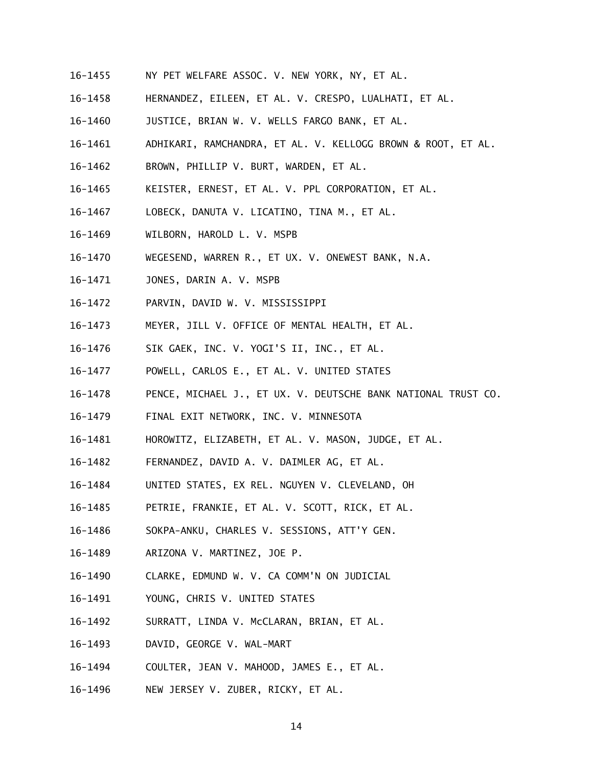- 16-1455 NY PET WELFARE ASSOC. V. NEW YORK, NY, ET AL.
- 16-1458 HERNANDEZ, EILEEN, ET AL. V. CRESPO, LUALHATI, ET AL.
- 16-1460 JUSTICE, BRIAN W. V. WELLS FARGO BANK, ET AL.
- 16-1461 ADHIKARI, RAMCHANDRA, ET AL. V. KELLOGG BROWN & ROOT, ET AL.
- 16-1462 BROWN, PHILLIP V. BURT, WARDEN, ET AL.
- 16-1465 KEISTER, ERNEST, ET AL. V. PPL CORPORATION, ET AL.
- 16-1467 LOBECK, DANUTA V. LICATINO, TINA M., ET AL.
- 16-1469 WILBORN, HAROLD L. V. MSPB
- 16-1470 WEGESEND, WARREN R., ET UX. V. ONEWEST BANK, N.A.
- 16-1471 JONES, DARIN A. V. MSPB
- 16-1472 PARVIN, DAVID W. V. MISSISSIPPI
- 16-1473 MEYER, JILL V. OFFICE OF MENTAL HEALTH, ET AL.
- 16-1476 SIK GAEK, INC. V. YOGI'S II, INC., ET AL.
- 16-1477 POWELL, CARLOS E., ET AL. V. UNITED STATES
- 16-1478 PENCE, MICHAEL J., ET UX. V. DEUTSCHE BANK NATIONAL TRUST CO.
- 16-1479 FINAL EXIT NETWORK, INC. V. MINNESOTA
- 16-1481 HOROWITZ, ELIZABETH, ET AL. V. MASON, JUDGE, ET AL.
- 16-1482 FERNANDEZ, DAVID A. V. DAIMLER AG, ET AL.
- 16-1484 UNITED STATES, EX REL. NGUYEN V. CLEVELAND, OH
- 16-1485 PETRIE, FRANKIE, ET AL. V. SCOTT, RICK, ET AL.
- 16-1486 SOKPA-ANKU, CHARLES V. SESSIONS, ATT'Y GEN.
- 16-1489 ARIZONA V. MARTINEZ, JOE P.
- 16-1490 CLARKE, EDMUND W. V. CA COMM'N ON JUDICIAL
- 16-1491 YOUNG, CHRIS V. UNITED STATES
- 16-1492 SURRATT, LINDA V. McCLARAN, BRIAN, ET AL.
- 16-1493 DAVID, GEORGE V. WAL-MART
- 16-1494 COULTER, JEAN V. MAHOOD, JAMES E., ET AL.
- 16-1496 NEW JERSEY V. ZUBER, RICKY, ET AL.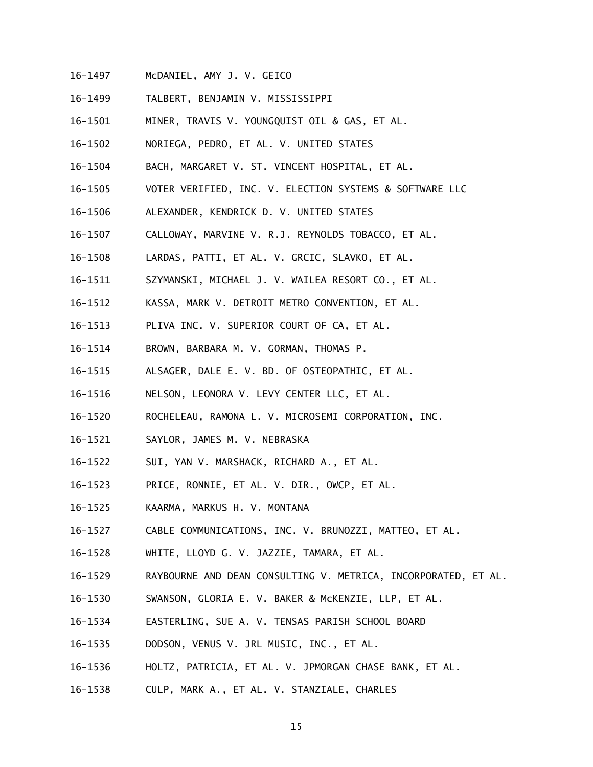- 16-1497 McDANIEL, AMY J. V. GEICO
- 16-1499 TALBERT, BENJAMIN V. MISSISSIPPI
- 16-1501 MINER, TRAVIS V. YOUNGQUIST OIL & GAS, ET AL.
- 16-1502 NORIEGA, PEDRO, ET AL. V. UNITED STATES
- 16-1504 BACH, MARGARET V. ST. VINCENT HOSPITAL, ET AL.
- 16-1505 VOTER VERIFIED, INC. V. ELECTION SYSTEMS & SOFTWARE LLC
- 16-1506 ALEXANDER, KENDRICK D. V. UNITED STATES
- 16-1507 CALLOWAY, MARVINE V. R.J. REYNOLDS TOBACCO, ET AL.
- 16-1508 LARDAS, PATTI, ET AL. V. GRCIC, SLAVKO, ET AL.
- 16-1511 SZYMANSKI, MICHAEL J. V. WAILEA RESORT CO., ET AL.
- 16-1512 KASSA, MARK V. DETROIT METRO CONVENTION, ET AL.
- 16-1513 PLIVA INC. V. SUPERIOR COURT OF CA, ET AL.
- 16-1514 BROWN, BARBARA M. V. GORMAN, THOMAS P.
- 16-1515 ALSAGER, DALE E. V. BD. OF OSTEOPATHIC, ET AL.
- 16-1516 NELSON, LEONORA V. LEVY CENTER LLC, ET AL.
- 16-1520 ROCHELEAU, RAMONA L. V. MICROSEMI CORPORATION, INC.
- 16-1521 SAYLOR, JAMES M. V. NEBRASKA
- 16-1522 SUI, YAN V. MARSHACK, RICHARD A., ET AL.
- 16-1523 PRICE, RONNIE, ET AL. V. DIR., OWCP, ET AL.
- 16-1525 KAARMA, MARKUS H. V. MONTANA
- 16-1527 CABLE COMMUNICATIONS, INC. V. BRUNOZZI, MATTEO, ET AL.
- 16-1528 WHITE, LLOYD G. V. JAZZIE, TAMARA, ET AL.
- 16-1529 RAYBOURNE AND DEAN CONSULTING V. METRICA, INCORPORATED, ET AL.
- 16-1530 SWANSON, GLORIA E. V. BAKER & McKENZIE, LLP, ET AL.
- 16-1534 EASTERLING, SUE A. V. TENSAS PARISH SCHOOL BOARD
- 16-1535 DODSON, VENUS V. JRL MUSIC, INC., ET AL.
- 16-1536 HOLTZ, PATRICIA, ET AL. V. JPMORGAN CHASE BANK, ET AL.
- 16-1538 CULP, MARK A., ET AL. V. STANZIALE, CHARLES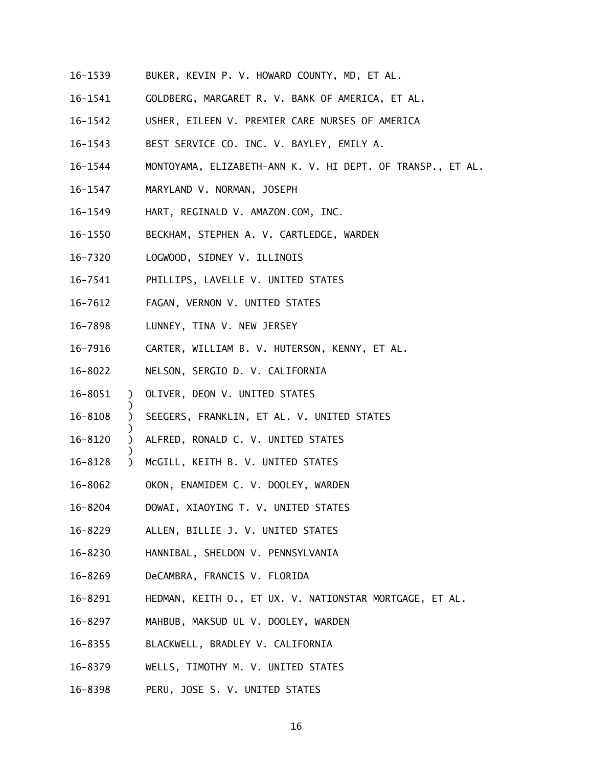- 16-1539 BUKER, KEVIN P. V. HOWARD COUNTY, MD, ET AL.
- 16-1541 GOLDBERG, MARGARET R. V. BANK OF AMERICA, ET AL.
- 16-1542 USHER, EILEEN V. PREMIER CARE NURSES OF AMERICA
- 16-1543 BEST SERVICE CO. INC. V. BAYLEY, EMILY A.
- 16-1544 MONTOYAMA, ELIZABETH-ANN K. V. HI DEPT. OF TRANSP., ET AL.
- 16-1547 MARYLAND V. NORMAN, JOSEPH
- 16-1549 HART, REGINALD V. AMAZON.COM, INC.
- 16-1550 BECKHAM, STEPHEN A. V. CARTLEDGE, WARDEN
- 16-7320 LOGWOOD, SIDNEY V. ILLINOIS
- 16-7541 PHILLIPS, LAVELLE V. UNITED STATES
- 16-7612 FAGAN, VERNON V. UNITED STATES
- 16-7898 LUNNEY, TINA V. NEW JERSEY
- 16-7916 CARTER, WILLIAM B. V. HUTERSON, KENNY, ET AL.
- 16-8022 NELSON, SERGIO D. V. CALIFORNIA
- ) 16-8051

- ) ) ) OLIVER, DEON V. UNITED STATES<br>)<br>) SEEGERS, FRANKLIN, ET AL. V. UNITE<br>)<br>) ALFRED, RONALD C. V. UNITED STATES<br>) McGILL, KEITH B. V. UNITED STATES 16-8108 SEEGERS, FRANKLIN, ET AL. V. UNITED STATES
- ) 16-8120 ALFRED, RONALD C. V. UNITED STATES
- 16-8128
- 16-8062 OKON, ENAMIDEM C. V. DOOLEY, WARDEN
- 16-8204 16-8204 DOWAI, XIAOYING T. V. UNITED STATES
- 16-8229 ALLEN, BILLIE J. V. UNITED STATES
- 16-8230 HANNIBAL, SHELDON V. PENNSYLVANIA
- 16-8269 DeCAMBRA, FRANCIS V. FLORIDA
- 16-8291 HEDMAN, KEITH O., ET UX. V. NATIONSTAR MORTGAGE, ET AL.
- 16-8297 MAHBUB, MAKSUD UL V. DOOLEY, WARDEN
- 16-8355 BLACKWELL, BRADLEY V. CALIFORNIA
- 16-8379 WELLS, TIMOTHY M. V. UNITED STATES
- 16-8398 PERU, JOSE S. V. UNITED STATES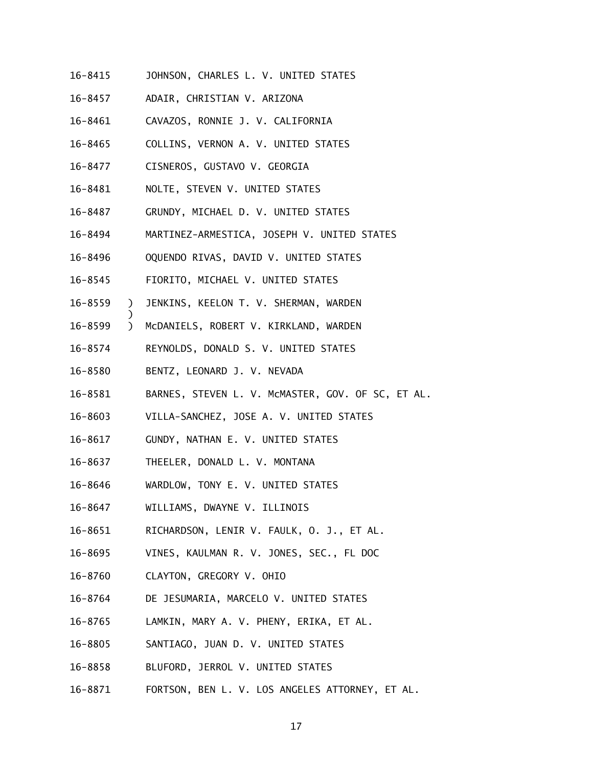- 16-8415 JOHNSON, CHARLES L. V. UNITED STATES
- 16-8457 16-8457 ADAIR, CHRISTIAN V. ARIZONA
- 16-8461 CAVAZOS, RONNIE J. V. CALIFORNIA
- 16-8465 COLLINS, VERNON A. V. UNITED STATES
- 16-8477 CISNEROS, GUSTAVO V. GEORGIA
- 16-8481 NOLTE, STEVEN V. UNITED STATES
- 16-8487 16-8487 GRUNDY, MICHAEL D. V. UNITED STATES
- 16-8494 MARTINEZ-ARMESTICA, JOSEPH V. UNITED STATES
- 16-8496 OQUENDO RIVAS, DAVID V. UNITED STATES
- 16-8545 FIORITO, MICHAEL V. UNITED STATES
- 16-8559 ) JENKINS, KEELON T. V. SHERMAN, WARDEN
- 16-8599 ) McDANIELS, ROBERT V. KIRKLAND, WARDEN
- 16-8574 REYNOLDS, DONALD S. V. UNITED STATES
- 16-8580 BENTZ, LEONARD J. V. NEVADA

- 16-8581 BARNES, STEVEN L. V. MCMASTER, GOV. OF SC, ET AL.
- 16-8603 VILLA-SANCHEZ, JOSE A. V. UNITED STATES
- $16 8617$ 16-8617 GUNDY, NATHAN E. V. UNITED STATES
- 16-8637 THEELER, DONALD L. V. MONTANA
- 16-8646 WARDLOW, TONY E. V. UNITED STATES
- 16-8647 WILLIAMS, DWAYNE V. ILLINOIS
- 16-8651 RICHARDSON, LENIR V. FAULK, O. J., ET AL.
- 16-8695 VINES, KAULMAN R. V. JONES, SEC., FL DOC
- 16-8760 CLAYTON, GREGORY V. OHIO
- 16-8764 DE JESUMARIA, MARCELO V. UNITED STATES
- 16-8765 LAMKIN, MARY A. V. PHENY, ERIKA, ET AL.
- 16-8805 SANTIAGO, JUAN D. V. UNITED STATES
- 16-8858 BLUFORD, JERROL V. UNITED STATES
- 16-8871 FORTSON, BEN L. V. LOS ANGELES ATTORNEY, ET AL.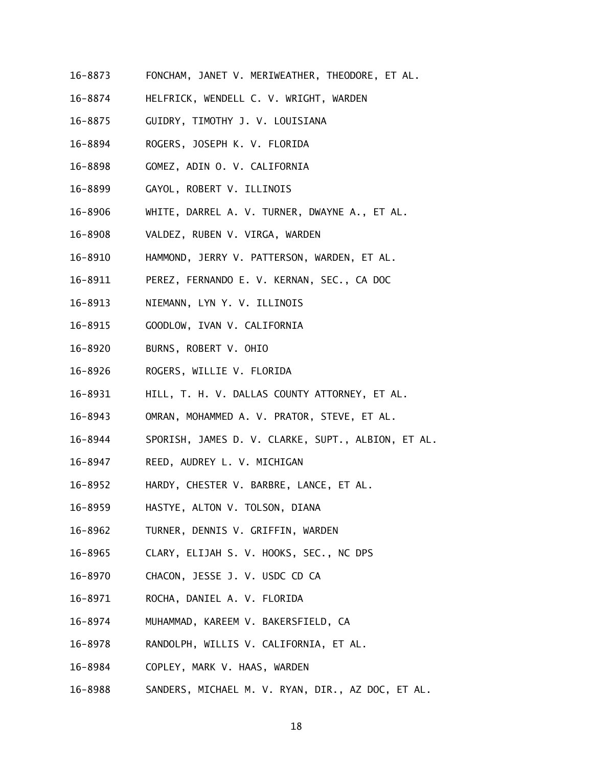- 16-8873 FONCHAM, JANET V. MERIWEATHER, THEODORE, ET AL.
- 16-8874 HELFRICK, WENDELL C. V. WRIGHT, WARDEN
- 16-8875 GUIDRY, TIMOTHY J. V. LOUISIANA
- 16-8894 ROGERS, JOSEPH K. V. FLORIDA
- 16-8898 GOMEZ, ADIN O. V. CALIFORNIA
- 16-8899 GAYOL, ROBERT V. ILLINOIS
- 16-8906 WHITE, DARREL A. V. TURNER, DWAYNE A., ET AL.
- 16-8908 VALDEZ, RUBEN V. VIRGA, WARDEN
- 16-8910 HAMMOND, JERRY V. PATTERSON, WARDEN, ET AL.
- 16-8911 PEREZ, FERNANDO E. V. KERNAN, SEC., CA DOC
- 16-8913 NIEMANN, LYN Y. V. ILLINOIS
- 16-8915 GOODLOW, IVAN V. CALIFORNIA
- $16 8920$ BURNS, ROBERT V. OHIO
- 16-8926 ROGERS, WILLIE V. FLORIDA
- 16-8931 HILL, T. H. V. DALLAS COUNTY ATTORNEY, ET AL.
- 16-8943 OMRAN, MOHAMMED A. V. PRATOR, STEVE, ET AL.
- 16-8944 SPORISH, JAMES D. V. CLARKE, SUPT., ALBION, ET AL.
- 16-8947 REED, AUDREY L. V. MICHIGAN
- 16-8952 HARDY, CHESTER V. BARBRE, LANCE, ET AL.
- 16-8959 HASTYE, ALTON V. TOLSON, DIANA
- 16-8962 TURNER, DENNIS V. GRIFFIN, WARDEN
- 16-8965 CLARY, ELIJAH S. V. HOOKS, SEC., NC DPS
- 16-8970 CHACON, JESSE J. V. USDC CD CA
- 16-8971 ROCHA, DANIEL A. V. FLORIDA
- 16-8974 MUHAMMAD, KAREEM V. BAKERSFIELD, CA
- 16-8978 RANDOLPH, WILLIS V. CALIFORNIA, ET AL.
- 16-8984 COPLEY, MARK V. HAAS, WARDEN
- 16-8988 SANDERS, MICHAEL M. V. RYAN, DIR., AZ DOC, ET AL.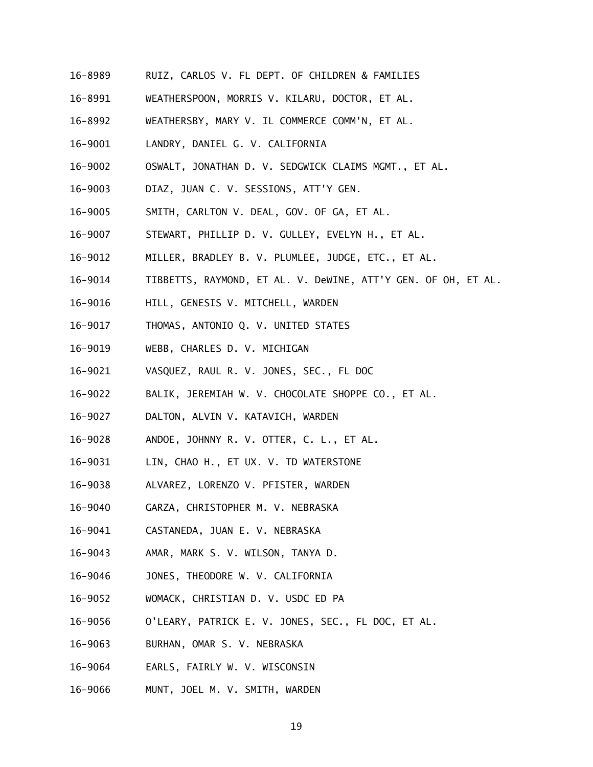- 16-8989 RUIZ, CARLOS V. FL DEPT. OF CHILDREN & FAMILIES
- 16-8991 WEATHERSPOON, MORRIS V. KILARU, DOCTOR, ET AL.
- 16-8992 WEATHERSBY, MARY V. IL COMMERCE COMM'N, ET AL.
- 16-9001 LANDRY, DANIEL G. V. CALIFORNIA
- 16-9002 OSWALT, JONATHAN D. V. SEDGWICK CLAIMS MGMT., ET AL.
- 16-9003 DIAZ, JUAN C. V. SESSIONS, ATT'Y GEN.
- 16-9005 SMITH, CARLTON V. DEAL, GOV. OF GA, ET AL.
- 16-9007 STEWART, PHILLIP D. V. GULLEY, EVELYN H., ET AL.
- 16-9012 MILLER, BRADLEY B. V. PLUMLEE, JUDGE, ETC., ET AL.
- 16-9014 TIBBETTS, RAYMOND, ET AL. V. DeWINE, ATT'Y GEN. OF OH, ET AL.
- 16-9016 HILL, GENESIS V. MITCHELL, WARDEN
- 16-9017 THOMAS, ANTONIO Q. V. UNITED STATES
- 16-9019 WEBB, CHARLES D. V. MICHIGAN
- 16-9021 VASQUEZ, RAUL R. V. JONES, SEC., FL DOC
- 16-9022 BALIK, JEREMIAH W. V. CHOCOLATE SHOPPE CO., ET AL.
- 16-9027 DALTON, ALVIN V. KATAVICH, WARDEN
- 16-9028 ANDOE, JOHNNY R. V. OTTER, C. L., ET AL.
- 16-9031 LIN, CHAO H., ET UX. V. TD WATERSTONE
- 16-9038 ALVAREZ, LORENZO V. PFISTER, WARDEN
- 16-9040 GARZA, CHRISTOPHER M. V. NEBRASKA
- 16-9041 CASTANEDA, JUAN E. V. NEBRASKA
- 16-9043 AMAR, MARK S. V. WILSON, TANYA D.
- 16-9046 JONES, THEODORE W. V. CALIFORNIA
- 16-9052 WOMACK, CHRISTIAN D. V. USDC ED PA
- 16-9056 O'LEARY, PATRICK E. V. JONES, SEC., FL DOC, ET AL.
- 16-9063 BURHAN, OMAR S. V. NEBRASKA
- 16-9064 EARLS, FAIRLY W. V. WISCONSIN
- 16-9066 MUNT, JOEL M. V. SMITH, WARDEN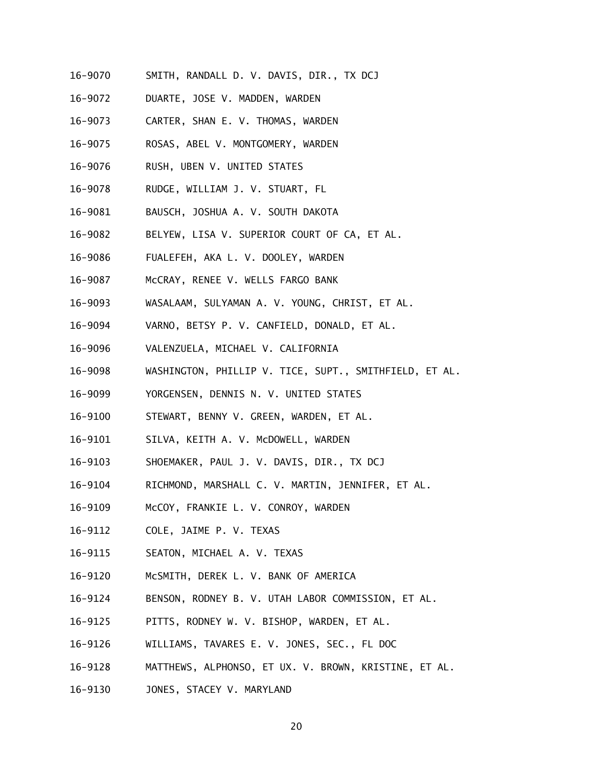- 16-9070 SMITH, RANDALL D. V. DAVIS, DIR., TX DCJ
- 16-9072 DUARTE, JOSE V. MADDEN, WARDEN
- 16-9073 CARTER, SHAN E. V. THOMAS, WARDEN
- 16-9075 ROSAS, ABEL V. MONTGOMERY, WARDEN
- 16-9076 RUSH, UBEN V. UNITED STATES
- 16-9078 RUDGE, WILLIAM J. V. STUART, FL
- 16-9081 BAUSCH, JOSHUA A. V. SOUTH DAKOTA
- 16-9082 BELYEW, LISA V. SUPERIOR COURT OF CA, ET AL.
- 16-9086 FUALEFEH, AKA L. V. DOOLEY, WARDEN
- 16-9087 McCRAY, RENEE V. WELLS FARGO BANK
- 16-9093 WASALAAM, SULYAMAN A. V. YOUNG, CHRIST, ET AL.
- 16-9094 VARNO, BETSY P. V. CANFIELD, DONALD, ET AL.
- 16-9096 VALENZUELA, MICHAEL V. CALIFORNIA
- 16-9098 WASHINGTON, PHILLIP V. TICE, SUPT., SMITHFIELD, ET AL.
- 16-9099 YORGENSEN, DENNIS N. V. UNITED STATES
- 16-9100 STEWART, BENNY V. GREEN, WARDEN, ET AL.
- 16-9101 SILVA, KEITH A. V. McDOWELL, WARDEN
- 16-9103 SHOEMAKER, PAUL J. V. DAVIS, DIR., TX DCJ
- 16-9104 RICHMOND, MARSHALL C. V. MARTIN, JENNIFER, ET AL.
- 16-9109 McCOY, FRANKIE L. V. CONROY, WARDEN
- 16-9112 COLE, JAIME P. V. TEXAS
- 16-9115 SEATON, MICHAEL A. V. TEXAS
- 16-9120 McSMITH, DEREK L. V. BANK OF AMERICA
- 16-9124 BENSON, RODNEY B. V. UTAH LABOR COMMISSION, ET AL.
- 16-9125 PITTS, RODNEY W. V. BISHOP, WARDEN, ET AL.
- 16-9126 WILLIAMS, TAVARES E. V. JONES, SEC., FL DOC
- 16-9128 MATTHEWS, ALPHONSO, ET UX. V. BROWN, KRISTINE, ET AL.
- 16-9130 JONES, STACEY V. MARYLAND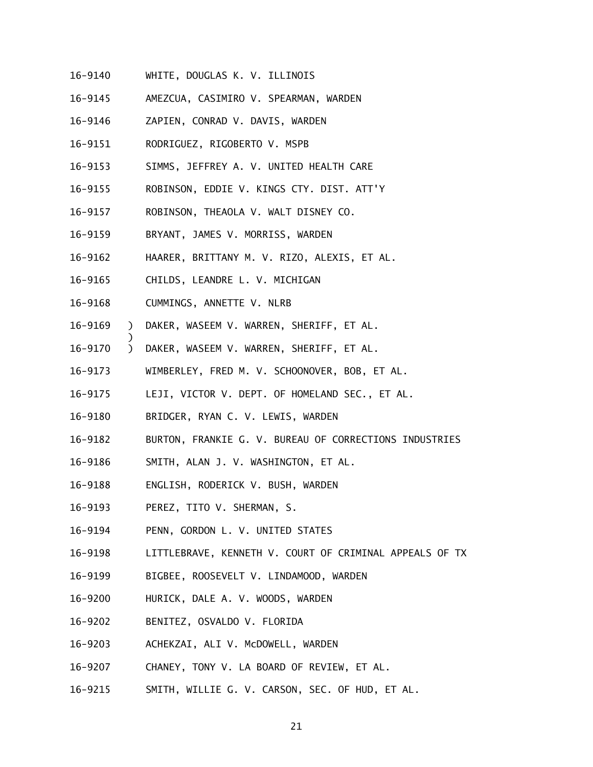- 16-9140 WHITE, DOUGLAS K. V. ILLINOIS
- 16-9145 16-9145 AMEZCUA, CASIMIRO V. SPEARMAN, WARDEN
- 16-9146 ZAPIEN, CONRAD V. DAVIS, WARDEN
- 16-9151 RODRIGUEZ, RIGOBERTO V. MSPB
- 16-9153 SIMMS, JEFFREY A. V. UNITED HEALTH CARE
- 16-9155 ROBINSON, EDDIE V. KINGS CTY. DIST. ATT'Y
- 16-9157 ROBINSON, THEAOLA V. WALT DISNEY CO.
- 16-9159 BRYANT, JAMES V. MORRISS, WARDEN
- 16-9162 HAARER, BRITTANY M. V. RIZO, ALEXIS, ET AL.
- 16-9165 CHILDS, LEANDRE L. V. MICHIGAN
- 16-9168 CUMMINGS, ANNETTE V. NLRB

- 16-9169 ) DAKER, WASEEM V. WARREN, SHERIFF, ET AL.
- 16-9170 ) DAKER, WASEEM V. WARREN, SHERIFF, ET AL.
- 16-9173 WIMBERLEY, FRED M. V. SCHOONOVER, BOB, ET AL.
- 16-9175 LEJI, VICTOR V. DEPT. OF HOMELAND SEC., ET AL.
- 16-9180 BRIDGER, RYAN C. V. LEWIS, WARDEN
- 16-9182 BURTON, FRANKIE G. V. BUREAU OF CORRECTIONS INDUSTRIES
- 16-9186 SMITH, ALAN J. V. WASHINGTON, ET AL.
- 16-9188 ENGLISH, RODERICK V. BUSH, WARDEN
- 16-9193 PEREZ, TITO V. SHERMAN, S.
- 16-9194 PENN, GORDON L. V. UNITED STATES
- 16-9198 LITTLEBRAVE, KENNETH V. COURT OF CRIMINAL APPEALS OF TX
- 16-9199 BIGBEE, ROOSEVELT V. LINDAMOOD, WARDEN
- 16-9200 HURICK, DALE A. V. WOODS, WARDEN
- 16-9202 BENITEZ, OSVALDO V. FLORIDA
- 16-9203 ACHEKZAI, ALI V. McDOWELL, WARDEN
- 16-9207 CHANEY, TONY V. LA BOARD OF REVIEW, ET AL.
- 16-9215 SMITH, WILLIE G. V. CARSON, SEC. OF HUD, ET AL.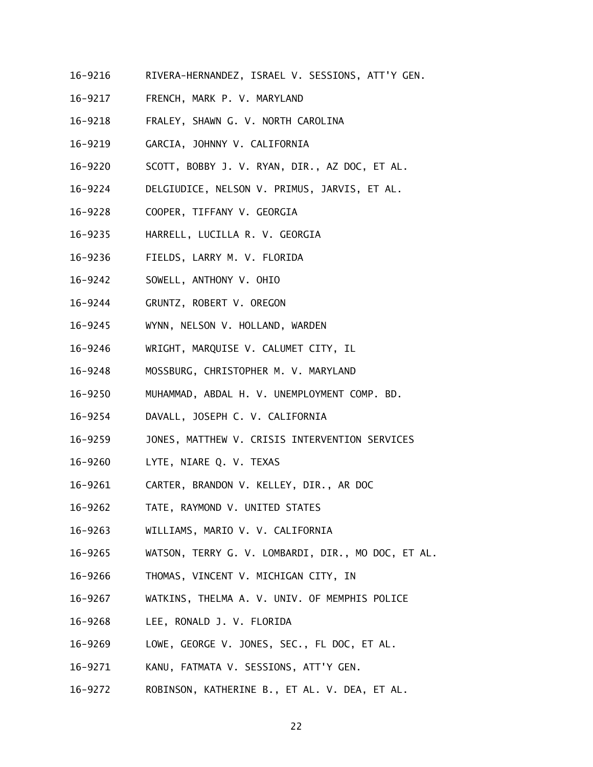- 16-9216 RIVERA-HERNANDEZ, ISRAEL V. SESSIONS, ATT'Y GEN.
- 16-9217 FRENCH, MARK P. V. MARYLAND
- 16-9218 FRALEY, SHAWN G. V. NORTH CAROLINA
- 16-9219 GARCIA, JOHNNY V. CALIFORNIA
- 16-9220 SCOTT, BOBBY J. V. RYAN, DIR., AZ DOC, ET AL.
- 16-9224 DELGIUDICE, NELSON V. PRIMUS, JARVIS, ET AL.
- 16-9228 COOPER, TIFFANY V. GEORGIA
- 16-9235 HARRELL, LUCILLA R. V. GEORGIA
- 16-9236 FIELDS, LARRY M. V. FLORIDA
- 16-9242 SOWELL, ANTHONY V. OHIO
- 16-9244 GRUNTZ, ROBERT V. OREGON
- 16-9245 WYNN, NELSON V. HOLLAND, WARDEN
- 16-9246 WRIGHT, MARQUISE V. CALUMET CITY, IL
- 16-9248 MOSSBURG, CHRISTOPHER M. V. MARYLAND
- 16-9250 MUHAMMAD, ABDAL H. V. UNEMPLOYMENT COMP. BD.
- 16-9254 DAVALL, JOSEPH C. V. CALIFORNIA
- 16-9259 JONES, MATTHEW V. CRISIS INTERVENTION SERVICES
- 16-9260 LYTE, NIARE Q. V. TEXAS
- 16-9261 16-9261 CARTER, BRANDON V. KELLEY, DIR., AR DOC
- 16-9262 TATE, RAYMOND V. UNITED STATES
- 16-9263 WILLIAMS, MARIO V. V. CALIFORNIA
- 16-9265 WATSON, TERRY G. V. LOMBARDI, DIR., MO DOC, ET AL.
- 16-9266 THOMAS, VINCENT V. MICHIGAN CITY, IN
- 16-9267 WATKINS, THELMA A. V. UNIV. OF MEMPHIS POLICE
- 16-9268 LEE, RONALD J. V. FLORIDA
- 16-9269 LOWE, GEORGE V. JONES, SEC., FL DOC, ET AL.
- 16-9271 KANU, FATMATA V. SESSIONS, ATT'Y GEN.
- 16-9272 ROBINSON, KATHERINE B., ET AL. V. DEA, ET AL.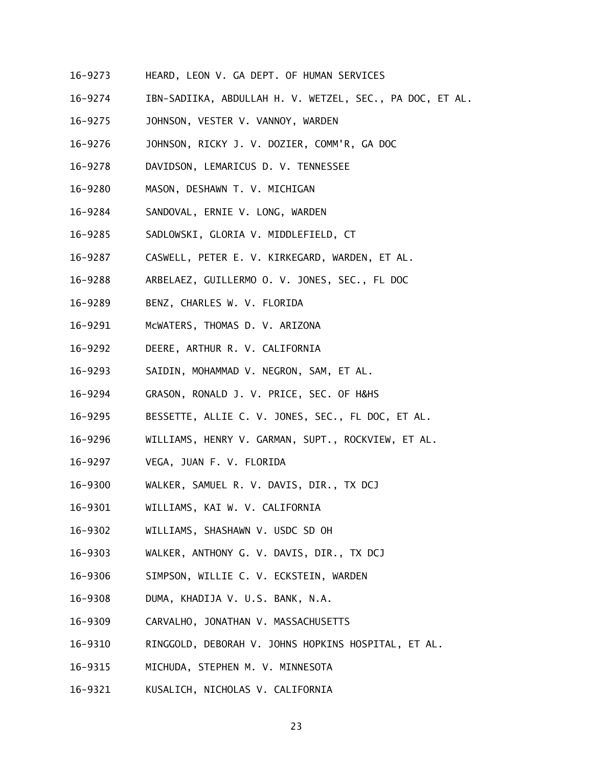- 16-9273 HEARD, LEON V. GA DEPT. OF HUMAN SERVICES
- 16-9274 IBN-SADIIKA, ABDULLAH H. V. WETZEL, SEC., PA DOC, ET AL.
- 16-9275 JOHNSON, VESTER V. VANNOY, WARDEN
- 16-9276 JOHNSON, RICKY J. V. DOZIER, COMM'R, GA DOC
- 16-9278 DAVIDSON, LEMARICUS D. V. TENNESSEE
- 16-9280 MASON, DESHAWN T. V. MICHIGAN
- 16-9284 SANDOVAL, ERNIE V. LONG, WARDEN
- 16-9285 SADLOWSKI, GLORIA V. MIDDLEFIELD, CT
- 16-9287 CASWELL, PETER E. V. KIRKEGARD, WARDEN, ET AL.
- 16-9288 ARBELAEZ, GUILLERMO O. V. JONES, SEC., FL DOC
- 16-9289 BENZ, CHARLES W. V. FLORIDA
- 16-9291 McWATERS, THOMAS D. V. ARIZONA
- 16-9292 DEERE, ARTHUR R. V. CALIFORNIA
- 16-9293 SAIDIN, MOHAMMAD V. NEGRON, SAM, ET AL.
- 16-9294 GRASON, RONALD J. V. PRICE, SEC. OF H&HS
- 16-9295 BESSETTE, ALLIE C. V. JONES, SEC., FL DOC, ET AL.
- 16-9296 WILLIAMS, HENRY V. GARMAN, SUPT., ROCKVIEW, ET AL.
- 16-9297 VEGA, JUAN F. V. FLORIDA
- 16-9300 WALKER, SAMUEL R. V. DAVIS, DIR., TX DCJ
- 16-9301 WILLIAMS, KAI W. V. CALIFORNIA
- 16-9302 WILLIAMS, SHASHAWN V. USDC SD OH
- 16-9303 WALKER, ANTHONY G. V. DAVIS, DIR., TX DCJ
- 16-9306 SIMPSON, WILLIE C. V. ECKSTEIN, WARDEN
- 16-9308 DUMA, KHADIJA V. U.S. BANK, N.A.
- 16-9309 CARVALHO, JONATHAN V. MASSACHUSETTS
- 16-9310 RINGGOLD, DEBORAH V. JOHNS HOPKINS HOSPITAL, ET AL.
- 16-9315 MICHUDA, STEPHEN M. V. MINNESOTA
- 16-9321 KUSALICH, NICHOLAS V. CALIFORNIA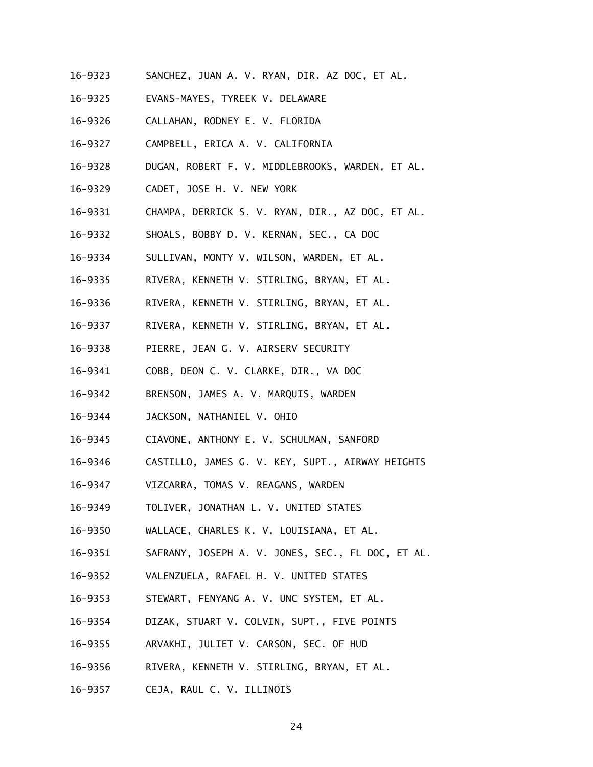- 16-9323 SANCHEZ, JUAN A. V. RYAN, DIR. AZ DOC, ET AL.
- 16-9325 EVANS-MAYES, TYREEK V. DELAWARE
- 16-9326 CALLAHAN, RODNEY E. V. FLORIDA
- 16-9327 CAMPBELL, ERICA A. V. CALIFORNIA
- 16-9328 DUGAN, ROBERT F. V. MIDDLEBROOKS, WARDEN, ET AL.
- 16-9329 CADET, JOSE H. V. NEW YORK
- 16-9331 CHAMPA, DERRICK S. V. RYAN, DIR., AZ DOC, ET AL.
- 16-9332 SHOALS, BOBBY D. V. KERNAN, SEC., CA DOC
- 16-9334 SULLIVAN, MONTY V. WILSON, WARDEN, ET AL.
- 16-9335 RIVERA, KENNETH V. STIRLING, BRYAN, ET AL.
- 16-9336 RIVERA, KENNETH V. STIRLING, BRYAN, ET AL.
- 16-9337 RIVERA, KENNETH V. STIRLING, BRYAN, ET AL.
- 16-9338 PIERRE, JEAN G. V. AIRSERV SECURITY
- 16-9341 COBB, DEON C. V. CLARKE, DIR., VA DOC
- 16-9342 BRENSON, JAMES A. V. MARQUIS, WARDEN
- 16-9344 JACKSON, NATHANIEL V. OHIO
- 16-9345 CIAVONE, ANTHONY E. V. SCHULMAN, SANFORD
- 16-9346 CASTILLO, JAMES G. V. KEY, SUPT., AIRWAY HEIGHTS
- 16-9347 VIZCARRA, TOMAS V. REAGANS, WARDEN
- 16-9349 TOLIVER, JONATHAN L. V. UNITED STATES
- 16-9350 WALLACE, CHARLES K. V. LOUISIANA, ET AL.
- 16-9351 SAFRANY, JOSEPH A. V. JONES, SEC., FL DOC, ET AL.
- 16-9352 VALENZUELA, RAFAEL H. V. UNITED STATES
- 16-9353 STEWART, FENYANG A. V. UNC SYSTEM, ET AL.
- 16-9354 DIZAK, STUART V. COLVIN, SUPT., FIVE POINTS
- 16-9355 ARVAKHI, JULIET V. CARSON, SEC. OF HUD
- 16-9356 RIVERA, KENNETH V. STIRLING, BRYAN, ET AL.
- 16-9357 CEJA, RAUL C. V. ILLINOIS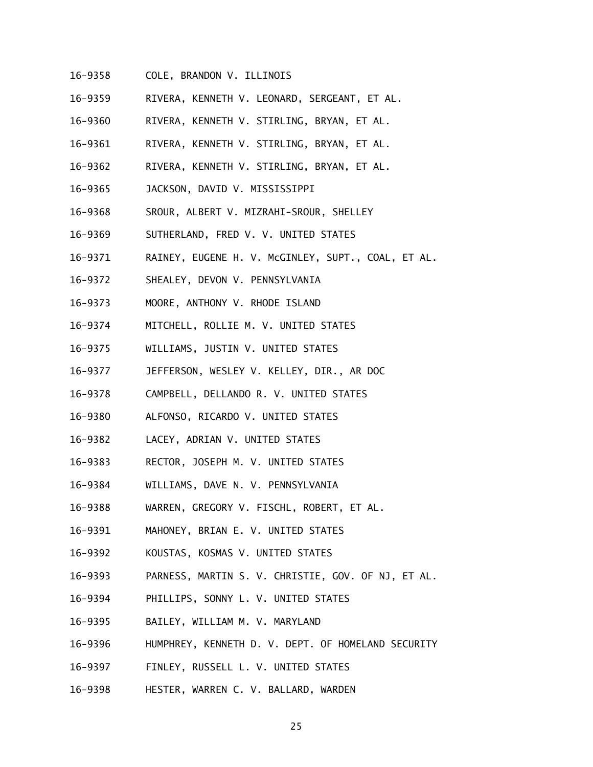- 16-9358 COLE, BRANDON V. ILLINOIS
- 16-9359 RIVERA, KENNETH V. LEONARD, SERGEANT, ET AL.
- 16-9360 RIVERA, KENNETH V. STIRLING, BRYAN, ET AL.
- 16-9361 RIVERA, KENNETH V. STIRLING, BRYAN, ET AL.
- 16-9362 RIVERA, KENNETH V. STIRLING, BRYAN, ET AL.
- 16-9365 JACKSON, DAVID V. MISSISSIPPI
- 16-9368 SROUR, ALBERT V. MIZRAHI-SROUR, SHELLEY
- 16-9369 SUTHERLAND, FRED V. V. UNITED STATES
- 16-9371 RAINEY, EUGENE H. V. McGINLEY, SUPT., COAL, ET AL.
- 16-9372 SHEALEY, DEVON V. PENNSYLVANIA
- 16-9373 MOORE, ANTHONY V. RHODE ISLAND
- 16-9374 MITCHELL, ROLLIE M. V. UNITED STATES
- 16-9375 WILLIAMS, JUSTIN V. UNITED STATES
- 16-9377 JEFFERSON, WESLEY V. KELLEY, DIR., AR DOC
- 16-9378 CAMPBELL, DELLANDO R. V. UNITED STATES
- 16-9380 ALFONSO, RICARDO V. UNITED STATES
- 16-9382 LACEY, ADRIAN V. UNITED STATES
- 16-9383 RECTOR, JOSEPH M. V. UNITED STATES
- 16-9384 WILLIAMS, DAVE N. V. PENNSYLVANIA
- 16-9388 WARREN, GREGORY V. FISCHL, ROBERT, ET AL.
- 16-9391 MAHONEY, BRIAN E. V. UNITED STATES
- 16-9392 KOUSTAS, KOSMAS V. UNITED STATES
- 16-9393 PARNESS, MARTIN S. V. CHRISTIE, GOV. OF NJ, ET AL.
- 16-9394 PHILLIPS, SONNY L. V. UNITED STATES
- 16-9395 BAILEY, WILLIAM M. V. MARYLAND
- 16-9396 HUMPHREY, KENNETH D. V. DEPT. OF HOMELAND SECURITY
- 16-9397 FINLEY, RUSSELL L. V. UNITED STATES
- 16-9398 HESTER, WARREN C. V. BALLARD, WARDEN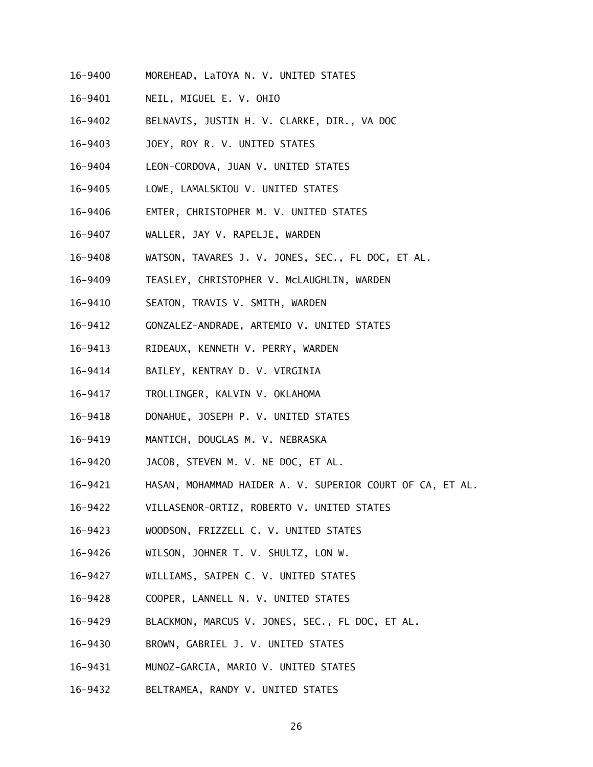- 16-9400 MOREHEAD, LaTOYA N. V. UNITED STATES
- 16-9401 NEIL, MIGUEL E. V. OHIO
- 16-9402 BELNAVIS, JUSTIN H. V. CLARKE, DIR., VA DOC
- 16-9403 JOEY, ROY R. V. UNITED STATES
- 16-9404 LEON-CORDOVA, JUAN V. UNITED STATES
- 16-9405 LOWE, LAMALSKIOU V. UNITED STATES
- 16-9406 EMTER, CHRISTOPHER M. V. UNITED STATES
- 16-9407 WALLER, JAY V. RAPELJE, WARDEN
- 16-9408 WATSON, TAVARES J. V. JONES, SEC., FL DOC, ET AL.
- 16-9409 TEASLEY, CHRISTOPHER V. McLAUGHLIN, WARDEN
- 16-9410 SEATON, TRAVIS V. SMITH, WARDEN
- 16-9412 GONZALEZ-ANDRADE, ARTEMIO V. UNITED STATES
- 16-9413 RIDEAUX, KENNETH V. PERRY, WARDEN
- 16-9414 BAILEY, KENTRAY D. V. VIRGINIA
- 16-9417 TROLLINGER, KALVIN V. OKLAHOMA
- 16-9418 DONAHUE, JOSEPH P. V. UNITED STATES
- 16-9419 MANTICH, DOUGLAS M. V. NEBRASKA
- 16-9420 JACOB, STEVEN M. V. NE DOC, ET AL.
- 16-9421 HASAN, MOHAMMAD HAIDER A. V. SUPERIOR COURT OF CA, ET AL.
- 16-9422 VILLASENOR-ORTIZ, ROBERTO V. UNITED STATES
- 16-9423 WOODSON, FRIZZELL C. V. UNITED STATES
- 16-9426 WILSON, JOHNER T. V. SHULTZ, LON W.
- 16-9427 WILLIAMS, SAIPEN C. V. UNITED STATES
- 16-9428 COOPER, LANNELL N. V. UNITED STATES
- 16-9429 BLACKMON, MARCUS V. JONES, SEC., FL DOC, ET AL.
- 16-9430 BROWN, GABRIEL J. V. UNITED STATES
- 16-9431 MUNOZ-GARCIA, MARIO V. UNITED STATES
- 16-9432 BELTRAMEA, RANDY V. UNITED STATES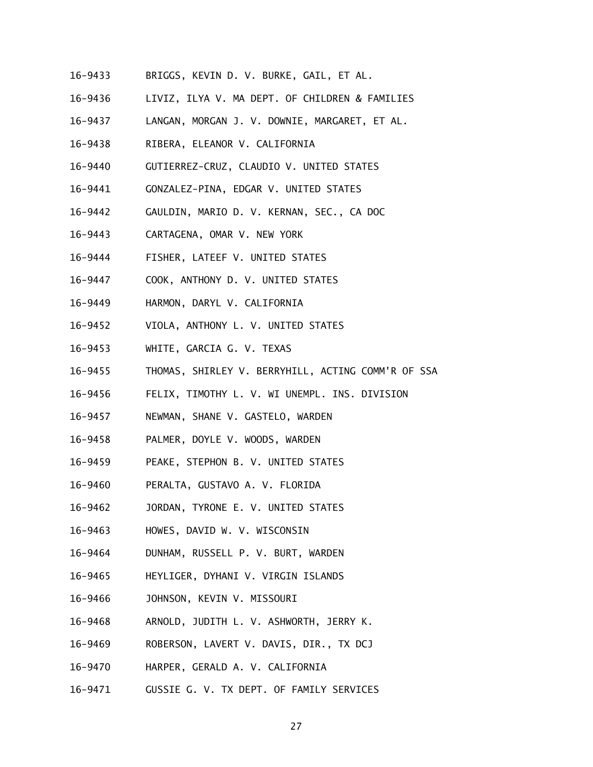- 16-9433 BRIGGS, KEVIN D. V. BURKE, GAIL, ET AL.
- 16-9436 LIVIZ, ILYA V. MA DEPT. OF CHILDREN & FAMILIES
- 16-9437 LANGAN, MORGAN J. V. DOWNIE, MARGARET, ET AL.
- 16-9438 RIBERA, ELEANOR V. CALIFORNIA
- 16-9440 GUTIERREZ-CRUZ, CLAUDIO V. UNITED STATES
- 16-9441 GONZALEZ-PINA, EDGAR V. UNITED STATES
- 16-9442 GAULDIN, MARIO D. V. KERNAN, SEC., CA DOC
- 16-9443 CARTAGENA, OMAR V. NEW YORK
- 16-9444 FISHER, LATEEF V. UNITED STATES
- 16-9447 COOK, ANTHONY D. V. UNITED STATES
- 16-9449 HARMON, DARYL V. CALIFORNIA
- 16-9452 VIOLA, ANTHONY L. V. UNITED STATES
- 16-9453 WHITE, GARCIA G. V. TEXAS
- 16-9455 THOMAS, SHIRLEY V. BERRYHILL, ACTING COMM'R OF SSA
- 16-9456 FELIX, TIMOTHY L. V. WI UNEMPL. INS. DIVISION
- 16-9457 NEWMAN, SHANE V. GASTELO, WARDEN
- 16-9458 PALMER, DOYLE V. WOODS, WARDEN
- 16-9459 PEAKE, STEPHON B. V. UNITED STATES
- 16-9460 PERALTA, GUSTAVO A. V. FLORIDA
- 16-9462 JORDAN, TYRONE E. V. UNITED STATES
- 16-9463 HOWES, DAVID W. V. WISCONSIN
- 16-9464 DUNHAM, RUSSELL P. V. BURT, WARDEN
- 16-9465 HEYLIGER, DYHANI V. VIRGIN ISLANDS
- 16-9466 JOHNSON, KEVIN V. MISSOURI
- 16-9468 ARNOLD, JUDITH L. V. ASHWORTH, JERRY K.
- 16-9469 ROBERSON, LAVERT V. DAVIS, DIR., TX DCJ
- 16-9470 HARPER, GERALD A. V. CALIFORNIA
- 16-9471 GUSSIE G. V. TX DEPT. OF FAMILY SERVICES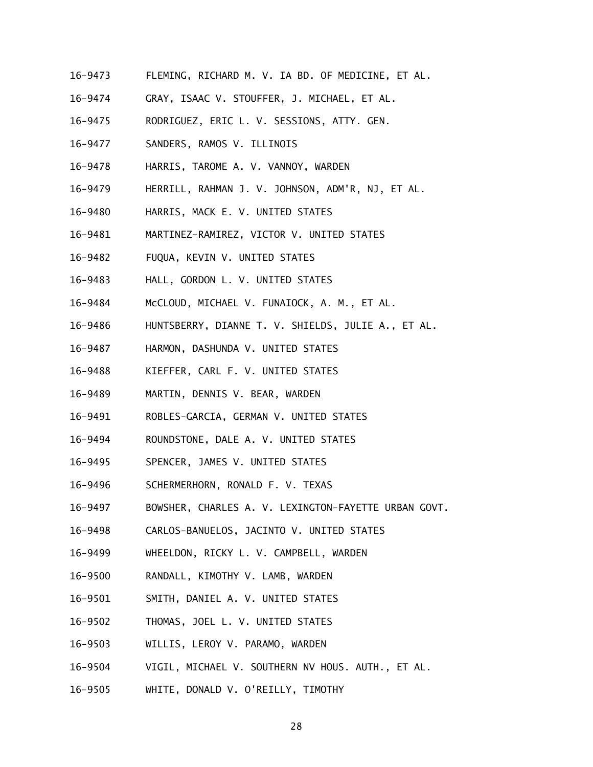- 16-9473 FLEMING, RICHARD M. V. IA BD. OF MEDICINE, ET AL.
- 16-9474 GRAY, ISAAC V. STOUFFER, J. MICHAEL, ET AL.
- 16-9475 RODRIGUEZ, ERIC L. V. SESSIONS, ATTY. GEN.
- 16-9477 SANDERS, RAMOS V. ILLINOIS
- 16-9478 HARRIS, TAROME A. V. VANNOY, WARDEN
- 16-9479 HERRILL, RAHMAN J. V. JOHNSON, ADM'R, NJ, ET AL.
- 16-9480 HARRIS, MACK E. V. UNITED STATES
- 16-9481 MARTINEZ-RAMIREZ, VICTOR V. UNITED STATES
- 16-9482 FUQUA, KEVIN V. UNITED STATES
- 16-9483 HALL, GORDON L. V. UNITED STATES
- 16-9484 McCLOUD, MICHAEL V. FUNAIOCK, A. M., ET AL.
- 16-9486 HUNTSBERRY, DIANNE T. V. SHIELDS, JULIE A., ET AL.
- 16-9487 HARMON, DASHUNDA V. UNITED STATES
- 16-9488 KIEFFER, CARL F. V. UNITED STATES
- 16-9489 MARTIN, DENNIS V. BEAR, WARDEN
- 16-9491 ROBLES-GARCIA, GERMAN V. UNITED STATES
- 16-9494 ROUNDSTONE, DALE A. V. UNITED STATES
- 16-9495 SPENCER, JAMES V. UNITED STATES
- 16-9496 SCHERMERHORN, RONALD F. V. TEXAS
- 16-9497 BOWSHER, CHARLES A. V. LEXINGTON-FAYETTE URBAN GOVT.
- 16-9498 CARLOS-BANUELOS, JACINTO V. UNITED STATES
- 16-9499 WHEELDON, RICKY L. V. CAMPBELL, WARDEN
- 16-9500 RANDALL, KIMOTHY V. LAMB, WARDEN
- 16-9501 SMITH, DANIEL A. V. UNITED STATES
- 16-9502 THOMAS, JOEL L. V. UNITED STATES
- 16-9503 WILLIS, LEROY V. PARAMO, WARDEN
- 16-9504 VIGIL, MICHAEL V. SOUTHERN NV HOUS. AUTH., ET AL.
- 16-9505 WHITE, DONALD V. O'REILLY, TIMOTHY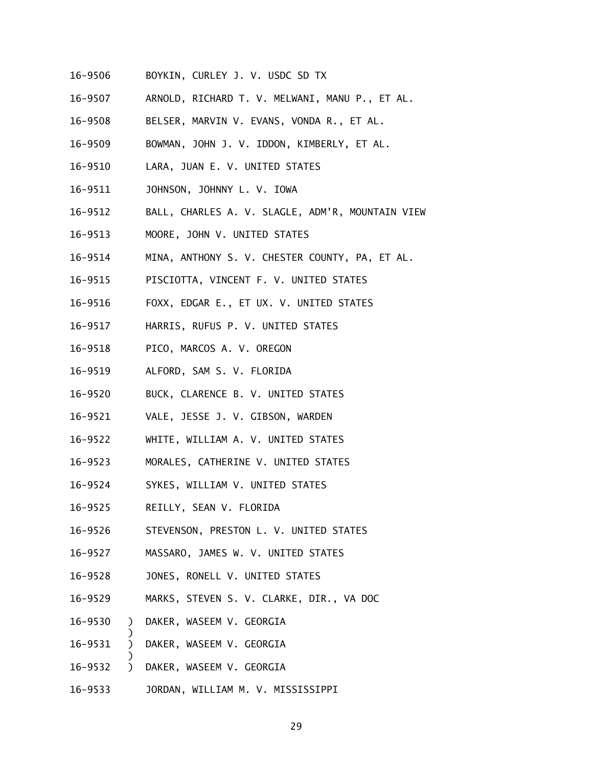- 16-9506 BOYKIN, CURLEY J. V. USDC SD TX
- 16-9507 ARNOLD, RICHARD T. V. MELWANI, MANU P., ET AL.
- 16-9508 BELSER, MARVIN V. EVANS, VONDA R., ET AL.
- 16-9509 BOWMAN, JOHN J. V. IDDON, KIMBERLY, ET AL.
- 16-9510 LARA, JUAN E. V. UNITED STATES
- 16-9511 JOHNSON, JOHNNY L. V. IOWA
- 16-9512 BALL, CHARLES A. V. SLAGLE, ADM'R, MOUNTAIN VIEW
- 16-9513 MOORE, JOHN V. UNITED STATES
- 16-9514 MINA, ANTHONY S. V. CHESTER COUNTY, PA, ET AL.
- 16-9515 PISCIOTTA, VINCENT F. V. UNITED STATES
- 16-9516 16-9516 FOXX, EDGAR E., ET UX. V. UNITED STATES
- 16-9517 HARRIS, RUFUS P. V. UNITED STATES
- 16-9518 PICO, MARCOS A. V. OREGON
- 16-9519 ALFORD, SAM S. V. FLORIDA
- 16-9520 BUCK, CLARENCE B. V. UNITED STATES
- 16-9521 VALE, JESSE J. V. GIBSON, WARDEN
- 16-9522 WHITE, WILLIAM A. V. UNITED STATES
- 16-9523 MORALES, CATHERINE V. UNITED STATES
- 16-9524 SYKES, WILLIAM V. UNITED STATES
- 16-9525 REILLY, SEAN V. FLORIDA
- 16-9526 STEVENSON, PRESTON L. V. UNITED STATES
- 16-9527 MASSARO, JAMES W. V. UNITED STATES
- 16-9528 JONES, RONELL V. UNITED STATES
- 16-9529 MARKS, STEVEN S. V. CLARKE, DIR., VA DOC
- 16-9530 ) DAKER, WASEEM V. GEORGIA

- 16-9531 ) DAKER, WASEEM V. GEORGIA
- 16-9532 ) DAKER, WASEEM V. GEORGIA
- 16-9533 JORDAN, WILLIAM M. V. MISSISSIPPI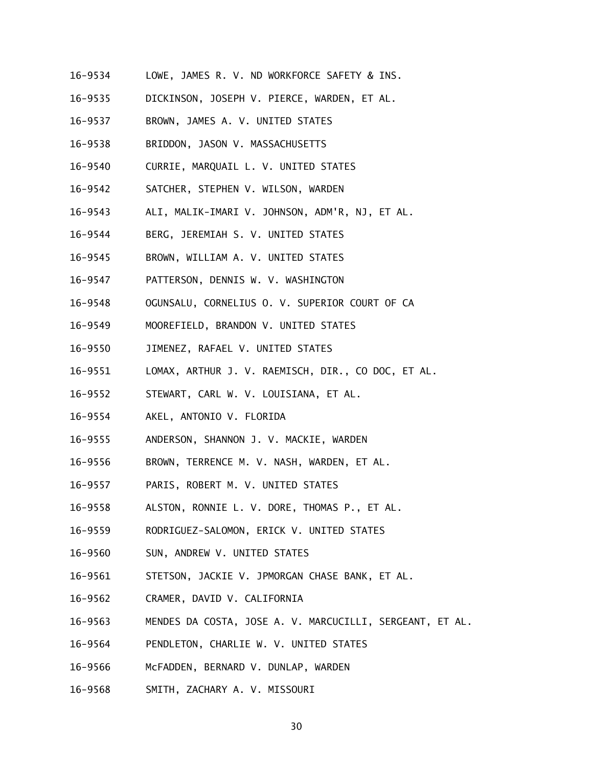- 16-9534 LOWE, JAMES R. V. ND WORKFORCE SAFETY & INS.
- 16-9535 DICKINSON, JOSEPH V. PIERCE, WARDEN, ET AL.
- 16-9537 BROWN, JAMES A. V. UNITED STATES
- 16-9538 BRIDDON, JASON V. MASSACHUSETTS
- 16-9540 CURRIE, MARQUAIL L. V. UNITED STATES
- 16-9542 SATCHER, STEPHEN V. WILSON, WARDEN
- 16-9543 ALI, MALIK-IMARI V. JOHNSON, ADM'R, NJ, ET AL.
- 16-9544 BERG, JEREMIAH S. V. UNITED STATES
- 16-9545 BROWN, WILLIAM A. V. UNITED STATES
- 16-9547 PATTERSON, DENNIS W. V. WASHINGTON
- 16-9548 OGUNSALU, CORNELIUS O. V. SUPERIOR COURT OF CA
- 16-9549 MOOREFIELD, BRANDON V. UNITED STATES
- 16-9550 JIMENEZ, RAFAEL V. UNITED STATES
- 16-9551 LOMAX, ARTHUR J. V. RAEMISCH, DIR., CO DOC, ET AL.
- 16-9552 STEWART, CARL W. V. LOUISIANA, ET AL.
- 16-9554 AKEL, ANTONIO V. FLORIDA
- 16-9555 ANDERSON, SHANNON J. V. MACKIE, WARDEN
- 16-9556 BROWN, TERRENCE M. V. NASH, WARDEN, ET AL.
- 16-9557 16-9557 PARIS, ROBERT M. V. UNITED STATES
- 16-9558 ALSTON, RONNIE L. V. DORE, THOMAS P., ET AL.
- 16-9559 RODRIGUEZ-SALOMON, ERICK V. UNITED STATES
- 16-9560 SUN, ANDREW V. UNITED STATES
- 16-9561 STETSON, JACKIE V. JPMORGAN CHASE BANK, ET AL.
- 16-9562 CRAMER, DAVID V. CALIFORNIA
- 16-9563 MENDES DA COSTA, JOSE A. V. MARCUCILLI, SERGEANT, ET AL.
- 16-9564 PENDLETON, CHARLIE W. V. UNITED STATES
- 16-9566 McFADDEN, BERNARD V. DUNLAP, WARDEN
- 16-9568 SMITH, ZACHARY A. V. MISSOURI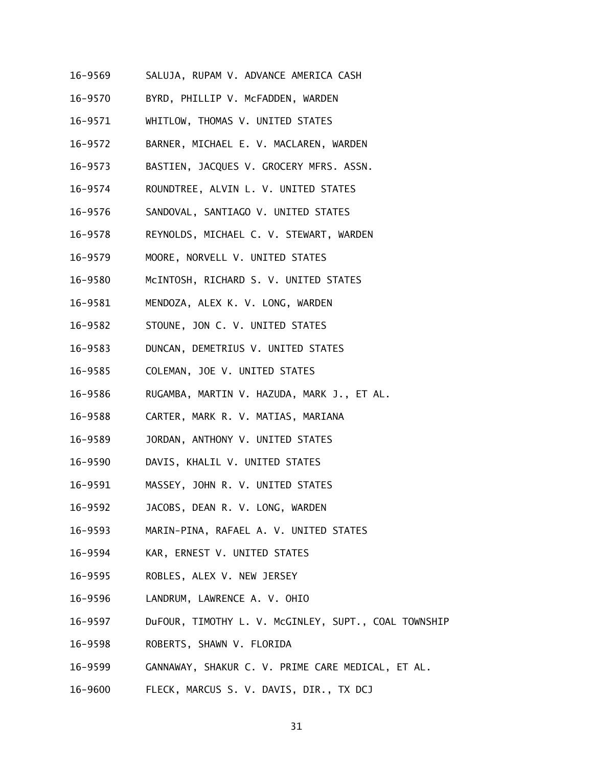- 16-9569 SALUJA, RUPAM V. ADVANCE AMERICA CASH
- 16-9570 BYRD, PHILLIP V. McFADDEN, WARDEN
- 16-9571 WHITLOW, THOMAS V. UNITED STATES
- 16-9572 BARNER, MICHAEL E. V. MACLAREN, WARDEN
- 16-9573 BASTIEN, JACQUES V. GROCERY MFRS. ASSN.
- 16-9574 ROUNDTREE, ALVIN L. V. UNITED STATES
- 16-9576 SANDOVAL, SANTIAGO V. UNITED STATES
- 16-9578 REYNOLDS, MICHAEL C. V. STEWART, WARDEN
- 16-9579 MOORE, NORVELL V. UNITED STATES
- 16-9580 McINTOSH, RICHARD S. V. UNITED STATES
- 16-9581 MENDOZA, ALEX K. V. LONG, WARDEN
- 16-9582 STOUNE, JON C. V. UNITED STATES
- 16-9583 DUNCAN, DEMETRIUS V. UNITED STATES
- 16-9585 COLEMAN, JOE V. UNITED STATES
- 16-9586 RUGAMBA, MARTIN V. HAZUDA, MARK J., ET AL.
- 16-9588 CARTER, MARK R. V. MATIAS, MARIANA
- 16-9589 JORDAN, ANTHONY V. UNITED STATES
- 16-9590 DAVIS, KHALIL V. UNITED STATES
- 16-9591 MASSEY, JOHN R. V. UNITED STATES
- 16-9592 JACOBS, DEAN R. V. LONG, WARDEN
- 16-9593 MARIN-PINA, RAFAEL A. V. UNITED STATES
- 16-9594 KAR, ERNEST V. UNITED STATES
- 16-9595 ROBLES, ALEX V. NEW JERSEY
- 16-9596 LANDRUM, LAWRENCE A. V. OHIO
- 16-9597 DuFOUR, TIMOTHY L. V. McGINLEY, SUPT., COAL TOWNSHIP
- 16-9598 ROBERTS, SHAWN V. FLORIDA
- 16-9599 GANNAWAY, SHAKUR C. V. PRIME CARE MEDICAL, ET AL.
- 16-9600 FLECK, MARCUS S. V. DAVIS, DIR., TX DCJ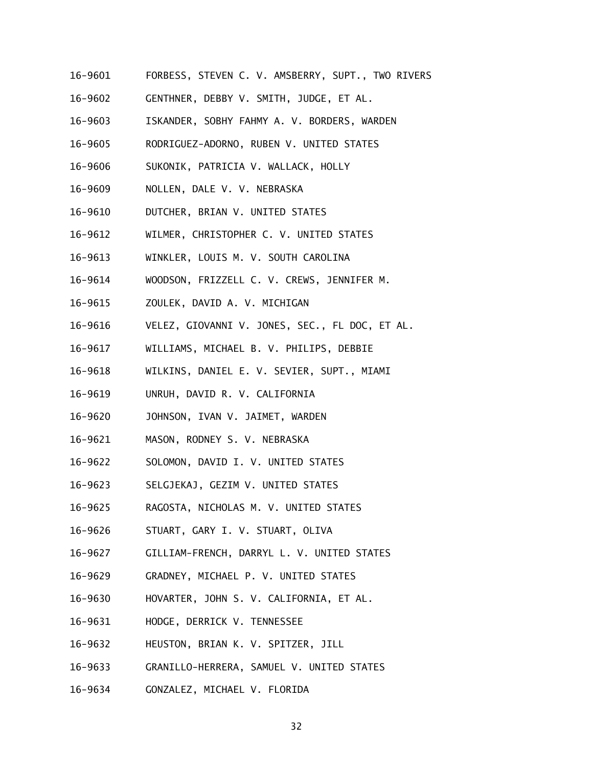- 16-9601 FORBESS, STEVEN C. V. AMSBERRY, SUPT., TWO RIVERS
- 16-9602 GENTHNER, DEBBY V. SMITH, JUDGE, ET AL.
- 16-9603 ISKANDER, SOBHY FAHMY A. V. BORDERS, WARDEN
- 16-9605 RODRIGUEZ-ADORNO, RUBEN V. UNITED STATES
- 16-9606 SUKONIK, PATRICIA V. WALLACK, HOLLY
- 16-9609 NOLLEN, DALE V. V. NEBRASKA
- 16-9610 DUTCHER, BRIAN V. UNITED STATES
- 16-9612 WILMER, CHRISTOPHER C. V. UNITED STATES
- 16-9613 WINKLER, LOUIS M. V. SOUTH CAROLINA
- 16-9614 WOODSON, FRIZZELL C. V. CREWS, JENNIFER M.
- 16-9615 ZOULEK, DAVID A. V. MICHIGAN
- 16-9616 VELEZ, GIOVANNI V. JONES, SEC., FL DOC, ET AL.
- 16-9617 WILLIAMS, MICHAEL B. V. PHILIPS, DEBBIE
- 16-9618 WILKINS, DANIEL E. V. SEVIER, SUPT., MIAMI
- 16-9619 UNRUH, DAVID R. V. CALIFORNIA
- 16-9620 JOHNSON, IVAN V. JAIMET, WARDEN
- 16-9621 MASON, RODNEY S. V. NEBRASKA
- 16-9622 SOLOMON, DAVID I. V. UNITED STATES
- 16-9623 SELGJEKAJ, GEZIM V. UNITED STATES
- 16-9625 RAGOSTA, NICHOLAS M. V. UNITED STATES
- 16-9626 STUART, GARY I. V. STUART, OLIVA
- 16-9627 GILLIAM-FRENCH, DARRYL L. V. UNITED STATES
- 16-9629 GRADNEY, MICHAEL P. V. UNITED STATES
- 16-9630 HOVARTER, JOHN S. V. CALIFORNIA, ET AL.
- 16-9631 HODGE, DERRICK V. TENNESSEE
- 16-9632 HEUSTON, BRIAN K. V. SPITZER, JILL
- 16-9633 GRANILLO-HERRERA, SAMUEL V. UNITED STATES
- 16-9634 GONZALEZ, MICHAEL V. FLORIDA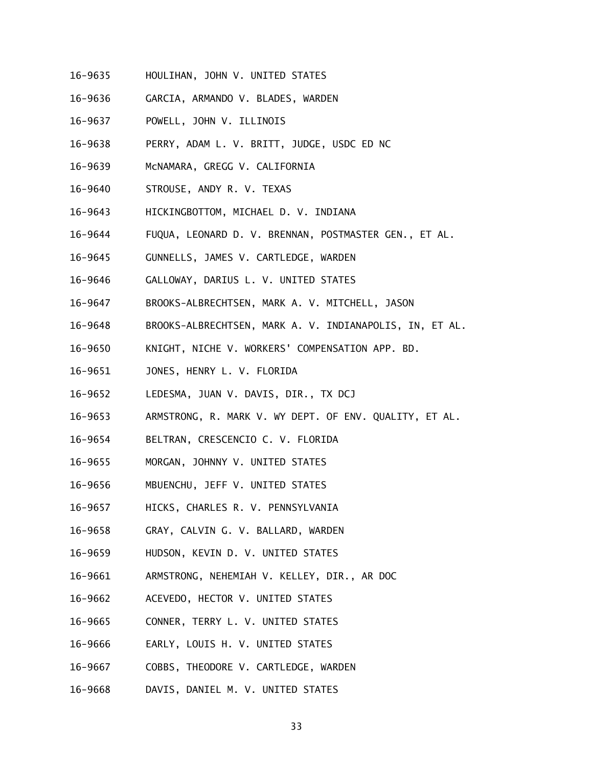- 16-9635 HOULIHAN, JOHN V. UNITED STATES
- 16-9636 GARCIA, ARMANDO V. BLADES, WARDEN
- 16-9637 POWELL, JOHN V. ILLINOIS
- 16-9638 PERRY, ADAM L. V. BRITT, JUDGE, USDC ED NC
- 16-9639 McNAMARA, GREGG V. CALIFORNIA
- 16-9640 STROUSE, ANDY R. V. TEXAS
- 16-9643 HICKINGBOTTOM, MICHAEL D. V. INDIANA
- 16-9644 FUQUA, LEONARD D. V. BRENNAN, POSTMASTER GEN., ET AL.
- 16-9645 GUNNELLS, JAMES V. CARTLEDGE, WARDEN
- 16-9646 GALLOWAY, DARIUS L. V. UNITED STATES
- 16-9647 BROOKS-ALBRECHTSEN, MARK A. V. MITCHELL, JASON
- 16-9648 BROOKS-ALBRECHTSEN, MARK A. V. INDIANAPOLIS, IN, ET AL.
- 16-9650 KNIGHT, NICHE V. WORKERS' COMPENSATION APP. BD.
- 16-9651 JONES, HENRY L. V. FLORIDA
- 16-9652 LEDESMA, JUAN V. DAVIS, DIR., TX DCJ
- 16-9653 ARMSTRONG, R. MARK V. WY DEPT. OF ENV. QUALITY, ET AL.
- 16-9654 BELTRAN, CRESCENCIO C. V. FLORIDA
- 16-9655 MORGAN, JOHNNY V. UNITED STATES
- 16-9656 MBUENCHU, JEFF V. UNITED STATES
- 16-9657 HICKS, CHARLES R. V. PENNSYLVANIA
- 16-9658 GRAY, CALVIN G. V. BALLARD, WARDEN
- 16-9659 HUDSON, KEVIN D. V. UNITED STATES
- 16-9661 ARMSTRONG, NEHEMIAH V. KELLEY, DIR., AR DOC
- 16-9662 ACEVEDO, HECTOR V. UNITED STATES
- 16-9665 CONNER, TERRY L. V. UNITED STATES
- 16-9666 EARLY, LOUIS H. V. UNITED STATES
- 16-9667 COBBS, THEODORE V. CARTLEDGE, WARDEN
- 16-9668 DAVIS, DANIEL M. V. UNITED STATES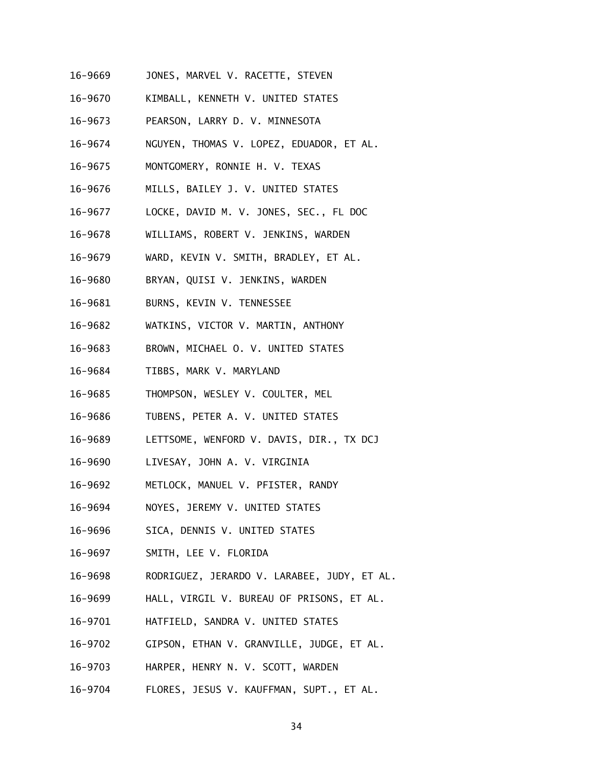- 16-9669 JONES, MARVEL V. RACETTE, STEVEN
- 16-9670 KIMBALL, KENNETH V. UNITED STATES
- 16-9673 PEARSON, LARRY D. V. MINNESOTA
- 16-9674 NGUYEN, THOMAS V. LOPEZ, EDUADOR, ET AL.
- 16-9675 MONTGOMERY, RONNIE H. V. TEXAS
- 16-9676 MILLS, BAILEY J. V. UNITED STATES
- 16-9677 LOCKE, DAVID M. V. JONES, SEC., FL DOC
- 16-9678 WILLIAMS, ROBERT V. JENKINS, WARDEN
- 16-9679 WARD, KEVIN V. SMITH, BRADLEY, ET AL.
- 16-9680 BRYAN, QUISI V. JENKINS, WARDEN
- 16-9681 BURNS, KEVIN V. TENNESSEE
- 16-9682 WATKINS, VICTOR V. MARTIN, ANTHONY
- 16-9683 BROWN, MICHAEL O. V. UNITED STATES
- 16-9684 TIBBS, MARK V. MARYLAND
- 16-9685 THOMPSON, WESLEY V. COULTER, MEL
- 16-9686 TUBENS, PETER A. V. UNITED STATES
- 16-9689 LETTSOME, WENFORD V. DAVIS, DIR., TX DCJ
- 16-9690 LIVESAY, JOHN A. V. VIRGINIA
- 16-9692 METLOCK, MANUEL V. PFISTER, RANDY
- 16-9694 NOYES, JEREMY V. UNITED STATES
- 16-9696 SICA, DENNIS V. UNITED STATES
- 16-9697 SMITH, LEE V. FLORIDA
- 16-9698 RODRIGUEZ, JERARDO V. LARABEE, JUDY, ET AL.
- 16-9699 HALL, VIRGIL V. BUREAU OF PRISONS, ET AL.
- 16-9701 HATFIELD, SANDRA V. UNITED STATES
- 16-9702 GIPSON, ETHAN V. GRANVILLE, JUDGE, ET AL.
- 16-9703 HARPER, HENRY N. V. SCOTT, WARDEN
- 16-9704 FLORES, JESUS V. KAUFFMAN, SUPT., ET AL.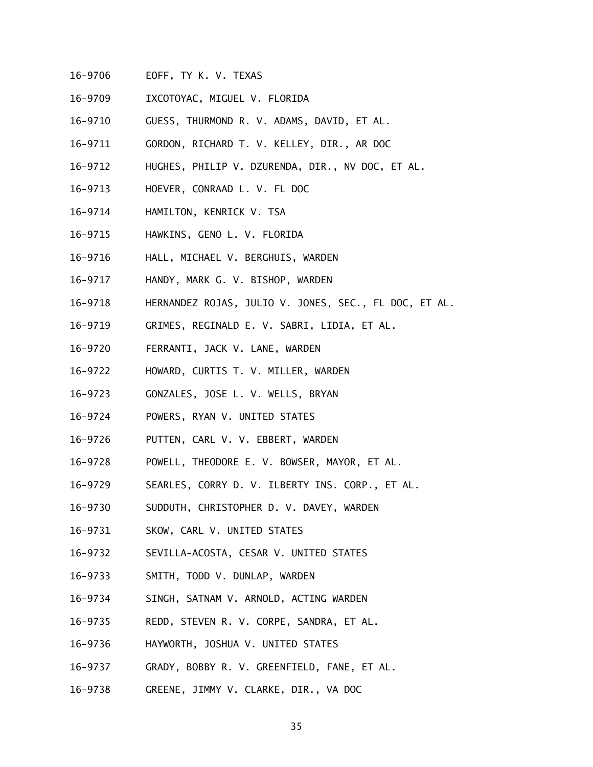- 16-9706 EOFF, TY K. V. TEXAS
- 16-9709 IXCOTOYAC, MIGUEL V. FLORIDA
- 16-9710 GUESS, THURMOND R. V. ADAMS, DAVID, ET AL.
- 16-9711 GORDON, RICHARD T. V. KELLEY, DIR., AR DOC
- 16-9712 HUGHES, PHILIP V. DZURENDA, DIR., NV DOC, ET AL.
- 16-9713 HOEVER, CONRAAD L. V. FL DOC
- 16-9714 HAMILTON, KENRICK V. TSA
- 16-9715 HAWKINS, GENO L. V. FLORIDA
- 16-9716 HALL, MICHAEL V. BERGHUIS, WARDEN
- 16-9717 HANDY, MARK G. V. BISHOP, WARDEN
- 16-9718 HERNANDEZ ROJAS, JULIO V. JONES, SEC., FL DOC, ET AL.
- 16-9719 GRIMES, REGINALD E. V. SABRI, LIDIA, ET AL.
- 16-9720 FERRANTI, JACK V. LANE, WARDEN
- 16-9722 HOWARD, CURTIS T. V. MILLER, WARDEN
- 16-9723 GONZALES, JOSE L. V. WELLS, BRYAN
- 16-9724 POWERS, RYAN V. UNITED STATES
- 16-9726 PUTTEN, CARL V. V. EBBERT, WARDEN
- 16-9728 POWELL, THEODORE E. V. BOWSER, MAYOR, ET AL.
- 16-9729 SEARLES, CORRY D. V. ILBERTY INS. CORP., ET AL.
- 16-9730 SUDDUTH, CHRISTOPHER D. V. DAVEY, WARDEN
- 16-9731 SKOW, CARL V. UNITED STATES
- 16-9732 SEVILLA-ACOSTA, CESAR V. UNITED STATES
- 16-9733 SMITH, TODD V. DUNLAP, WARDEN
- 16-9734 SINGH, SATNAM V. ARNOLD, ACTING WARDEN
- 16-9735 REDD, STEVEN R. V. CORPE, SANDRA, ET AL.
- 16-9736 HAYWORTH, JOSHUA V. UNITED STATES
- 16-9737 GRADY, BOBBY R. V. GREENFIELD, FANE, ET AL.
- 16-9738 GREENE, JIMMY V. CLARKE, DIR., VA DOC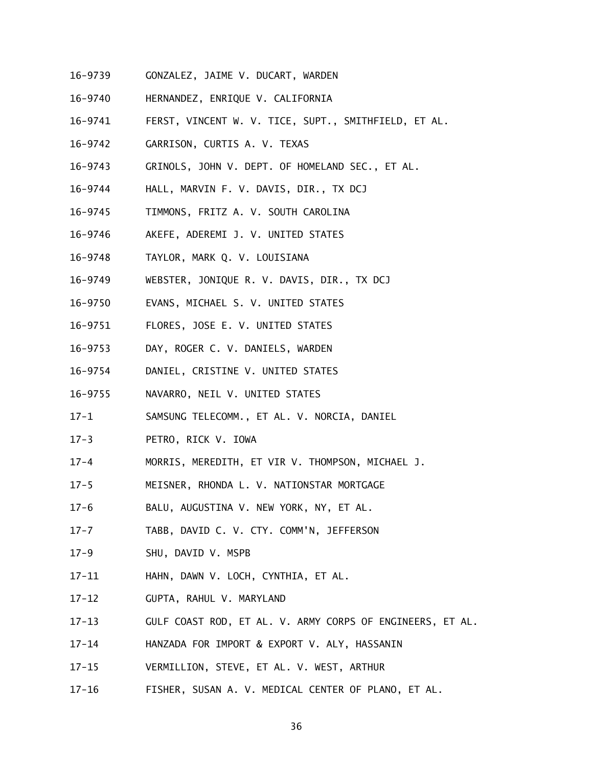- 16-9739 GONZALEZ, JAIME V. DUCART, WARDEN
- 16-9740 HERNANDEZ, ENRIQUE V. CALIFORNIA
- 16-9741 FERST, VINCENT W. V. TICE, SUPT., SMITHFIELD, ET AL.
- 16-9742 GARRISON, CURTIS A. V. TEXAS
- 16-9743 GRINOLS, JOHN V. DEPT. OF HOMELAND SEC., ET AL.
- 16-9744 HALL, MARVIN F. V. DAVIS, DIR., TX DCJ
- 16-9745 TIMMONS, FRITZ A. V. SOUTH CAROLINA
- 16-9746 AKEFE, ADEREMI J. V. UNITED STATES
- 16-9748 TAYLOR, MARK Q. V. LOUISIANA
- 16-9749 WEBSTER, JONIQUE R. V. DAVIS, DIR., TX DCJ
- 16-9750 EVANS, MICHAEL S. V. UNITED STATES
- 16-9751 FLORES, JOSE E. V. UNITED STATES
- 16-9753 DAY, ROGER C. V. DANIELS, WARDEN
- 16-9754 DANIEL, CRISTINE V. UNITED STATES
- 16-9755 NAVARRO, NEIL V. UNITED STATES
- $17 1$ SAMSUNG TELECOMM., ET AL. V. NORCIA, DANIEL
- $17 3$ PETRO, RICK V. IOWA
- $17 4$ MORRIS, MEREDITH, ET VIR V. THOMPSON, MICHAEL J.
- $17 5$ 17-5 MEISNER, RHONDA L. V. NATIONSTAR MORTGAGE
- $17 6$ BALU, AUGUSTINA V. NEW YORK, NY, ET AL.
- $17 7$ TABB, DAVID C. V. CTY. COMM'N, JEFFERSON
- $17 9$ SHU, DAVID V. MSPB
- $17 11$ HAHN, DAWN V. LOCH, CYNTHIA, ET AL.
- $17 12$ 17-12 GUPTA, RAHUL V. MARYLAND
- $17 13$ GULF COAST ROD, ET AL. V. ARMY CORPS OF ENGINEERS, ET AL.
- $17 14$ HANZADA FOR IMPORT & EXPORT V. ALY, HASSANIN
- $17 15$ VERMILLION, STEVE, ET AL. V. WEST, ARTHUR
- $17 16$ FISHER, SUSAN A. V. MEDICAL CENTER OF PLANO, ET AL.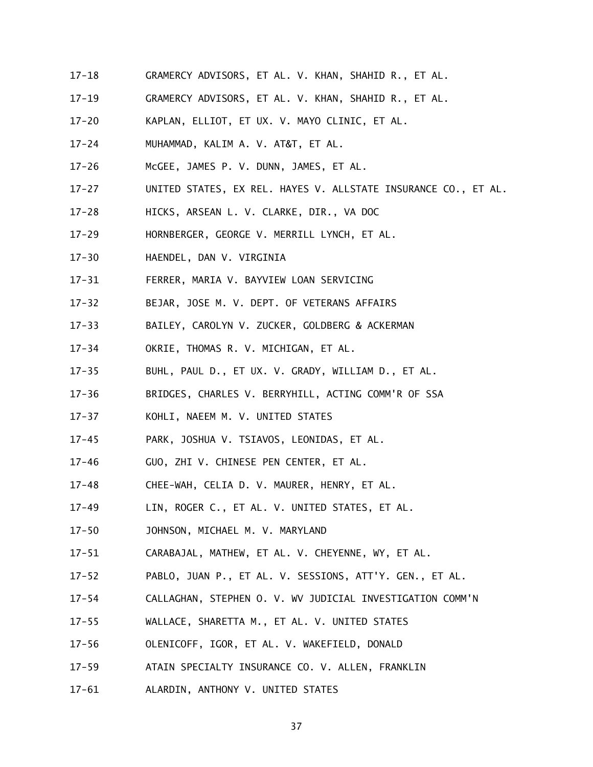- $17 18$ GRAMERCY ADVISORS, ET AL. V. KHAN, SHAHID R., ET AL.
- $17 19$ GRAMERCY ADVISORS, ET AL. V. KHAN, SHAHID R., ET AL.
- $17 20$ KAPLAN, ELLIOT, ET UX. V. MAYO CLINIC, ET AL.
- $17 24$ MUHAMMAD, KALIM A. V. AT&T, ET AL.
- $17 26$ McGEE, JAMES P. V. DUNN, JAMES, ET AL.
- $17 27$ UNITED STATES, EX REL. HAYES V. ALLSTATE INSURANCE CO., ET AL.
- $17 28$ HICKS, ARSEAN L. V. CLARKE, DIR., VA DOC
- $17 29$ HORNBERGER, GEORGE V. MERRILL LYNCH, ET AL.
- $17 30$ 17-30 HAENDEL, DAN V. VIRGINIA
- $17 31$ 17-31 FERRER, MARIA V. BAYVIEW LOAN SERVICING
- $17 32$ BEJAR, JOSE M. V. DEPT. OF VETERANS AFFAIRS
- $17 33$ BAILEY, CAROLYN V. ZUCKER, GOLDBERG & ACKERMAN
- $17 34$ OKRIE, THOMAS R. V. MICHIGAN, ET AL.
- $17 35$ BUHL, PAUL D., ET UX. V. GRADY, WILLIAM D., ET AL.
- $17 36$ BRIDGES, CHARLES V. BERRYHILL, ACTING COMM'R OF SSA
- $17 37$ KOHLI, NAEEM M. V. UNITED STATES
- $17 45$ PARK, JOSHUA V. TSIAVOS, LEONIDAS, ET AL.
- $17 46$ GUO, ZHI V. CHINESE PEN CENTER, ET AL.
- $17 48$ CHEE-WAH, CELIA D. V. MAURER, HENRY, ET AL.
- $17 49$ LIN, ROGER C., ET AL. V. UNITED STATES, ET AL.
- $17 50$ JOHNSON, MICHAEL M. V. MARYLAND
- $17 51$ CARABAJAL, MATHEW, ET AL. V. CHEYENNE, WY, ET AL.
- $17 52$ PABLO, JUAN P., ET AL. V. SESSIONS, ATT'Y. GEN., ET AL.
- $17 54$ 17-54 CALLAGHAN, STEPHEN O. V. WV JUDICIAL INVESTIGATION COMM'N
- $17 55$ WALLACE, SHARETTA M., ET AL. V. UNITED STATES
- $17 56$ OLENICOFF, IGOR, ET AL. V. WAKEFIELD, DONALD
- $17 59$ ATAIN SPECIALTY INSURANCE CO. V. ALLEN, FRANKLIN
- $17 61$ ALARDIN, ANTHONY V. UNITED STATES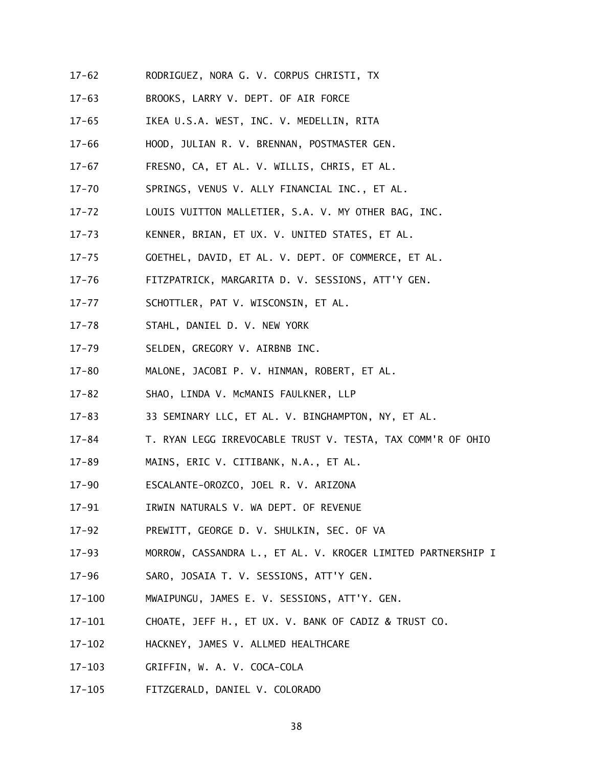- $17 62$ 17-62 RODRIGUEZ, NORA G. V. CORPUS CHRISTI, TX
- $17 63$ BROOKS, LARRY V. DEPT. OF AIR FORCE
- $17 65$ IKEA U.S.A. WEST, INC. V. MEDELLIN, RITA
- $17 66$ HOOD, JULIAN R. V. BRENNAN, POSTMASTER GEN.
- $17 67$ FRESNO, CA, ET AL. V. WILLIS, CHRIS, ET AL.
- $17 70$ SPRINGS, VENUS V. ALLY FINANCIAL INC., ET AL.
- $17 72$ LOUIS VUITTON MALLETIER, S.A. V. MY OTHER BAG, INC.
- $17 73$ KENNER, BRIAN, ET UX. V. UNITED STATES, ET AL.
- $17 75$ 17-75 GOETHEL, DAVID, ET AL. V. DEPT. OF COMMERCE, ET AL.
- $17 76$ FITZPATRICK, MARGARITA D. V. SESSIONS, ATT'Y GEN.
- $17 77$ SCHOTTLER, PAT V. WISCONSIN, ET AL.
- $17 78$ STAHL, DANIEL D. V. NEW YORK
- $17 79$ SELDEN, GREGORY V. AIRBNB INC.
- $17 80$ MALONE, JACOBI P. V. HINMAN, ROBERT, ET AL.
- $17 82$ SHAO, LINDA V. MCMANIS FAULKNER, LLP
- $17 83$ 33 SEMINARY LLC, ET AL. V. BINGHAMPTON, NY, ET AL.
- $17 84$ T. RYAN LEGG IRREVOCABLE TRUST V. TESTA, TAX COMM'R OF OHIO
- $17 89$ MAINS, ERIC V. CITIBANK, N.A., ET AL.
- $17 90$ 17-90 ESCALANTE-OROZCO, JOEL R. V. ARIZONA
- $17 91$ 17-91 IRWIN NATURALS V. WA DEPT. OF REVENUE
- $17 92$ PREWITT, GEORGE D. V. SHULKIN, SEC. OF VA
- $17 93$ MORROW, CASSANDRA L., ET AL. V. KROGER LIMITED PARTNERSHIP I
- $17 96$ SARO, JOSAIA T. V. SESSIONS, ATT'Y GEN.
- $17 100$ MWAIPUNGU, JAMES E. V. SESSIONS, ATT'Y. GEN.
- $17 101$ CHOATE, JEFF H., ET UX. V. BANK OF CADIZ & TRUST CO.
- $17 102$ HACKNEY, JAMES V. ALLMED HEALTHCARE
- $17 103$ GRIFFIN, W. A. V. COCA-COLA
- $17 105$ 17-105 FITZGERALD, DANIEL V. COLORADO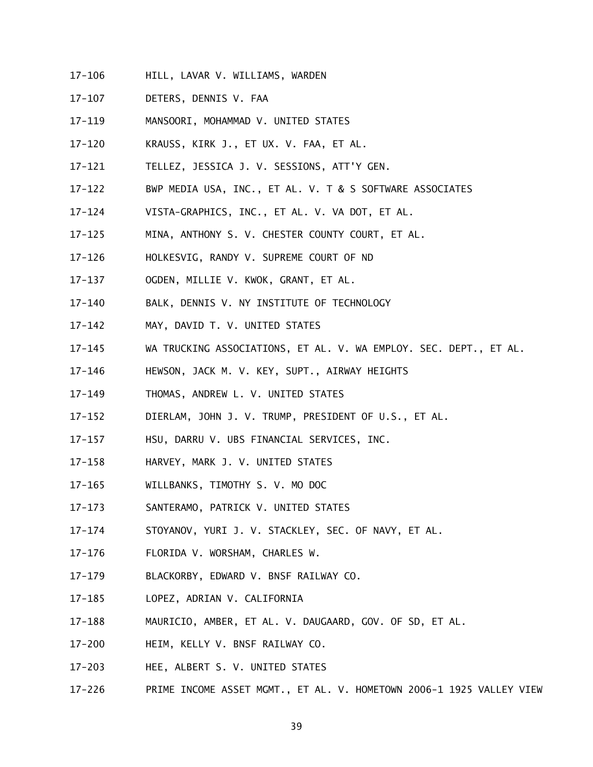- $17 106$ HILL, LAVAR V. WILLIAMS, WARDEN
- $17 107$ DETERS, DENNIS V. FAA
- $17 119$ MANSOORI, MOHAMMAD V. UNITED STATES
- $17 120$ KRAUSS, KIRK J., ET UX. V. FAA, ET AL.
- $17 121$ 17-121 TELLEZ, JESSICA J. V. SESSIONS, ATT'Y GEN.
- $17 122$ BWP MEDIA USA, INC., ET AL. V. T & S SOFTWARE ASSOCIATES
- $17 124$ VISTA-GRAPHICS, INC., ET AL. V. VA DOT, ET AL.
- $17 125$ MINA, ANTHONY S. V. CHESTER COUNTY COURT, ET AL.
- $17 126$ 17-126 HOLKESVIG, RANDY V. SUPREME COURT OF ND
- $17 137$ OGDEN, MILLIE V. KWOK, GRANT, ET AL.
- $17 140$ BALK, DENNIS V. NY INSTITUTE OF TECHNOLOGY
- $17 142$ MAY, DAVID T. V. UNITED STATES
- $17 145$ WA TRUCKING ASSOCIATIONS, ET AL. V. WA EMPLOY. SEC. DEPT., ET AL.
- $17 146$ HEWSON, JACK M. V. KEY, SUPT., AIRWAY HEIGHTS
- $17 149$ THOMAS, ANDREW L. V. UNITED STATES
- $17 152$ DIERLAM, JOHN J. V. TRUMP, PRESIDENT OF U.S., ET AL.
- $17 157$ HSU, DARRU V. UBS FINANCIAL SERVICES, INC.
- $17 158$ HARVEY, MARK J. V. UNITED STATES
- $17 165$ WILLBANKS, TIMOTHY S. V. MO DOC
- $17 173$ SANTERAMO, PATRICK V. UNITED STATES
- $17 174$ STOYANOV, YURI J. V. STACKLEY, SEC. OF NAVY, ET AL.
- $17 176$ FLORIDA V. WORSHAM, CHARLES W.
- $17 179$ 17-179 BLACKORBY, EDWARD V. BNSF RAILWAY CO.
- $17 185$ LOPEZ, ADRIAN V. CALIFORNIA
- $17 188$ MAURICIO, AMBER, ET AL. V. DAUGAARD, GOV. OF SD, ET AL.
- $17 200$ HEIM, KELLY V. BNSF RAILWAY CO.
- $17 203$ HEE, ALBERT S. V. UNITED STATES
- $17 226$ PRIME INCOME ASSET MGMT., ET AL. V. HOMETOWN 2006-1 1925 VALLEY VIEW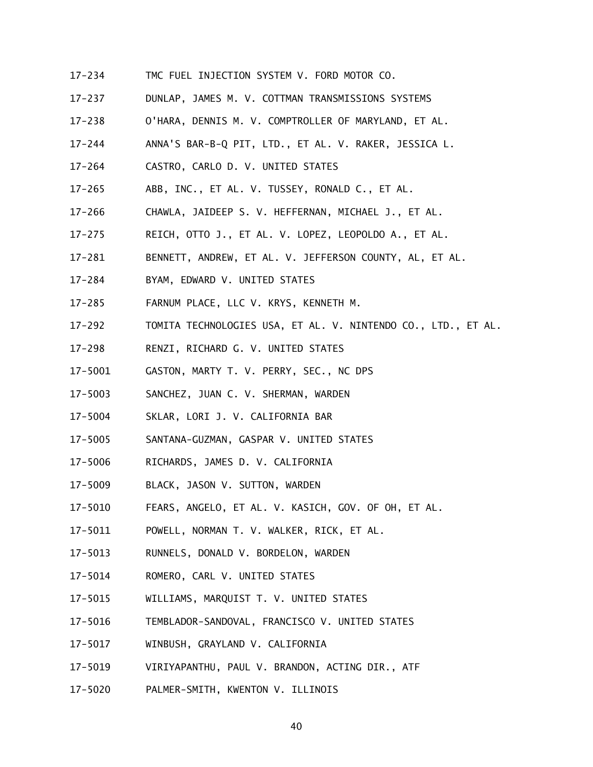- $17 234$ TMC FUEL INJECTION SYSTEM V. FORD MOTOR CO.
- $17 237$ DUNLAP, JAMES M. V. COTTMAN TRANSMISSIONS SYSTEMS
- $17 238$ O'HARA, DENNIS M. V. COMPTROLLER OF MARYLAND, ET AL.
- $17 244$ ANNA'S BAR-B-Q PIT, LTD., ET AL. V. RAKER, JESSICA L.
- $17 264$ CASTRO, CARLO D. V. UNITED STATES
- $17 265$ ABB, INC., ET AL. V. TUSSEY, RONALD C., ET AL.
- $17 266$ CHAWLA, JAIDEEP S. V. HEFFERNAN, MICHAEL J., ET AL.
- $17 275$ REICH, OTTO J., ET AL. V. LOPEZ, LEOPOLDO A., ET AL.
- $17 281$ BENNETT, ANDREW, ET AL. V. JEFFERSON COUNTY, AL, ET AL.
- $17 284$ BYAM, EDWARD V. UNITED STATES
- $17 285$ FARNUM PLACE, LLC V. KRYS, KENNETH M.
- $17 292$ TOMITA TECHNOLOGIES USA, ET AL. V. NINTENDO CO., LTD., ET AL.
- $17 298$ RENZI, RICHARD G. V. UNITED STATES
- 17-5001 GASTON, MARTY T. V. PERRY, SEC., NC DPS
- 17-5003 SANCHEZ, JUAN C. V. SHERMAN, WARDEN
- 17-5004 SKLAR, LORI J. V. CALIFORNIA BAR
- 17-5005 SANTANA-GUZMAN, GASPAR V. UNITED STATES
- 17-5006 RICHARDS, JAMES D. V. CALIFORNIA
- 17-5009 BLACK, JASON V. SUTTON, WARDEN
- 17-5010 FEARS, ANGELO, ET AL. V. KASICH, GOV. OF OH, ET AL.
- 17-5011 POWELL, NORMAN T. V. WALKER, RICK, ET AL.
- 17-5013 RUNNELS, DONALD V. BORDELON, WARDEN
- 17-5014 ROMERO, CARL V. UNITED STATES
- 17-5015 WILLIAMS, MARQUIST T. V. UNITED STATES
- 17-5016 TEMBLADOR-SANDOVAL, FRANCISCO V. UNITED STATES
- 17-5017 WINBUSH, GRAYLAND V. CALIFORNIA
- 17-5019 VIRIYAPANTHU, PAUL V. BRANDON, ACTING DIR., ATF
- 17-5020 PALMER-SMITH, KWENTON V. ILLINOIS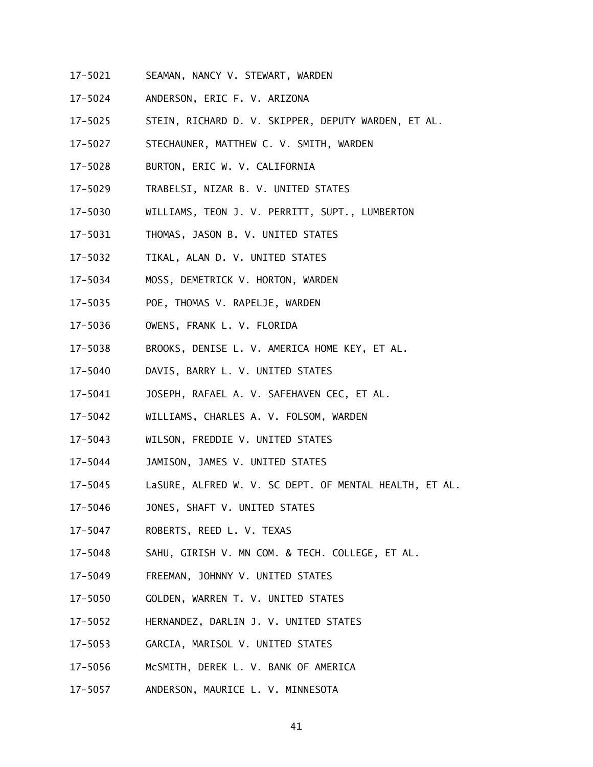- 17-5021 SEAMAN, NANCY V. STEWART, WARDEN
- 17-5024 ANDERSON, ERIC F. V. ARIZONA
- 17-5025 STEIN, RICHARD D. V. SKIPPER, DEPUTY WARDEN, ET AL.
- 17-5027 STECHAUNER, MATTHEW C. V. SMITH, WARDEN
- 17-5028 BURTON, ERIC W. V. CALIFORNIA
- 17-5029 TRABELSI, NIZAR B. V. UNITED STATES
- 17-5030 WILLIAMS, TEON J. V. PERRITT, SUPT., LUMBERTON
- 17-5031 THOMAS, JASON B. V. UNITED STATES
- 17-5032 TIKAL, ALAN D. V. UNITED STATES
- 17-5034 17-5034 MOSS, DEMETRICK V. HORTON, WARDEN
- 17-5035 POE, THOMAS V. RAPELJE, WARDEN
- 17-5036 OWENS, FRANK L. V. FLORIDA
- 17-5038 BROOKS, DENISE L. V. AMERICA HOME KEY, ET AL.
- 17-5040 DAVIS, BARRY L. V. UNITED STATES
- 17-5041 JOSEPH, RAFAEL A. V. SAFEHAVEN CEC, ET AL.
- 17-5042 WILLIAMS, CHARLES A. V. FOLSOM, WARDEN
- 17-5043 WILSON, FREDDIE V. UNITED STATES
- 17-5044 JAMISON, JAMES V. UNITED STATES
- 17-5045 LaSURE, ALFRED W. V. SC DEPT. OF MENTAL HEALTH, ET AL.
- 17-5046 JONES, SHAFT V. UNITED STATES
- 17-5047 ROBERTS, REED L. V. TEXAS
- 17-5048 SAHU, GIRISH V. MN COM. & TECH. COLLEGE, ET AL.
- 17-5049 FREEMAN, JOHNNY V. UNITED STATES
- 17-5050 GOLDEN, WARREN T. V. UNITED STATES
- 17-5052 HERNANDEZ, DARLIN J. V. UNITED STATES
- 17-5053 GARCIA, MARISOL V. UNITED STATES
- 17-5056 McSMITH, DEREK L. V. BANK OF AMERICA
- 17-5057 ANDERSON, MAURICE L. V. MINNESOTA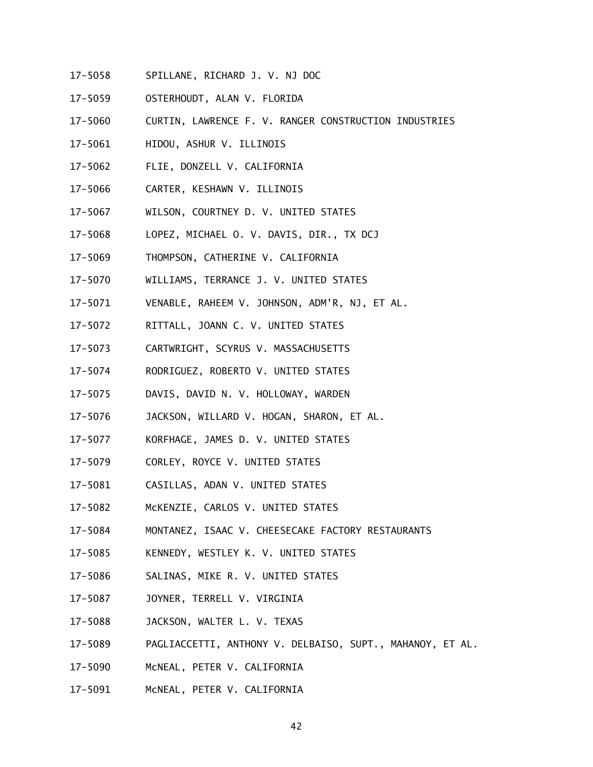- 17-5058 SPILLANE, RICHARD J. V. NJ DOC
- 17-5059 OSTERHOUDT, ALAN V. FLORIDA
- 17-5060 CURTIN, LAWRENCE F. V. RANGER CONSTRUCTION INDUSTRIES
- 17-5061 HIDOU, ASHUR V. ILLINOIS
- 17-5062 FLIE, DONZELL V. CALIFORNIA
- 17-5066 CARTER, KESHAWN V. ILLINOIS
- 17-5067 WILSON, COURTNEY D. V. UNITED STATES
- 17-5068 LOPEZ, MICHAEL O. V. DAVIS, DIR., TX DCJ
- 17-5069 THOMPSON, CATHERINE V. CALIFORNIA
- 17-5070 WILLIAMS, TERRANCE J. V. UNITED STATES
- 17-5071 VENABLE, RAHEEM V. JOHNSON, ADM'R, NJ, ET AL.
- 17-5072 RITTALL, JOANN C. V. UNITED STATES
- 17-5073 CARTWRIGHT, SCYRUS V. MASSACHUSETTS
- 17-5074 RODRIGUEZ, ROBERTO V. UNITED STATES
- $17 5075$ DAVIS, DAVID N. V. HOLLOWAY, WARDEN
- 17-5076 JACKSON, WILLARD V. HOGAN, SHARON, ET AL.
- 17-5077 KORFHAGE, JAMES D. V. UNITED STATES
- 17-5079 CORLEY, ROYCE V. UNITED STATES
- 17-5081 CASILLAS, ADAN V. UNITED STATES
- 17-5082 McKENZIE, CARLOS V. UNITED STATES
- 17-5084 MONTANEZ, ISAAC V. CHEESECAKE FACTORY RESTAURANTS
- 17-5085 KENNEDY, WESTLEY K. V. UNITED STATES
- 17-5086 SALINAS, MIKE R. V. UNITED STATES
- $17 5087$ JOYNER, TERRELL V. VIRGINIA
- 17-5088 JACKSON, WALTER L. V. TEXAS
- 17-5089 PAGLIACCETTI, ANTHONY V. DELBAISO, SUPT., MAHANOY, ET AL.
- 17-5090 McNEAL, PETER V. CALIFORNIA
- 17-5091 McNEAL, PETER V. CALIFORNIA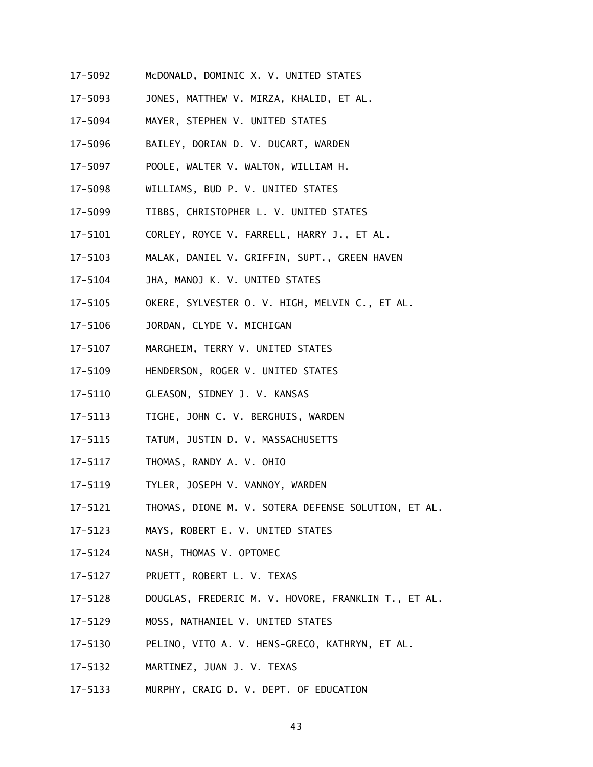- 17-5092 McDONALD, DOMINIC X. V. UNITED STATES
- 17-5093 JONES, MATTHEW V. MIRZA, KHALID, ET AL.
- 17-5094 MAYER, STEPHEN V. UNITED STATES
- 17-5096 BAILEY, DORIAN D. V. DUCART, WARDEN
- 17-5097 POOLE, WALTER V. WALTON, WILLIAM H.
- 17-5098 WILLIAMS, BUD P. V. UNITED STATES
- 17-5099 TIBBS, CHRISTOPHER L. V. UNITED STATES
- 17-5101 CORLEY, ROYCE V. FARRELL, HARRY J., ET AL.
- 17-5103 MALAK, DANIEL V. GRIFFIN, SUPT., GREEN HAVEN
- 17-5104 JHA, MANOJ K. V. UNITED STATES
- 17-5105 OKERE, SYLVESTER O. V. HIGH, MELVIN C., ET AL.
- 17-5106 JORDAN, CLYDE V. MICHIGAN
- 17-5107 MARGHEIM, TERRY V. UNITED STATES
- 17-5109 HENDERSON, ROGER V. UNITED STATES
- 17-5110 GLEASON, SIDNEY J. V. KANSAS
- 17-5113 TIGHE, JOHN C. V. BERGHUIS, WARDEN
- 17-5115 TATUM, JUSTIN D. V. MASSACHUSETTS
- 17-5117 THOMAS, RANDY A. V. OHIO
- 17-5119 TYLER, JOSEPH V. VANNOY, WARDEN
- 17-5121 THOMAS, DIONE M. V. SOTERA DEFENSE SOLUTION, ET AL.
- 17-5123 MAYS, ROBERT E. V. UNITED STATES
- 17-5124 NASH, THOMAS V. OPTOMEC
- 17-5127 PRUETT, ROBERT L. V. TEXAS
- 17-5128 DOUGLAS, FREDERIC M. V. HOVORE, FRANKLIN T., ET AL.
- 17-5129 MOSS, NATHANIEL V. UNITED STATES
- 17-5130 PELINO, VITO A. V. HENS-GRECO, KATHRYN, ET AL.
- 17-5132 MARTINEZ, JUAN J. V. TEXAS
- 17-5133 MURPHY, CRAIG D. V. DEPT. OF EDUCATION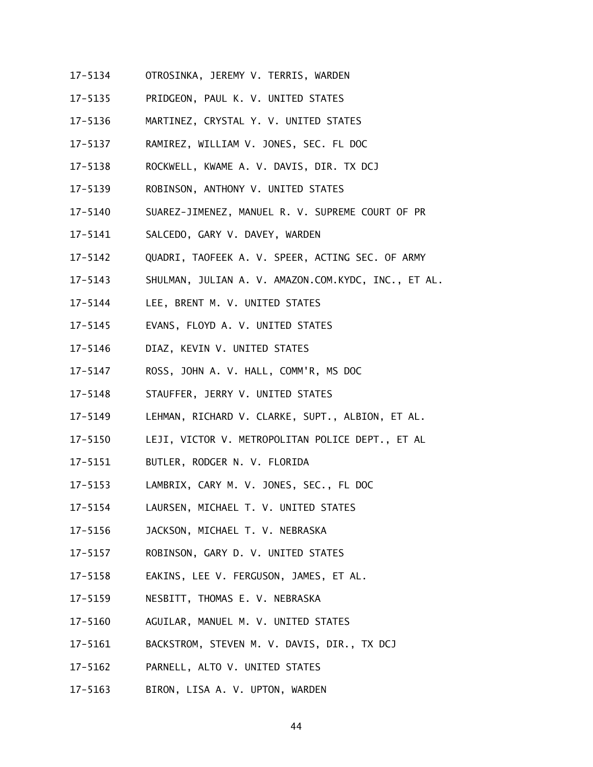- 17-5134 OTROSINKA, JEREMY V. TERRIS, WARDEN
- 17-5135 PRIDGEON, PAUL K. V. UNITED STATES
- 17-5136 MARTINEZ, CRYSTAL Y. V. UNITED STATES
- 17-5137 RAMIREZ, WILLIAM V. JONES, SEC. FL DOC
- 17-5138 ROCKWELL, KWAME A. V. DAVIS, DIR. TX DCJ
- 17-5139 ROBINSON, ANTHONY V. UNITED STATES
- 17-5140 SUAREZ-JIMENEZ, MANUEL R. V. SUPREME COURT OF PR
- 17-5141 SALCEDO, GARY V. DAVEY, WARDEN
- 17-5142 QUADRI, TAOFEEK A. V. SPEER, ACTING SEC. OF ARMY
- 17-5143 SHULMAN, JULIAN A. V. AMAZON.COM.KYDC, INC., ET AL.
- 17-5144 LEE, BRENT M. V. UNITED STATES
- 17-5145 EVANS, FLOYD A. V. UNITED STATES
- 17-5146 DIAZ, KEVIN V. UNITED STATES
- 17-5147 ROSS, JOHN A. V. HALL, COMM'R, MS DOC
- 17-5148 STAUFFER, JERRY V. UNITED STATES
- 17-5149 LEHMAN, RICHARD V. CLARKE, SUPT., ALBION, ET AL.
- 17-5150 LEJI, VICTOR V. METROPOLITAN POLICE DEPT., ET AL
- 17-5151 BUTLER, RODGER N. V. FLORIDA
- 17-5153 LAMBRIX, CARY M. V. JONES, SEC., FL DOC
- 17-5154 LAURSEN, MICHAEL T. V. UNITED STATES
- 17-5156 JACKSON, MICHAEL T. V. NEBRASKA
- 17-5157 ROBINSON, GARY D. V. UNITED STATES
- 17-5158 EAKINS, LEE V. FERGUSON, JAMES, ET AL.
- 17-5159 NESBITT, THOMAS E. V. NEBRASKA
- 17-5160 AGUILAR, MANUEL M. V. UNITED STATES
- 17-5161 BACKSTROM, STEVEN M. V. DAVIS, DIR., TX DCJ
- 17-5162 PARNELL, ALTO V. UNITED STATES
- 17-5163 BIRON, LISA A. V. UPTON, WARDEN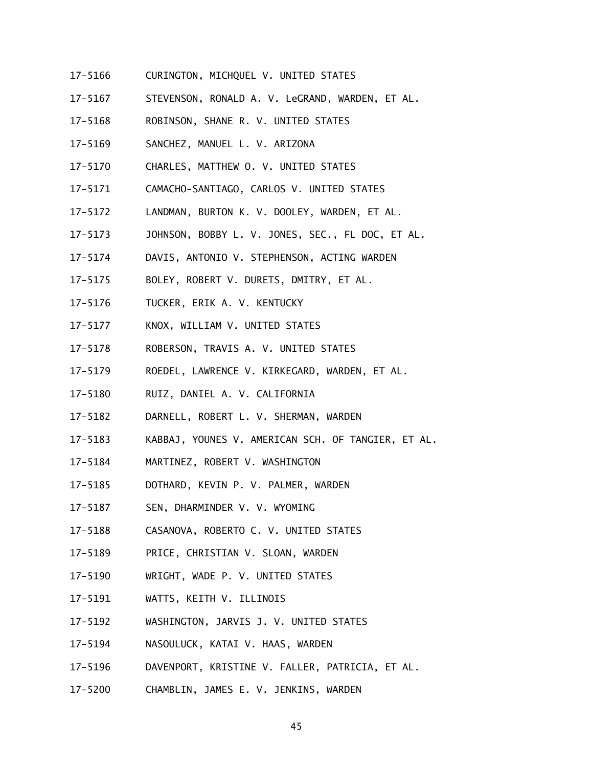- 17-5166 CURINGTON, MICHQUEL V. UNITED STATES
- 17-5167 STEVENSON, RONALD A. V. LeGRAND, WARDEN, ET AL.
- 17-5168 ROBINSON, SHANE R. V. UNITED STATES
- 17-5169 SANCHEZ, MANUEL L. V. ARIZONA
- 17-5170 CHARLES, MATTHEW O. V. UNITED STATES
- 17-5171 CAMACHO-SANTIAGO, CARLOS V. UNITED STATES
- 17-5172 LANDMAN, BURTON K. V. DOOLEY, WARDEN, ET AL.
- 17-5173 JOHNSON, BOBBY L. V. JONES, SEC., FL DOC, ET AL.
- 17-5174 DAVIS, ANTONIO V. STEPHENSON, ACTING WARDEN
- 17-5175 BOLEY, ROBERT V. DURETS, DMITRY, ET AL.
- 17-5176 TUCKER, ERIK A. V. KENTUCKY
- 17-5177 KNOX, WILLIAM V. UNITED STATES
- 17-5178 ROBERSON, TRAVIS A. V. UNITED STATES
- 17-5179 ROEDEL, LAWRENCE V. KIRKEGARD, WARDEN, ET AL.
- 17-5180 RUIZ, DANIEL A. V. CALIFORNIA
- 17-5182 DARNELL, ROBERT L. V. SHERMAN, WARDEN
- 17-5183 KABBAJ, YOUNES V. AMERICAN SCH. OF TANGIER, ET AL.
- 17-5184 MARTINEZ, ROBERT V. WASHINGTON
- 17-5185 DOTHARD, KEVIN P. V. PALMER, WARDEN
- 17-5187 SEN, DHARMINDER V. V. WYOMING
- 17-5188 CASANOVA, ROBERTO C. V. UNITED STATES
- 17-5189 PRICE, CHRISTIAN V. SLOAN, WARDEN
- 17-5190 WRIGHT, WADE P. V. UNITED STATES
- 17-5191 WATTS, KEITH V. ILLINOIS
- 17-5192 WASHINGTON, JARVIS J. V. UNITED STATES
- 17-5194 NASOULUCK, KATAI V. HAAS, WARDEN
- 17-5196 DAVENPORT, KRISTINE V. FALLER, PATRICIA, ET AL.
- 17-5200 CHAMBLIN, JAMES E. V. JENKINS, WARDEN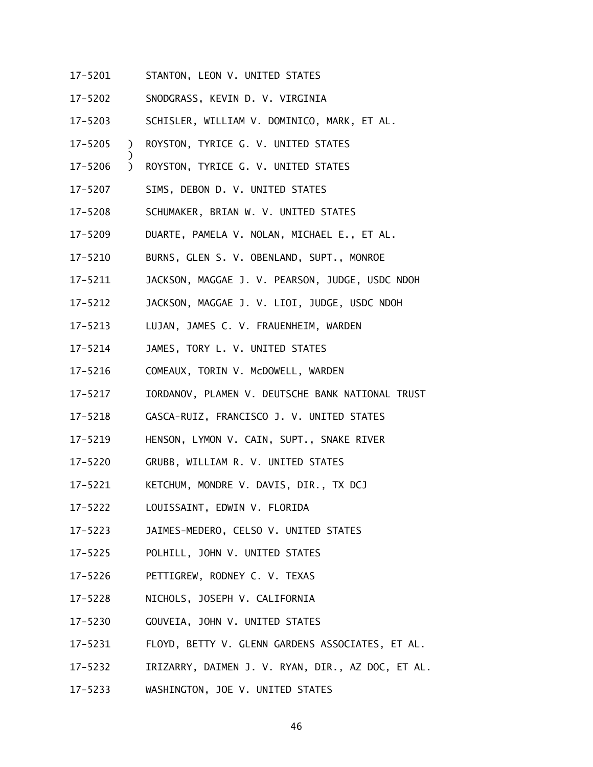- 17-5201 STANTON, LEON V. UNITED STATES
- 17-5202 SNODGRASS, KEVIN D. V. VIRGINIA
- 17-5203 SCHISLER, WILLIAM V. DOMINICO, MARK, ET AL.
- 17-5205 ) ROYSTON, TYRICE G. V. UNITED STATES
- 17-5206 ) ROYSTON, TYRICE G. V. UNITED STATES
- $17 5207$ SIMS, DEBON D. V. UNITED STATES

)

- 17-5208 SCHUMAKER, BRIAN W. V. UNITED STATES
- 17-5209 DUARTE, PAMELA V. NOLAN, MICHAEL E., ET AL.
- 17-5210 BURNS, GLEN S. V. OBENLAND, SUPT., MONROE
- 17-5211 JACKSON, MAGGAE J. V. PEARSON, JUDGE, USDC NDOH
- 17-5212 JACKSON, MAGGAE J. V. LIOI, JUDGE, USDC NDOH
- 17-5213 LUJAN, JAMES C. V. FRAUENHEIM, WARDEN
- 17-5214 JAMES, TORY L. V. UNITED STATES
- 17-5216 COMEAUX, TORIN V. McDOWELL, WARDEN
- $17 5217$ 17-5217 IORDANOV, PLAMEN V. DEUTSCHE BANK NATIONAL TRUST
- 17-5218 GASCA-RUIZ, FRANCISCO J. V. UNITED STATES
- 17-5219 HENSON, LYMON V. CAIN, SUPT., SNAKE RIVER
- 17-5220 GRUBB, WILLIAM R. V. UNITED STATES
- 17-5221 KETCHUM, MONDRE V. DAVIS, DIR., TX DCJ
- 17-5222 LOUISSAINT, EDWIN V. FLORIDA
- 17-5223 JAIMES-MEDERO, CELSO V. UNITED STATES
- 17-5225 POLHILL, JOHN V. UNITED STATES
- 17-5226 PETTIGREW, RODNEY C. V. TEXAS
- 17-5228 NICHOLS, JOSEPH V. CALIFORNIA
- 17-5230 GOUVEIA, JOHN V. UNITED STATES
- 17-5231 FLOYD, BETTY V. GLENN GARDENS ASSOCIATES, ET AL.
- 17-5232 IRIZARRY, DAIMEN J. V. RYAN, DIR., AZ DOC, ET AL.
- 17-5233 WASHINGTON, JOE V. UNITED STATES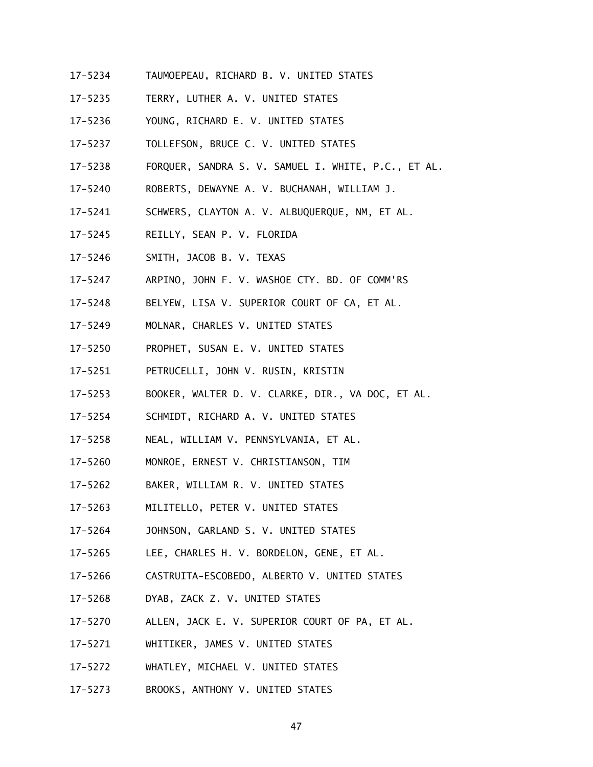- 17-5234 TAUMOEPEAU, RICHARD B. V. UNITED STATES
- $17 5235$ TERRY, LUTHER A. V. UNITED STATES
- 17-5236 YOUNG, RICHARD E. V. UNITED STATES
- 17-5237 TOLLEFSON, BRUCE C. V. UNITED STATES
- 17-5238 FORQUER, SANDRA S. V. SAMUEL I. WHITE, P.C., ET AL.
- 17-5240 ROBERTS, DEWAYNE A. V. BUCHANAH, WILLIAM J.
- 17-5241 SCHWERS, CLAYTON A. V. ALBUQUERQUE, NM, ET AL.
- 17-5245 REILLY, SEAN P. V. FLORIDA
- 17-5246 SMITH, JACOB B. V. TEXAS
- 17-5247 ARPINO, JOHN F. V. WASHOE CTY. BD. OF COMM'RS
- 17-5248 BELYEW, LISA V. SUPERIOR COURT OF CA, ET AL.
- 17-5249 MOLNAR, CHARLES V. UNITED STATES
- 17-5250 PROPHET, SUSAN E. V. UNITED STATES
- 17-5251 PETRUCELLI, JOHN V. RUSIN, KRISTIN
- 17-5253 BOOKER, WALTER D. V. CLARKE, DIR., VA DOC, ET AL.
- 17-5254 SCHMIDT, RICHARD A. V. UNITED STATES
- 17-5258 NEAL, WILLIAM V. PENNSYLVANIA, ET AL.
- 17-5260 MONROE, ERNEST V. CHRISTIANSON, TIM
- 17-5262 BAKER, WILLIAM R. V. UNITED STATES
- 17-5263 MILITELLO, PETER V. UNITED STATES
- 17-5264 JOHNSON, GARLAND S. V. UNITED STATES
- 17-5265 LEE, CHARLES H. V. BORDELON, GENE, ET AL.
- 17-5266 CASTRUITA-ESCOBEDO, ALBERTO V. UNITED STATES
- 17-5268 DYAB, ZACK Z. V. UNITED STATES
- 17-5270 ALLEN, JACK E. V. SUPERIOR COURT OF PA, ET AL.
- 17-5271 WHITIKER, JAMES V. UNITED STATES
- 17-5272 WHATLEY, MICHAEL V. UNITED STATES
- $17 5273$ BROOKS, ANTHONY V. UNITED STATES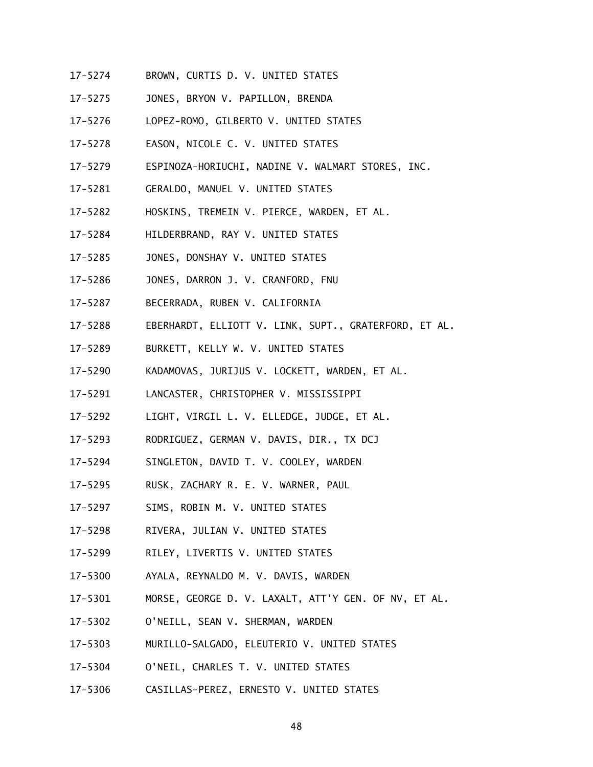- 17-5274 BROWN, CURTIS D. V. UNITED STATES
- $17 5275$ JONES, BRYON V. PAPILLON, BRENDA
- 17-5276 LOPEZ-ROMO, GILBERTO V. UNITED STATES
- $17 5278$ EASON, NICOLE C. V. UNITED STATES
- 17-5279 ESPINOZA-HORIUCHI, NADINE V. WALMART STORES, INC.
- 17-5281 GERALDO, MANUEL V. UNITED STATES
- 17-5282 HOSKINS, TREMEIN V. PIERCE, WARDEN, ET AL.
- 17-5284 HILDERBRAND, RAY V. UNITED STATES
- 17-5285 JONES, DONSHAY V. UNITED STATES
- 17-5286 JONES, DARRON J. V. CRANFORD, FNU
- 17-5287 BECERRADA, RUBEN V. CALIFORNIA
- 17-5288 EBERHARDT, ELLIOTT V. LINK, SUPT., GRATERFORD, ET AL.
- 17-5289 BURKETT, KELLY W. V. UNITED STATES
- 17-5290 KADAMOVAS, JURIJUS V. LOCKETT, WARDEN, ET AL.
- 17-5291 LANCASTER, CHRISTOPHER V. MISSISSIPPI
- 17-5292 LIGHT, VIRGIL L. V. ELLEDGE, JUDGE, ET AL.
- 17-5293 RODRIGUEZ, GERMAN V. DAVIS, DIR., TX DCJ
- 17-5294 SINGLETON, DAVID T. V. COOLEY, WARDEN
- 17-5295 RUSK, ZACHARY R. E. V. WARNER, PAUL
- 17-5297 SIMS, ROBIN M. V. UNITED STATES
- 17-5298 RIVERA, JULIAN V. UNITED STATES
- 17-5299 RILEY, LIVERTIS V. UNITED STATES
- 17-5300 AYALA, REYNALDO M. V. DAVIS, WARDEN
- $17 5301$ MORSE, GEORGE D. V. LAXALT, ATT'Y GEN. OF NV, ET AL.
- 17-5302 O'NEILL, SEAN V. SHERMAN, WARDEN
- 17-5303 MURILLO-SALGADO, ELEUTERIO V. UNITED STATES
- 17-5304 O'NEIL, CHARLES T. V. UNITED STATES
- 17-5306 17-5306 CASILLAS-PEREZ, ERNESTO V. UNITED STATES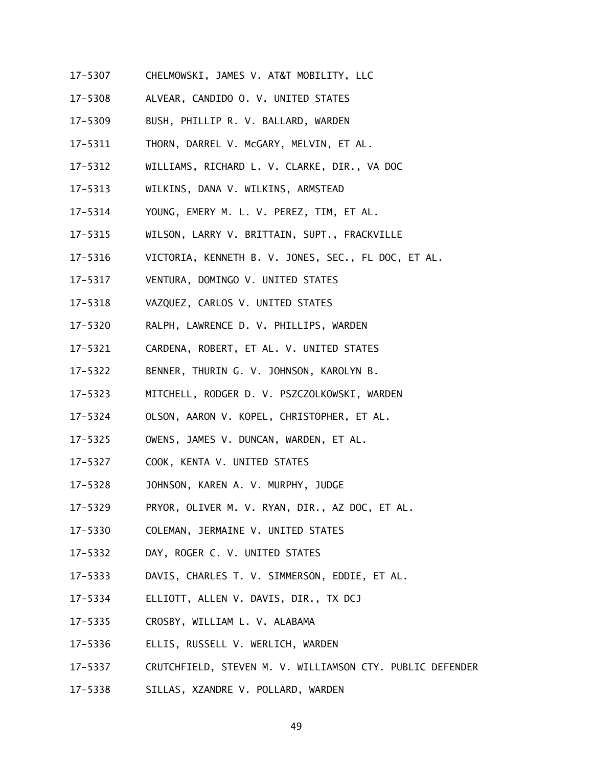- 17-5307 CHELMOWSKI, JAMES V. AT&T MOBILITY, LLC
- 17-5308 ALVEAR, CANDIDO O. V. UNITED STATES
- 17-5309 BUSH, PHILLIP R. V. BALLARD, WARDEN
- 17-5311 THORN, DARREL V. McGARY, MELVIN, ET AL.
- 17-5312 WILLIAMS, RICHARD L. V. CLARKE, DIR., VA DOC
- 17-5313 WILKINS, DANA V. WILKINS, ARMSTEAD
- 17-5314 YOUNG, EMERY M. L. V. PEREZ, TIM, ET AL.
- 17-5315 WILSON, LARRY V. BRITTAIN, SUPT., FRACKVILLE
- 17-5316 VICTORIA, KENNETH B. V. JONES, SEC., FL DOC, ET AL.
- 17-5317 VENTURA, DOMINGO V. UNITED STATES
- 17-5318 VAZQUEZ, CARLOS V. UNITED STATES
- 17-5320 RALPH, LAWRENCE D. V. PHILLIPS, WARDEN
- 17-5321 CARDENA, ROBERT, ET AL. V. UNITED STATES
- 17-5322 BENNER, THURIN G. V. JOHNSON, KAROLYN B.
- 17-5323 MITCHELL, RODGER D. V. PSZCZOLKOWSKI, WARDEN
- 17-5324 OLSON, AARON V. KOPEL, CHRISTOPHER, ET AL.
- 17-5325 OWENS, JAMES V. DUNCAN, WARDEN, ET AL.
- 17-5327 COOK, KENTA V. UNITED STATES
- 17-5328 JOHNSON, KAREN A. V. MURPHY, JUDGE
- 17-5329 PRYOR, OLIVER M. V. RYAN, DIR., AZ DOC, ET AL.
- 17-5330 COLEMAN, JERMAINE V. UNITED STATES
- 17-5332 DAY, ROGER C. V. UNITED STATES
- 17-5333 DAVIS, CHARLES T. V. SIMMERSON, EDDIE, ET AL.
- 17-5334 ELLIOTT, ALLEN V. DAVIS, DIR., TX DCJ
- 17-5335 CROSBY, WILLIAM L. V. ALABAMA
- 17-5336 ELLIS, RUSSELL V. WERLICH, WARDEN
- 17-5337 CRUTCHFIELD, STEVEN M. V. WILLIAMSON CTY. PUBLIC DEFENDER
- 17-5338 SILLAS, XZANDRE V. POLLARD, WARDEN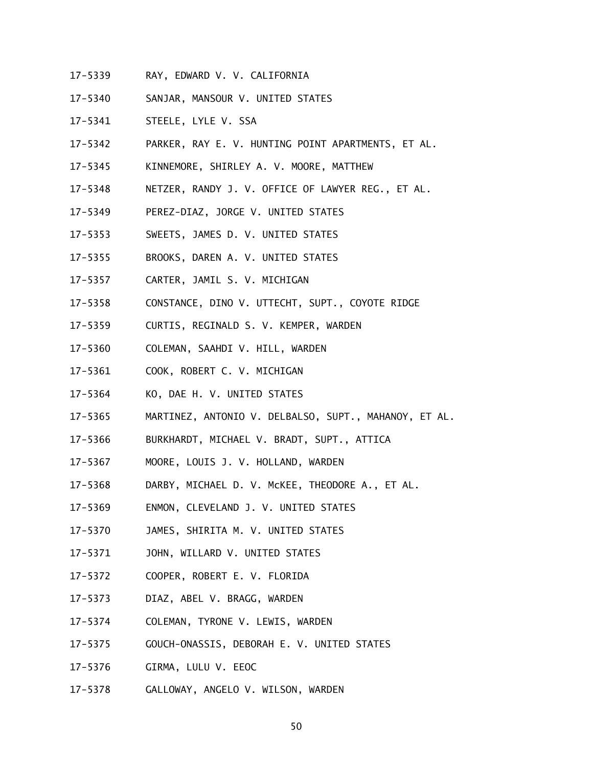- 17-5339 RAY, EDWARD V. V. CALIFORNIA
- 17-5340 SANJAR, MANSOUR V. UNITED STATES
- 17-5341 STEELE, LYLE V. SSA
- 17-5342 PARKER, RAY E. V. HUNTING POINT APARTMENTS, ET AL.
- 17-5345 KINNEMORE, SHIRLEY A. V. MOORE, MATTHEW
- 17-5348 NETZER, RANDY J. V. OFFICE OF LAWYER REG., ET AL.
- 17-5349 PEREZ-DIAZ, JORGE V. UNITED STATES
- 17-5353 SWEETS, JAMES D. V. UNITED STATES
- 17-5355 BROOKS, DAREN A. V. UNITED STATES
- 17-5357 CARTER, JAMIL S. V. MICHIGAN
- 17-5358 CONSTANCE, DINO V. UTTECHT, SUPT., COYOTE RIDGE
- 17-5359 CURTIS, REGINALD S. V. KEMPER, WARDEN
- 17-5360 COLEMAN, SAAHDI V. HILL, WARDEN
- 17-5361 COOK, ROBERT C. V. MICHIGAN
- 17-5364 KO, DAE H. V. UNITED STATES
- 17-5365 MARTINEZ, ANTONIO V. DELBALSO, SUPT., MAHANOY, ET AL.
- 17-5366 BURKHARDT, MICHAEL V. BRADT, SUPT., ATTICA
- 17-5367 MOORE, LOUIS J. V. HOLLAND, WARDEN
- 17-5368 DARBY, MICHAEL D. V. McKEE, THEODORE A., ET AL.
- 17-5369 ENMON, CLEVELAND J. V. UNITED STATES
- 17-5370 JAMES, SHIRITA M. V. UNITED STATES
- 17-5371 JOHN, WILLARD V. UNITED STATES
- 17-5372 COOPER, ROBERT E. V. FLORIDA
- 17-5373 DIAZ, ABEL V. BRAGG, WARDEN
- 17-5374 COLEMAN, TYRONE V. LEWIS, WARDEN
- 17-5375 GOUCH-ONASSIS, DEBORAH E. V. UNITED STATES
- 17-5376 GIRMA, LULU V. EEOC
- 17-5378 GALLOWAY, ANGELO V. WILSON, WARDEN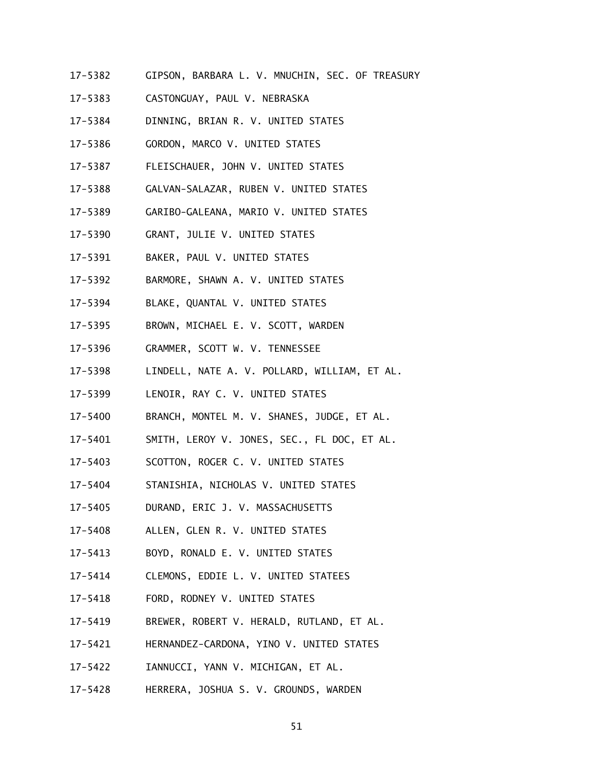- 17-5382 GIPSON, BARBARA L. V. MNUCHIN, SEC. OF TREASURY
- 17-5383 CASTONGUAY, PAUL V. NEBRASKA
- 17-5384 DINNING, BRIAN R. V. UNITED STATES
- 17-5386 GORDON, MARCO V. UNITED STATES
- 17-5387 FLEISCHAUER, JOHN V. UNITED STATES
- 17-5388 GALVAN-SALAZAR, RUBEN V. UNITED STATES
- 17-5389 GARIBO-GALEANA, MARIO V. UNITED STATES
- 17-5390 GRANT, JULIE V. UNITED STATES
- 17-5391 BAKER, PAUL V. UNITED STATES
- 17-5392 BARMORE, SHAWN A. V. UNITED STATES
- 17-5394 BLAKE, QUANTAL V. UNITED STATES
- 17-5395 BROWN, MICHAEL E. V. SCOTT, WARDEN
- 17-5396 GRAMMER, SCOTT W. V. TENNESSEE
- 17-5398 LINDELL, NATE A. V. POLLARD, WILLIAM, ET AL.
- 17-5399 LENOIR, RAY C. V. UNITED STATES
- 17-5400 BRANCH, MONTEL M. V. SHANES, JUDGE, ET AL.
- 17-5401 SMITH, LEROY V. JONES, SEC., FL DOC, ET AL.
- 17-5403 SCOTTON, ROGER C. V. UNITED STATES
- 17-5404 STANISHIA, NICHOLAS V. UNITED STATES
- 17-5405 DURAND, ERIC J. V. MASSACHUSETTS
- 17-5408 ALLEN, GLEN R. V. UNITED STATES
- 17-5413 BOYD, RONALD E. V. UNITED STATES
- 17-5414 CLEMONS, EDDIE L. V. UNITED STATEES
- 17-5418 FORD, RODNEY V. UNITED STATES
- 17-5419 BREWER, ROBERT V. HERALD, RUTLAND, ET AL.
- 17-5421 HERNANDEZ-CARDONA, YINO V. UNITED STATES
- 17-5422 IANNUCCI, YANN V. MICHIGAN, ET AL.
- $17 5428$ 17-5428 HERRERA, JOSHUA S. V. GROUNDS, WARDEN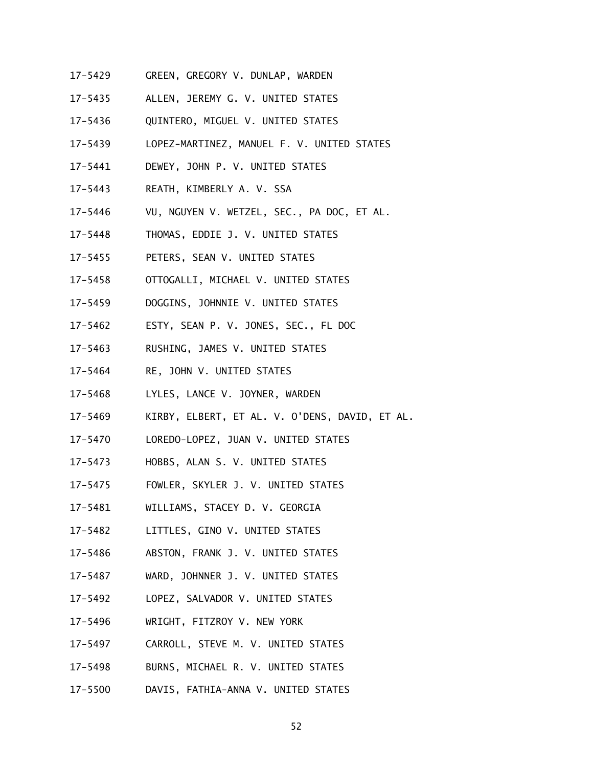- 17-5429 GREEN, GREGORY V. DUNLAP, WARDEN
- $17 5435$ ALLEN, JEREMY G. V. UNITED STATES
- 17-5436 QUINTERO, MIGUEL V. UNITED STATES
- 17-5439 LOPEZ-MARTINEZ, MANUEL F. V. UNITED STATES
- 17-5441 DEWEY, JOHN P. V. UNITED STATES
- $17 5443$ REATH, KIMBERLY A. V. SSA
- 17-5446 VU, NGUYEN V. WETZEL, SEC., PA DOC, ET AL.
- 17-5448 THOMAS, EDDIE J. V. UNITED STATES
- 17-5455 PETERS, SEAN V. UNITED STATES
- 17-5458 OTTOGALLI, MICHAEL V. UNITED STATES
- 17-5459 DOGGINS, JOHNNIE V. UNITED STATES
- 17-5462 ESTY, SEAN P. V. JONES, SEC., FL DOC
- 17-5463 RUSHING, JAMES V. UNITED STATES
- 17-5464 RE, JOHN V. UNITED STATES
- 17-5468 LYLES, LANCE V. JOYNER, WARDEN
- 17-5469 KIRBY, ELBERT, ET AL. V. O'DENS, DAVID, ET AL.
- 17-5470 LOREDO-LOPEZ, JUAN V. UNITED STATES
- 17-5473 HOBBS, ALAN S. V. UNITED STATES
- 17-5475 FOWLER, SKYLER J. V. UNITED STATES
- 17-5481 WILLIAMS, STACEY D. V. GEORGIA
- 17-5482 LITTLES, GINO V. UNITED STATES
- 17-5486 ABSTON, FRANK J. V. UNITED STATES
- 17-5487 WARD, JOHNNER J. V. UNITED STATES
- $17 5492$ LOPEZ, SALVADOR V. UNITED STATES
- 17-5496 WRIGHT, FITZROY V. NEW YORK
- 17-5497 CARROLL, STEVE M. V. UNITED STATES
- 17-5498 BURNS, MICHAEL R. V. UNITED STATES
- 17-5500 DAVIS, FATHIA-ANNA V. UNITED STATES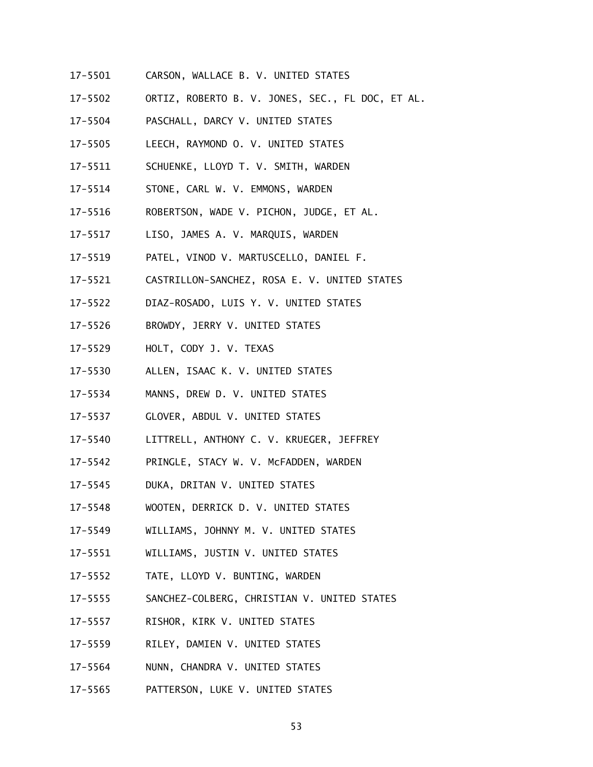- 17-5501 CARSON, WALLACE B. V. UNITED STATES
- 17-5502 ORTIZ, ROBERTO B. V. JONES, SEC., FL DOC, ET AL.
- 17-5504 PASCHALL, DARCY V. UNITED STATES
- 17-5505 LEECH, RAYMOND O. V. UNITED STATES
- 17-5511 SCHUENKE, LLOYD T. V. SMITH, WARDEN
- 17-5514 STONE, CARL W. V. EMMONS, WARDEN
- 17-5516 ROBERTSON, WADE V. PICHON, JUDGE, ET AL.
- 17-5517 LISO, JAMES A. V. MARQUIS, WARDEN
- 17-5519 PATEL, VINOD V. MARTUSCELLO, DANIEL F.
- 17-5521 CASTRILLON-SANCHEZ, ROSA E. V. UNITED STATES
- 17-5522 17-5522 DIAZ-ROSADO, LUIS Y. V. UNITED STATES
- 17-5526 BROWDY, JERRY V. UNITED STATES
- 17-5529 HOLT, CODY J. V. TEXAS
- $17 5530$ ALLEN, ISAAC K. V. UNITED STATES
- 17-5534 MANNS, DREW D. V. UNITED STATES
- 17-5537 GLOVER, ABDUL V. UNITED STATES
- 17-5540 LITTRELL, ANTHONY C. V. KRUEGER, JEFFREY
- 17-5542 PRINGLE, STACY W. V. McFADDEN, WARDEN
- 17-5545 DUKA, DRITAN V. UNITED STATES
- 17-5548 WOOTEN, DERRICK D. V. UNITED STATES
- 17-5549 WILLIAMS, JOHNNY M. V. UNITED STATES
- 17-5551 WILLIAMS, JUSTIN V. UNITED STATES
- 17-5552 TATE, LLOYD V. BUNTING, WARDEN
- $17 5555$ SANCHEZ-COLBERG, CHRISTIAN V. UNITED STATES
- 17-5557 RISHOR, KIRK V. UNITED STATES
- $17 5559$ RILEY, DAMIEN V. UNITED STATES
- 17-5564 NUNN, CHANDRA V. UNITED STATES
- 17-5565 PATTERSON, LUKE V. UNITED STATES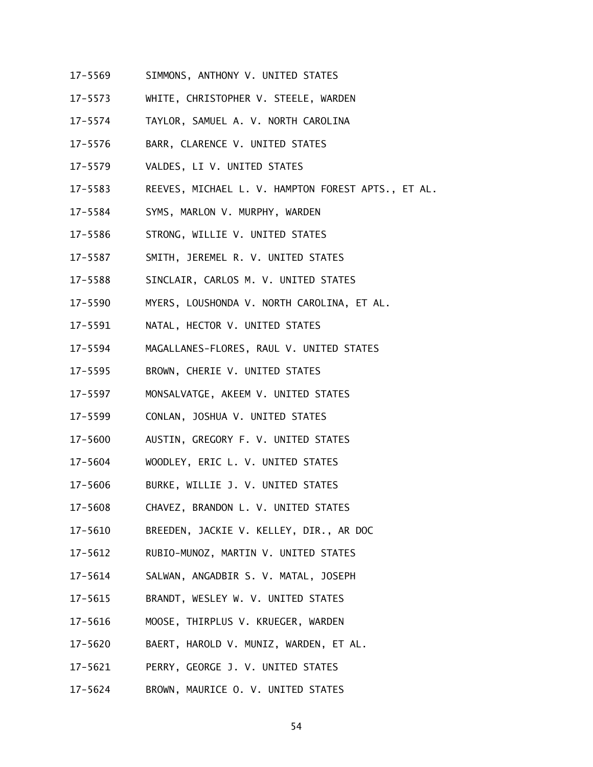- 17-5569 SIMMONS, ANTHONY V. UNITED STATES
- 17-5573 WHITE, CHRISTOPHER V. STEELE, WARDEN
- 17-5574 TAYLOR, SAMUEL A. V. NORTH CAROLINA
- 17-5576 BARR, CLARENCE V. UNITED STATES
- 17-5579 VALDES, LI V. UNITED STATES
- 17-5583 REEVES, MICHAEL L. V. HAMPTON FOREST APTS., ET AL.
- 17-5584 SYMS, MARLON V. MURPHY, WARDEN
- 17-5586 STRONG, WILLIE V. UNITED STATES
- 17-5587 SMITH, JEREMEL R. V. UNITED STATES
- 17-5588 SINCLAIR, CARLOS M. V. UNITED STATES
- 17-5590 MYERS, LOUSHONDA V. NORTH CAROLINA, ET AL.
- $17 5591$ NATAL, HECTOR V. UNITED STATES
- 17-5594 MAGALLANES-FLORES, RAUL V. UNITED STATES
- 17-5595 BROWN, CHERIE V. UNITED STATES
- 17-5597 MONSALVATGE, AKEEM V. UNITED STATES
- 17-5599 CONLAN, JOSHUA V. UNITED STATES
- 17-5600 AUSTIN, GREGORY F. V. UNITED STATES
- 17-5604 WOODLEY, ERIC L. V. UNITED STATES
- 17-5606 BURKE, WILLIE J. V. UNITED STATES
- 17-5608 CHAVEZ, BRANDON L. V. UNITED STATES
- 17-5610 BREEDEN, JACKIE V. KELLEY, DIR., AR DOC
- 17-5612 RUBIO-MUNOZ, MARTIN V. UNITED STATES
- 17-5614 SALWAN, ANGADBIR S. V. MATAL, JOSEPH
- 17-5615 BRANDT, WESLEY W. V. UNITED STATES
- 17-5616 MOOSE, THIRPLUS V. KRUEGER, WARDEN
- 17-5620 BAERT, HAROLD V. MUNIZ, WARDEN, ET AL.
- $17 5621$ PERRY, GEORGE J. V. UNITED STATES
- 17-5624 BROWN, MAURICE O. V. UNITED STATES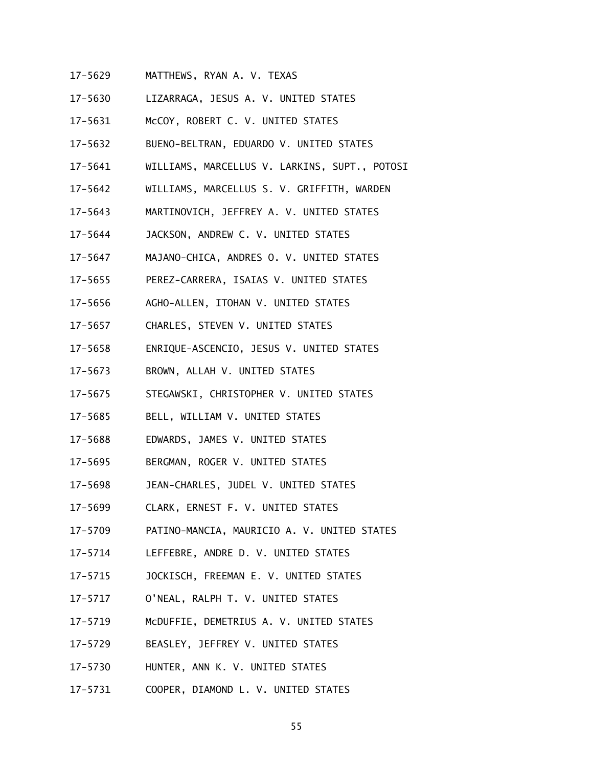- 17-5629 MATTHEWS, RYAN A. V. TEXAS
- 17-5630 LIZARRAGA, JESUS A. V. UNITED STATES
- 17-5631 McCOY, ROBERT C. V. UNITED STATES
- 17-5632 BUENO-BELTRAN, EDUARDO V. UNITED STATES
- 17-5641 WILLIAMS, MARCELLUS V. LARKINS, SUPT., POTOSI
- 17-5642 WILLIAMS, MARCELLUS S. V. GRIFFITH, WARDEN
- 17-5643 MARTINOVICH, JEFFREY A. V. UNITED STATES
- 17-5644 JACKSON, ANDREW C. V. UNITED STATES
- $17 5647$ MAJANO-CHICA, ANDRES O. V. UNITED STATES
- 17-5655 PEREZ-CARRERA, ISAIAS V. UNITED STATES
- 17-5656 AGHO-ALLEN, ITOHAN V. UNITED STATES
- 17-5657 CHARLES, STEVEN V. UNITED STATES
- 17-5658 ENRIQUE-ASCENCIO, JESUS V. UNITED STATES
- 17-5673 BROWN, ALLAH V. UNITED STATES
- 17-5675 STEGAWSKI, CHRISTOPHER V. UNITED STATES
- 17-5685 BELL, WILLIAM V. UNITED STATES
- 17-5688 EDWARDS, JAMES V. UNITED STATES
- 17-5695 BERGMAN, ROGER V. UNITED STATES
- 17-5698 JEAN-CHARLES, JUDEL V. UNITED STATES
- 17-5699 17-5699 CLARK, ERNEST F. V. UNITED STATES
- 17-5709 PATINO-MANCIA, MAURICIO A. V. UNITED STATES
- 17-5714 LEFFEBRE, ANDRE D. V. UNITED STATES
- 17-5715 JOCKISCH, FREEMAN E. V. UNITED STATES
- $17 5717$ 17-5717 O'NEAL, RALPH T. V. UNITED STATES
- 17-5719 McDUFFIE, DEMETRIUS A. V. UNITED STATES
- 17-5729 BEASLEY, JEFFREY V. UNITED STATES
- 17-5730 HUNTER, ANN K. V. UNITED STATES
- 17-5731 17-5731 COOPER, DIAMOND L. V. UNITED STATES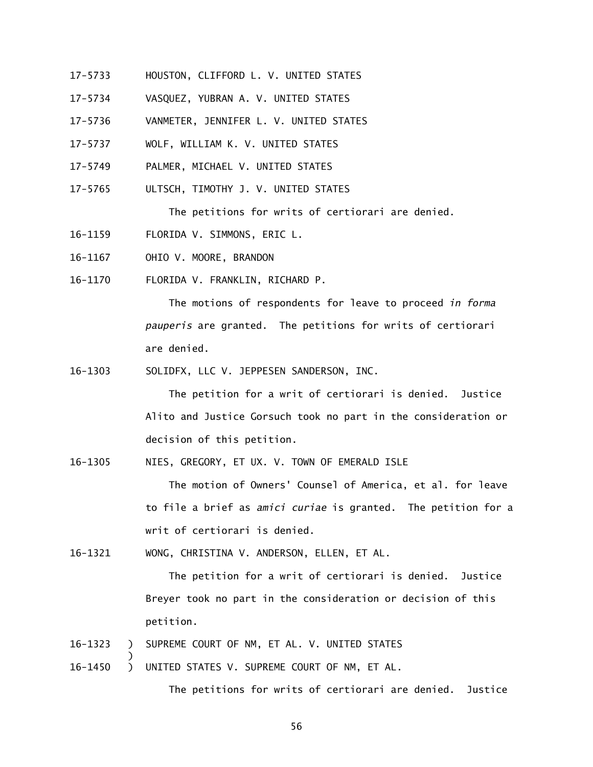- 17-5733 HOUSTON, CLIFFORD L. V. UNITED STATES
- 17-5734 VASQUEZ, YUBRAN A. V. UNITED STATES
- 17-5736 VANMETER, JENNIFER L. V. UNITED STATES
- 17-5737 WOLF, WILLIAM K. V. UNITED STATES
- 17-5749 PALMER, MICHAEL V. UNITED STATES
- 17-5765 ULTSCH, TIMOTHY J. V. UNITED STATES

The petitions for writs of certiorari are denied.

- 16-1159 FLORIDA V. SIMMONS, ERIC L.
- 16-1167 OHIO V. MOORE, BRANDON

16-1170 FLORIDA V. FRANKLIN, RICHARD P.

 The motions of respondents for leave to proceed *in forma pauperis* are granted. The petitions for writs of certiorari are denied.

16-1303 SOLIDFX, LLC V. JEPPESEN SANDERSON, INC.

 The petition for a writ of certiorari is denied. Justice Alito and Justice Gorsuch took no part in the consideration or decision of this petition.

16-1305 NIES, GREGORY, ET UX. V. TOWN OF EMERALD ISLE

 The motion of Owners' Counsel of America, et al. for leave to file a brief as *amici curiae* is granted. The petition for a writ of certiorari is denied.

16-1321 WONG, CHRISTINA V. ANDERSON, ELLEN, ET AL.

 The petition for a writ of certiorari is denied. Justice Breyer took no part in the consideration or decision of this petition.

- $\lambda$ 16-1323 ) SUPREME COURT OF NM, ET AL. V. UNITED STATES
- 16-1450 ) UNITED STATES V. SUPREME COURT OF NM, ET AL.

)

The petitions for writs of certiorari are denied. Justice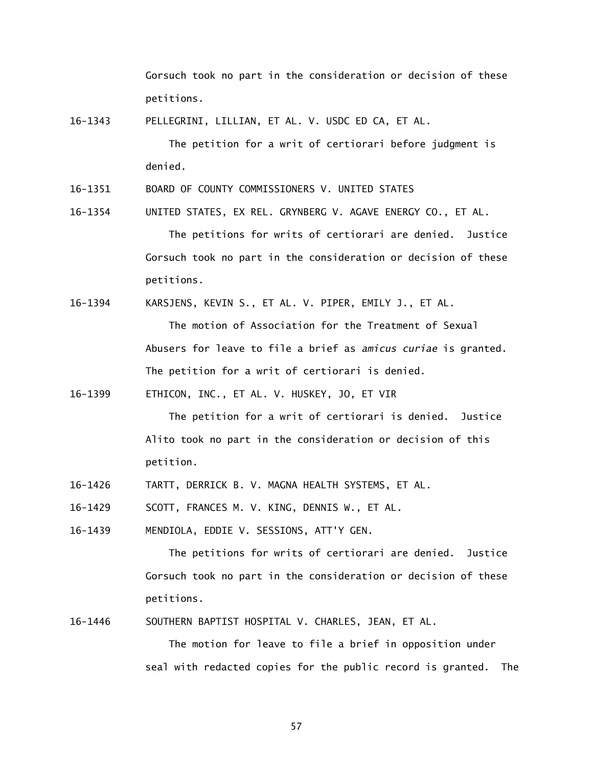Gorsuch took no part in the consideration or decision of these petitions.

16-1343 PELLEGRINI, LILLIAN, ET AL. V. USDC ED CA, ET AL.

 The petition for a writ of certiorari before judgment is denied.

16-1351 BOARD OF COUNTY COMMISSIONERS V. UNITED STATES

16-1354 UNITED STATES, EX REL. GRYNBERG V. AGAVE ENERGY CO., ET AL. The petitions for writs of certiorari are denied. Justice Gorsuch took no part in the consideration or decision of these petitions.

16-1394 KARSJENS, KEVIN S., ET AL. V. PIPER, EMILY J., ET AL.

The motion of Association for the Treatment of Sexual Abusers for leave to file a brief as *amicus curiae* is granted. The petition for a writ of certiorari is denied.

16-1399 ETHICON, INC., ET AL. V. HUSKEY, JO, ET VIR

 The petition for a writ of certiorari is denied. Justice Alito took no part in the consideration or decision of this petition.

16-1426 TARTT, DERRICK B. V. MAGNA HEALTH SYSTEMS, ET AL.

16-1429 SCOTT, FRANCES M. V. KING, DENNIS W., ET AL.

16-1439 MENDIOLA, EDDIE V. SESSIONS, ATT'Y GEN.

 The petitions for writs of certiorari are denied. Justice Gorsuch took no part in the consideration or decision of these petitions.

16-1446 SOUTHERN BAPTIST HOSPITAL V. CHARLES, JEAN, ET AL.

 The motion for leave to file a brief in opposition under seal with redacted copies for the public record is granted. The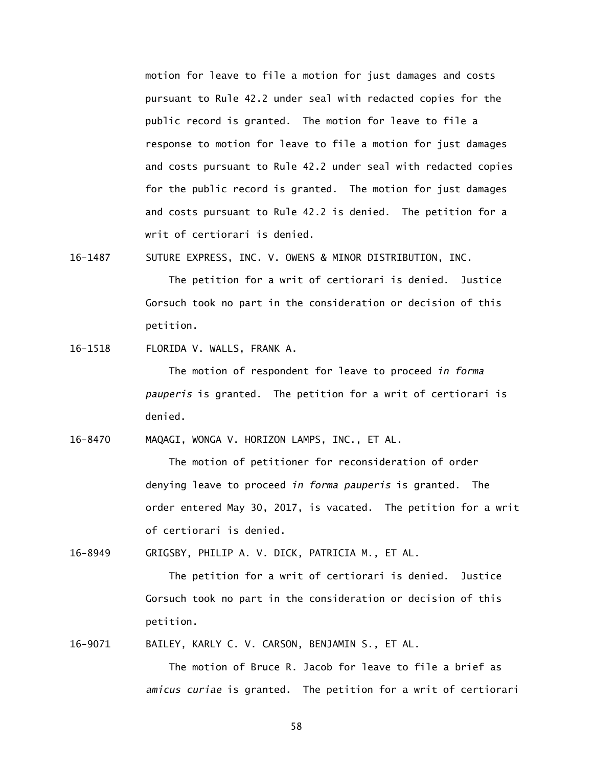motion for leave to file a motion for just damages and costs pursuant to Rule 42.2 under seal with redacted copies for the public record is granted. The motion for leave to file a response to motion for leave to file a motion for just damages and costs pursuant to Rule 42.2 under seal with redacted copies for the public record is granted. The motion for just damages and costs pursuant to Rule 42.2 is denied. The petition for a writ of certiorari is denied.

16-1487 SUTURE EXPRESS, INC. V. OWENS & MINOR DISTRIBUTION, INC.

 The petition for a writ of certiorari is denied. Justice Gorsuch took no part in the consideration or decision of this petition.

16-1518 FLORIDA V. WALLS, FRANK A.

 The motion of respondent for leave to proceed *in forma pauperis* is granted. The petition for a writ of certiorari is denied.

16-8470 MAQAGI, WONGA V. HORIZON LAMPS, INC., ET AL.

 The motion of petitioner for reconsideration of order denying leave to proceed *in forma pauperis* is granted. The order entered May 30, 2017, is vacated. The petition for a writ of certiorari is denied.

16-8949 GRIGSBY, PHILIP A. V. DICK, PATRICIA M., ET AL.

 The petition for a writ of certiorari is denied. Justice Gorsuch took no part in the consideration or decision of this petition.

16-9071 BAILEY, KARLY C. V. CARSON, BENJAMIN S., ET AL.

 The motion of Bruce R. Jacob for leave to file a brief as *amicus curiae* is granted. The petition for a writ of certiorari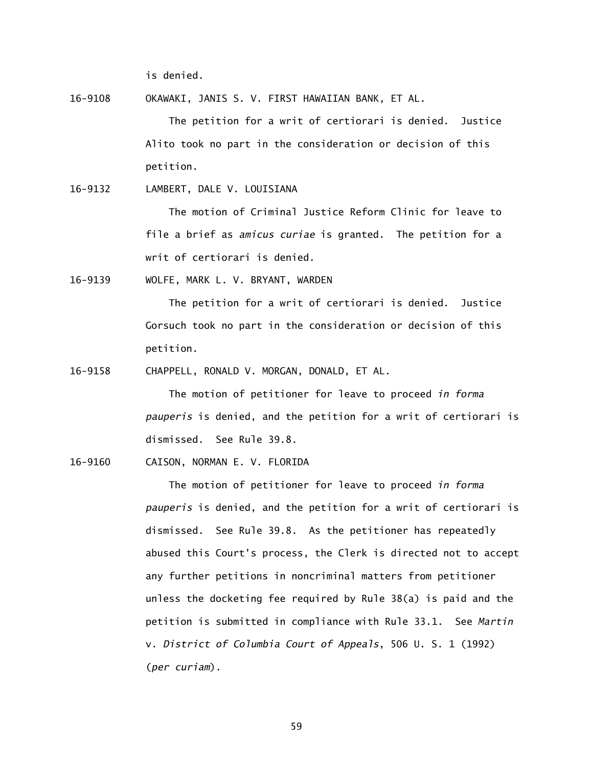is denied.

16-9108 OKAWAKI, JANIS S. V. FIRST HAWAIIAN BANK, ET AL.

 The petition for a writ of certiorari is denied. Justice Alito took no part in the consideration or decision of this petition.

16-9132 LAMBERT, DALE V. LOUISIANA

 The motion of Criminal Justice Reform Clinic for leave to file a brief as *amicus curiae* is granted. The petition for a writ of certiorari is denied.

16-9139 WOLFE, MARK L. V. BRYANT, WARDEN

 The petition for a writ of certiorari is denied. Justice Gorsuch took no part in the consideration or decision of this petition.

16-9158 CHAPPELL, RONALD V. MORGAN, DONALD, ET AL.

 The motion of petitioner for leave to proceed *in forma pauperis* is denied, and the petition for a writ of certiorari is dismissed. See Rule 39.8.

16-9160 CAISON, NORMAN E. V. FLORIDA

 The motion of petitioner for leave to proceed *in forma pauperis* is denied, and the petition for a writ of certiorari is dismissed. See Rule 39.8. As the petitioner has repeatedly abused this Court's process, the Clerk is directed not to accept any further petitions in noncriminal matters from petitioner unless the docketing fee required by Rule 38(a) is paid and the petition is submitted in compliance with Rule 33.1. See *Martin*  v. *District of Columbia Court of Appeals*, 506 U. S. 1 (1992) (*per curiam*).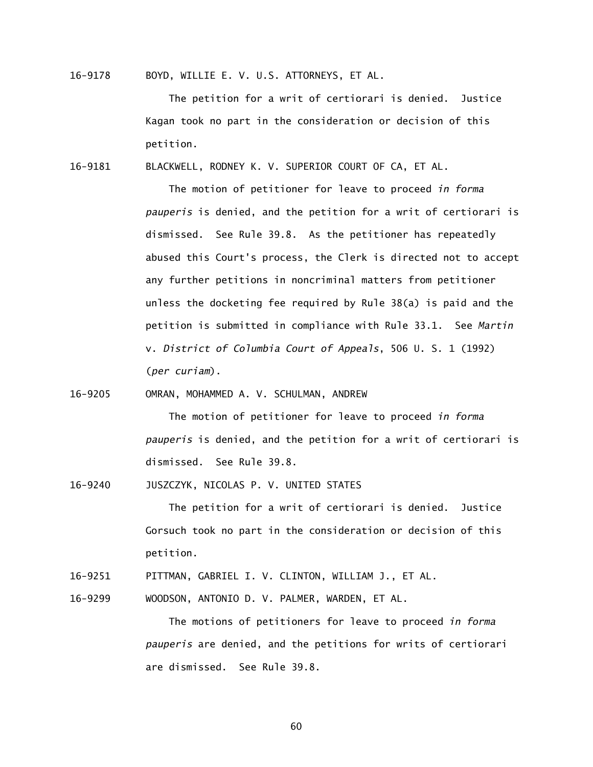16-9178 BOYD, WILLIE E. V. U.S. ATTORNEYS, ET AL.

 The petition for a writ of certiorari is denied. Justice Kagan took no part in the consideration or decision of this petition.

16-9181 BLACKWELL, RODNEY K. V. SUPERIOR COURT OF CA, ET AL.

 The motion of petitioner for leave to proceed *in forma pauperis* is denied, and the petition for a writ of certiorari is dismissed. See Rule 39.8. As the petitioner has repeatedly abused this Court's process, the Clerk is directed not to accept any further petitions in noncriminal matters from petitioner unless the docketing fee required by Rule 38(a) is paid and the petition is submitted in compliance with Rule 33.1. See *Martin*  v. *District of Columbia Court of Appeals*, 506 U. S. 1 (1992) (*per curiam*).

16-9205 OMRAN, MOHAMMED A. V. SCHULMAN, ANDREW

 The motion of petitioner for leave to proceed *in forma pauperis* is denied, and the petition for a writ of certiorari is dismissed. See Rule 39.8.

16-9240 JUSZCZYK, NICOLAS P. V. UNITED STATES

 The petition for a writ of certiorari is denied. Justice Gorsuch took no part in the consideration or decision of this petition.

- 16-9251 PITTMAN, GABRIEL I. V. CLINTON, WILLIAM J., ET AL.
- 16-9299 WOODSON, ANTONIO D. V. PALMER, WARDEN, ET AL.

 The motions of petitioners for leave to proceed *in forma pauperis* are denied, and the petitions for writs of certiorari are dismissed. See Rule 39.8.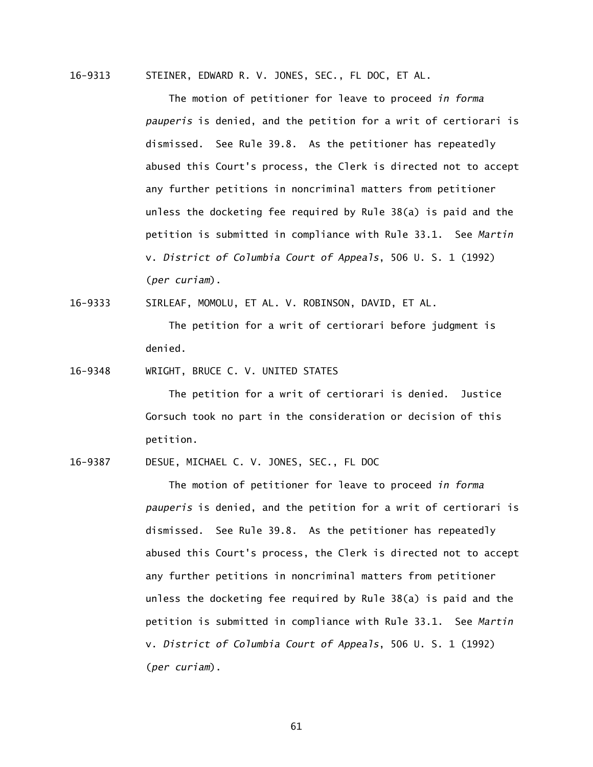16-9313 STEINER, EDWARD R. V. JONES, SEC., FL DOC, ET AL.

 The motion of petitioner for leave to proceed *in forma pauperis* is denied, and the petition for a writ of certiorari is dismissed. See Rule 39.8. As the petitioner has repeatedly abused this Court's process, the Clerk is directed not to accept any further petitions in noncriminal matters from petitioner unless the docketing fee required by Rule 38(a) is paid and the petition is submitted in compliance with Rule 33.1. See *Martin*  v. *District of Columbia Court of Appeals*, 506 U. S. 1 (1992) (*per curiam*).

16-9333 SIRLEAF, MOMOLU, ET AL. V. ROBINSON, DAVID, ET AL.

 The petition for a writ of certiorari before judgment is denied.

16-9348 WRIGHT, BRUCE C. V. UNITED STATES

 The petition for a writ of certiorari is denied. Justice Gorsuch took no part in the consideration or decision of this petition.

16-9387 DESUE, MICHAEL C. V. JONES, SEC., FL DOC

 The motion of petitioner for leave to proceed *in forma pauperis* is denied, and the petition for a writ of certiorari is dismissed. See Rule 39.8. As the petitioner has repeatedly abused this Court's process, the Clerk is directed not to accept any further petitions in noncriminal matters from petitioner unless the docketing fee required by Rule 38(a) is paid and the petition is submitted in compliance with Rule 33.1. See *Martin*  v. *District of Columbia Court of Appeals*, 506 U. S. 1 (1992) (*per curiam*).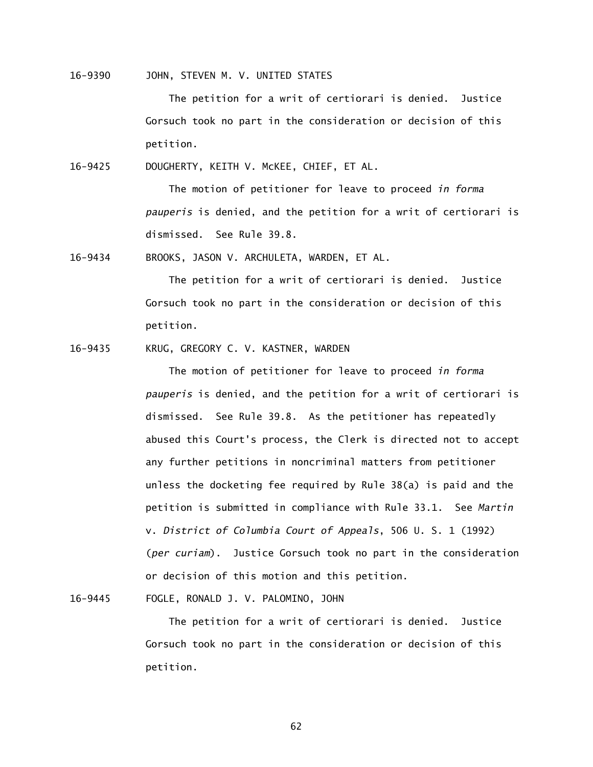16-9390 JOHN, STEVEN M. V. UNITED STATES

 The petition for a writ of certiorari is denied. Justice Gorsuch took no part in the consideration or decision of this petition.

16-9425 DOUGHERTY, KEITH V. McKEE, CHIEF, ET AL.

 The motion of petitioner for leave to proceed *in forma pauperis* is denied, and the petition for a writ of certiorari is dismissed. See Rule 39.8.

16-9434 BROOKS, JASON V. ARCHULETA, WARDEN, ET AL.

 The petition for a writ of certiorari is denied. Justice Gorsuch took no part in the consideration or decision of this petition.

16-9435 KRUG, GREGORY C. V. KASTNER, WARDEN

 The motion of petitioner for leave to proceed *in forma pauperis* is denied, and the petition for a writ of certiorari is dismissed. See Rule 39.8. As the petitioner has repeatedly abused this Court's process, the Clerk is directed not to accept any further petitions in noncriminal matters from petitioner unless the docketing fee required by Rule 38(a) is paid and the petition is submitted in compliance with Rule 33.1. See *Martin*  v. *District of Columbia Court of Appeals*, 506 U. S. 1 (1992) (*per curiam*). Justice Gorsuch took no part in the consideration or decision of this motion and this petition.

16-9445 FOGLE, RONALD J. V. PALOMINO, JOHN

 The petition for a writ of certiorari is denied. Justice Gorsuch took no part in the consideration or decision of this petition.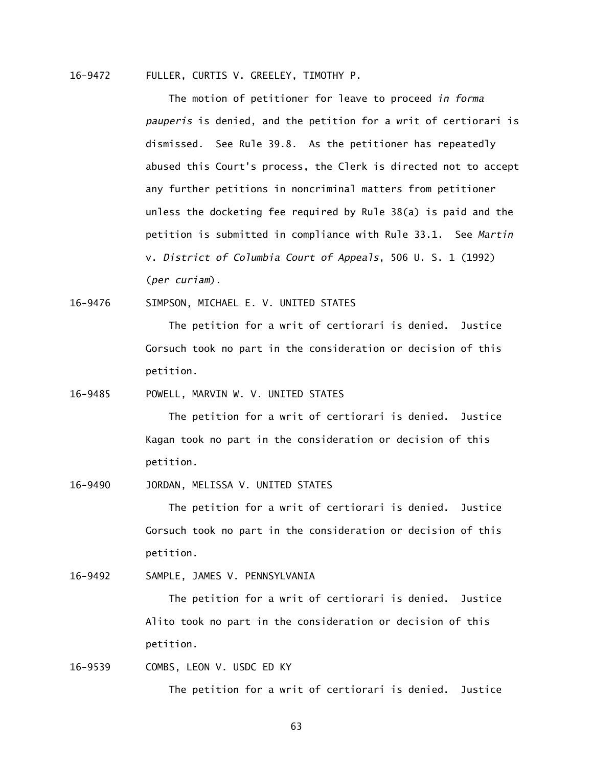# 16-9472 FULLER, CURTIS V. GREELEY, TIMOTHY P.

 The motion of petitioner for leave to proceed *in forma pauperis* is denied, and the petition for a writ of certiorari is dismissed. See Rule 39.8. As the petitioner has repeatedly abused this Court's process, the Clerk is directed not to accept any further petitions in noncriminal matters from petitioner unless the docketing fee required by Rule 38(a) is paid and the petition is submitted in compliance with Rule 33.1. See *Martin*  v. *District of Columbia Court of Appeals*, 506 U. S. 1 (1992) (*per curiam*).

16-9476 SIMPSON, MICHAEL E. V. UNITED STATES

 The petition for a writ of certiorari is denied. Justice Gorsuch took no part in the consideration or decision of this petition.

16-9485 POWELL, MARVIN W. V. UNITED STATES

 The petition for a writ of certiorari is denied. Justice Kagan took no part in the consideration or decision of this petition.

16-9490 JORDAN, MELISSA V. UNITED STATES

 The petition for a writ of certiorari is denied. Justice Gorsuch took no part in the consideration or decision of this petition.

16-9492 SAMPLE, JAMES V. PENNSYLVANIA

 The petition for a writ of certiorari is denied. Justice Alito took no part in the consideration or decision of this petition.

16-9539 COMBS, LEON V. USDC ED KY

The petition for a writ of certiorari is denied. Justice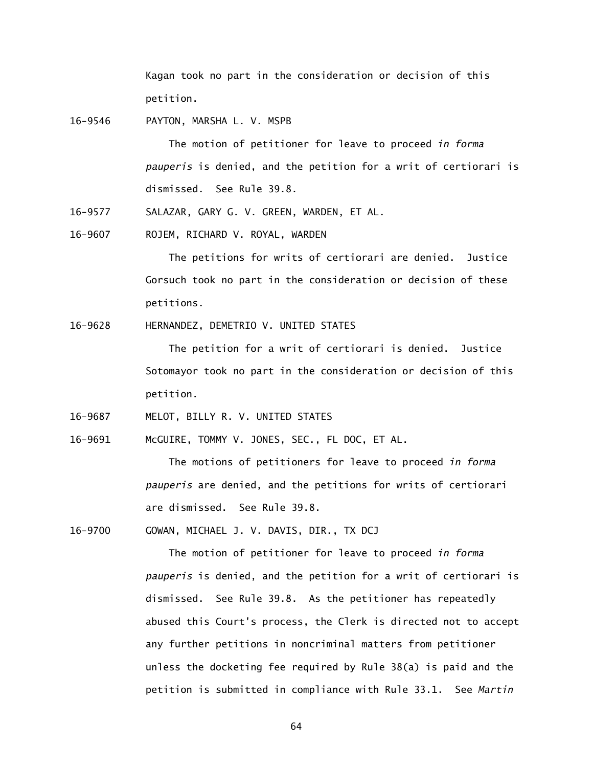Kagan took no part in the consideration or decision of this petition.

16-9546 PAYTON, MARSHA L. V. MSPB

 The motion of petitioner for leave to proceed *in forma pauperis* is denied, and the petition for a writ of certiorari is dismissed. See Rule 39.8.

16-9577 SALAZAR, GARY G. V. GREEN, WARDEN, ET AL.

16-9607 ROJEM, RICHARD V. ROYAL, WARDEN

 The petitions for writs of certiorari are denied. Justice Gorsuch took no part in the consideration or decision of these petitions.

16-9628 HERNANDEZ, DEMETRIO V. UNITED STATES

 The petition for a writ of certiorari is denied. Justice Sotomayor took no part in the consideration or decision of this petition.

16-9687 MELOT, BILLY R. V. UNITED STATES

16-9691 McGUIRE, TOMMY V. JONES, SEC., FL DOC, ET AL.

 The motions of petitioners for leave to proceed *in forma pauperis* are denied, and the petitions for writs of certiorari are dismissed. See Rule 39.8.

16-9700 GOWAN, MICHAEL J. V. DAVIS, DIR., TX DCJ

 The motion of petitioner for leave to proceed *in forma pauperis* is denied, and the petition for a writ of certiorari is dismissed. See Rule 39.8. As the petitioner has repeatedly abused this Court's process, the Clerk is directed not to accept any further petitions in noncriminal matters from petitioner unless the docketing fee required by Rule 38(a) is paid and the petition is submitted in compliance with Rule 33.1. See *Martin*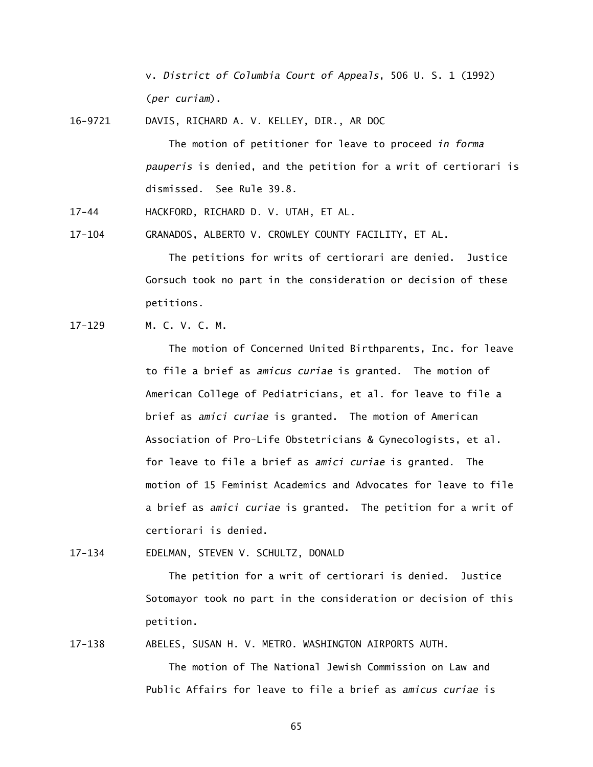v. *District of Columbia Court of Appeals*, 506 U. S. 1 (1992) (*per curiam*).

16-9721 DAVIS, RICHARD A. V. KELLEY, DIR., AR DOC

 The motion of petitioner for leave to proceed *in forma pauperis* is denied, and the petition for a writ of certiorari is dismissed. See Rule 39.8.

 $17 - 44$ HACKFORD, RICHARD D. V. UTAH, ET AL.

 $17 - 104$ GRANADOS, ALBERTO V. CROWLEY COUNTY FACILITY, ET AL.

> The petitions for writs of certiorari are denied. Justice Gorsuch took no part in the consideration or decision of these petitions.

 $17 - 129$ M. C. V. C. M.

> The motion of Concerned United Birthparents, Inc. for leave to file a brief as *amicus curiae* is granted. The motion of American College of Pediatricians, et al. for leave to file a brief as *amici curiae* is granted. The motion of American Association of Pro-Life Obstetricians & Gynecologists, et al. for leave to file a brief as *amici curiae* is granted. The motion of 15 Feminist Academics and Advocates for leave to file a brief as *amici curiae* is granted. The petition for a writ of certiorari is denied.

 $17 - 134$ 17-134 EDELMAN, STEVEN V. SCHULTZ, DONALD

> The petition for a writ of certiorari is denied. Justice Sotomayor took no part in the consideration or decision of this petition.

17-138 ABELES, SUSAN H. V. METRO. WASHINGTON AIRPORTS AUTH.

 The motion of The National Jewish Commission on Law and Public Affairs for leave to file a brief as *amicus curiae* is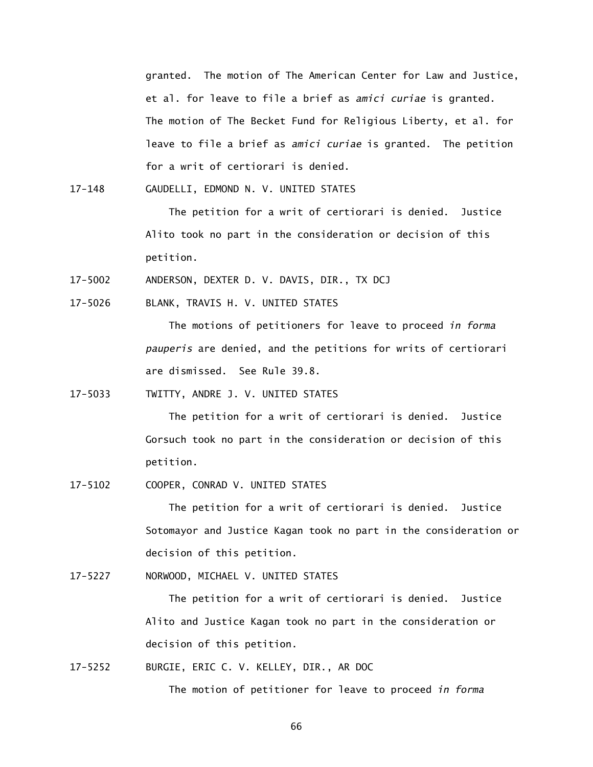granted. The motion of The American Center for Law and Justice, et al. for leave to file a brief as *amici curiae* is granted. The motion of The Becket Fund for Religious Liberty, et al. for leave to file a brief as *amici curiae* is granted. The petition for a writ of certiorari is denied.

 $17 - 148$ GAUDELLI, EDMOND N. V. UNITED STATES

> The petition for a writ of certiorari is denied. Justice Alito took no part in the consideration or decision of this petition.

17-5002 ANDERSON, DEXTER D. V. DAVIS, DIR., TX DCJ

 $17 - 5026$ BLANK, TRAVIS H. V. UNITED STATES

> The motions of petitioners for leave to proceed *in forma pauperis* are denied, and the petitions for writs of certiorari are dismissed. See Rule 39.8.

17-5033 TWITTY, ANDRE J. V. UNITED STATES

 The petition for a writ of certiorari is denied. Justice Gorsuch took no part in the consideration or decision of this petition.

17-5102 COOPER, CONRAD V. UNITED STATES

 The petition for a writ of certiorari is denied. Justice Sotomayor and Justice Kagan took no part in the consideration or decision of this petition.

17-5227 NORWOOD, MICHAEL V. UNITED STATES

 The petition for a writ of certiorari is denied. Justice Alito and Justice Kagan took no part in the consideration or decision of this petition.

17-5252 BURGIE, ERIC C. V. KELLEY, DIR., AR DOC

The motion of petitioner for leave to proceed *in forma*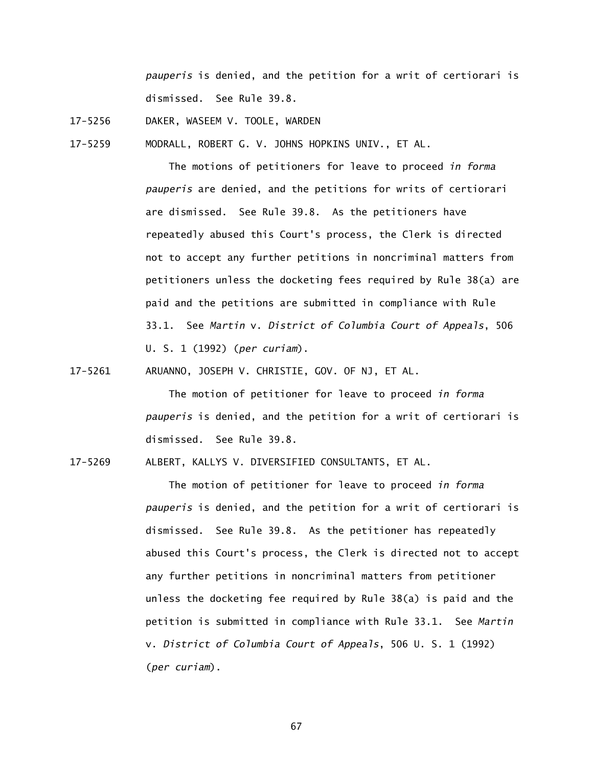*pauperis* is denied, and the petition for a writ of certiorari is dismissed. See Rule 39.8.

 $17 - 5256$ DAKER, WASEEM V. TOOLE, WARDEN

17-5259 MODRALL, ROBERT G. V. JOHNS HOPKINS UNIV., ET AL.

 The motions of petitioners for leave to proceed *in forma pauperis* are denied, and the petitions for writs of certiorari are dismissed. See Rule 39.8. As the petitioners have repeatedly abused this Court's process, the Clerk is directed not to accept any further petitions in noncriminal matters from petitioners unless the docketing fees required by Rule 38(a) are paid and the petitions are submitted in compliance with Rule 33.1. See *Martin* v. *District of Columbia Court of Appeals*, 506 U. S. 1 (1992) (*per curiam*).

17-5261 ARUANNO, JOSEPH V. CHRISTIE, GOV. OF NJ, ET AL.

 The motion of petitioner for leave to proceed *in forma pauperis* is denied, and the petition for a writ of certiorari is dismissed. See Rule 39.8.

17-5269 ALBERT, KALLYS V. DIVERSIFIED CONSULTANTS, ET AL.

 The motion of petitioner for leave to proceed *in forma pauperis* is denied, and the petition for a writ of certiorari is dismissed. See Rule 39.8. As the petitioner has repeatedly abused this Court's process, the Clerk is directed not to accept any further petitions in noncriminal matters from petitioner unless the docketing fee required by Rule 38(a) is paid and the petition is submitted in compliance with Rule 33.1. See *Martin*  v. *District of Columbia Court of Appeals*, 506 U. S. 1 (1992) (*per curiam*).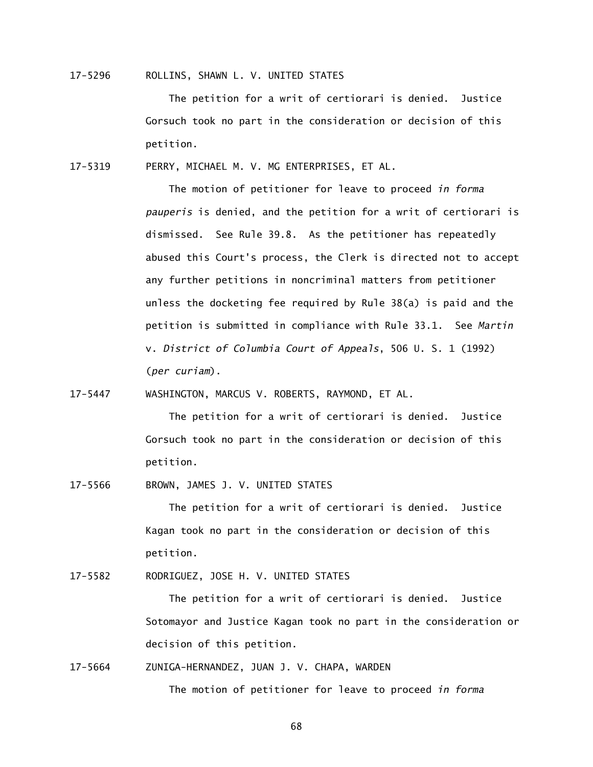17-5296 ROLLINS, SHAWN L. V. UNITED STATES

 The petition for a writ of certiorari is denied. Justice Gorsuch took no part in the consideration or decision of this petition.

17-5319 PERRY, MICHAEL M. V. MG ENTERPRISES, ET AL.

 The motion of petitioner for leave to proceed *in forma pauperis* is denied, and the petition for a writ of certiorari is dismissed. See Rule 39.8. As the petitioner has repeatedly abused this Court's process, the Clerk is directed not to accept any further petitions in noncriminal matters from petitioner unless the docketing fee required by Rule 38(a) is paid and the petition is submitted in compliance with Rule 33.1. See *Martin*  v. *District of Columbia Court of Appeals*, 506 U. S. 1 (1992) (*per curiam*).

17-5447 WASHINGTON, MARCUS V. ROBERTS, RAYMOND, ET AL.

 The petition for a writ of certiorari is denied. Justice Gorsuch took no part in the consideration or decision of this petition.

17-5566 BROWN, JAMES J. V. UNITED STATES

 The petition for a writ of certiorari is denied. Justice Kagan took no part in the consideration or decision of this petition.

17-5582 RODRIGUEZ, JOSE H. V. UNITED STATES

 The petition for a writ of certiorari is denied. Justice Sotomayor and Justice Kagan took no part in the consideration or decision of this petition.

17-5664 ZUNIGA-HERNANDEZ, JUAN J. V. CHAPA, WARDEN

The motion of petitioner for leave to proceed *in forma*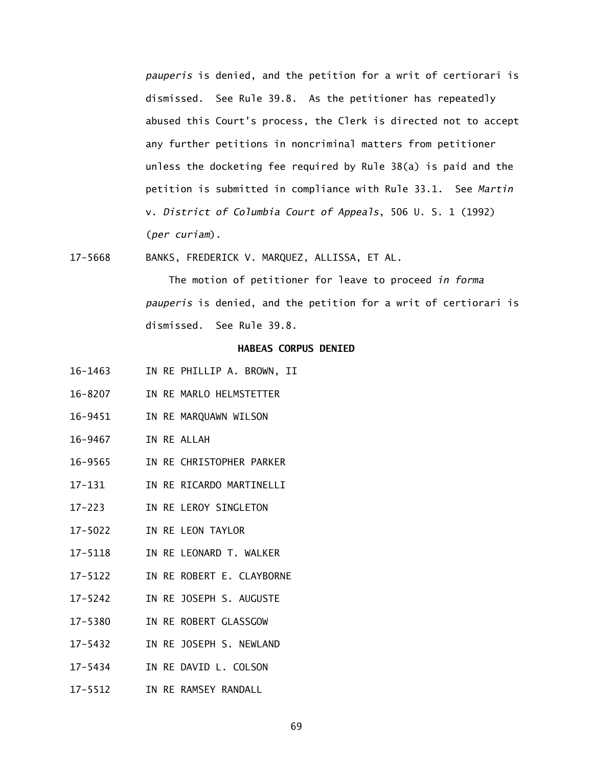*pauperis* is denied, and the petition for a writ of certiorari is dismissed. See Rule 39.8. As the petitioner has repeatedly abused this Court's process, the Clerk is directed not to accept any further petitions in noncriminal matters from petitioner unless the docketing fee required by Rule 38(a) is paid and the petition is submitted in compliance with Rule 33.1. See *Martin*  v. *District of Columbia Court of Appeals*, 506 U. S. 1 (1992) (*per curiam*).

17-5668 BANKS, FREDERICK V. MARQUEZ, ALLISSA, ET AL.

 The motion of petitioner for leave to proceed *in forma pauperis* is denied, and the petition for a writ of certiorari is dismissed. See Rule 39.8.

# **HABEAS CORPUS DENIED**

- 16-1463 IN RE PHILLIP A. BROWN, II
- 16-8207 IN RE MARLO HELMSTETTER
- 16-9451 IN RE MARQUAWN WILSON
- 16-9467 IN RE ALLAH
- 16-9565 IN RE CHRISTOPHER PARKER
- $17 131$ IN RE RICARDO MARTINELLI
- $17 223$ IN RE LEROY SINGLETON
- 17-5022 IN RE LEON TAYLOR
- 17-5118 IN RE LEONARD T. WALKER
- 17-5122 IN RE ROBERT E. CLAYBORNE
- 17-5242 IN RE JOSEPH S. AUGUSTE
- 17-5380 IN RE ROBERT GLASSGOW
- 17-5432 IN RE JOSEPH S. NEWLAND
- 17-5434 IN RE DAVID L. COLSON
- 17-5512 IN RE RAMSEY RANDALL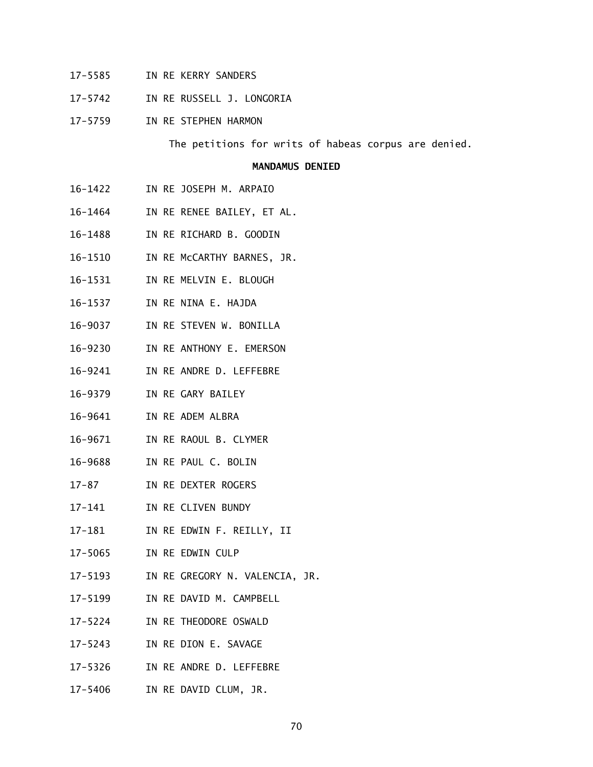- 17-5585 IN RE KERRY SANDERS
- $17 5742$ IN RE RUSSELL J. LONGORIA
- 17-5759 IN RE STEPHEN HARMON

The petitions for writs of habeas corpus are denied.

#### **MANDAMUS DENIED**

- $16 1422$ IN RE JOSEPH M. ARPAIO
- 16-1464 IN RE RENEE BAILEY, ET AL.
- 16-1488 IN RE RICHARD B. GOODIN
- 16-1510 IN RE McCARTHY BARNES, JR.
- 16-1531 IN RE MELVIN E. BLOUGH
- 16-1537 IN RE NINA E. HAJDA
- 16-9037 IN RE STEVEN W. BONILLA
- 16-9230 IN RE ANTHONY E. EMERSON
- 16-9241 IN RE ANDRE D. LEFFEBRE
- 16-9379 IN RE GARY BAILEY
- 16-9641 IN RE ADEM ALBRA
- 16-9671 IN RE RAOUL B. CLYMER
- 16-9688 IN RE PAUL C. BOLIN
- $17 87$ IN RE DEXTER ROGERS
- $17 141$ IN RE CLIVEN BUNDY
- 17-181 IN RE EDWIN F. REILLY, II
- 17-5065 IN RE EDWIN CULP
- 17-5193 IN RE GREGORY N. VALENCIA, JR.
- 17-5199 IN RE DAVID M. CAMPBELL
- 17-5224 IN RE THEODORE OSWALD
- $17 5243$ IN RE DION E. SAVAGE
- 17-5326 IN RE ANDRE D. LEFFEBRE
- 17-5406 IN RE DAVID CLUM, JR.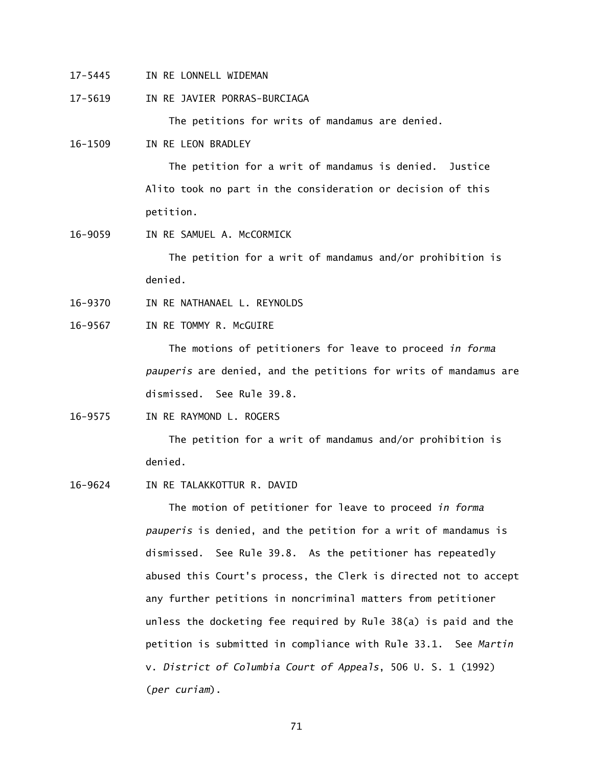17-5445 IN RE LONNELL WIDEMAN

17-5619 IN RE JAVIER PORRAS-BURCIAGA

The petitions for writs of mandamus are denied.

16-1509 IN RE LEON BRADLEY

 The petition for a writ of mandamus is denied. Justice Alito took no part in the consideration or decision of this petition.

16-9059 IN RE SAMUEL A. McCORMICK

 The petition for a writ of mandamus and/or prohibition is denied.

- 16-9370 IN RE NATHANAEL L. REYNOLDS
- 16-9567 IN RE TOMMY R. McGUIRE

 The motions of petitioners for leave to proceed *in forma pauperis* are denied, and the petitions for writs of mandamus are dismissed. See Rule 39.8.

16-9575 IN RE RAYMOND L. ROGERS

 The petition for a writ of mandamus and/or prohibition is denied.

16-9624 IN RE TALAKKOTTUR R. DAVID

 The motion of petitioner for leave to proceed *in forma pauperis* is denied, and the petition for a writ of mandamus is dismissed. See Rule 39.8. As the petitioner has repeatedly abused this Court's process, the Clerk is directed not to accept any further petitions in noncriminal matters from petitioner unless the docketing fee required by Rule 38(a) is paid and the petition is submitted in compliance with Rule 33.1. See *Martin*  v. *District of Columbia Court of Appeals*, 506 U. S. 1 (1992) (*per curiam*).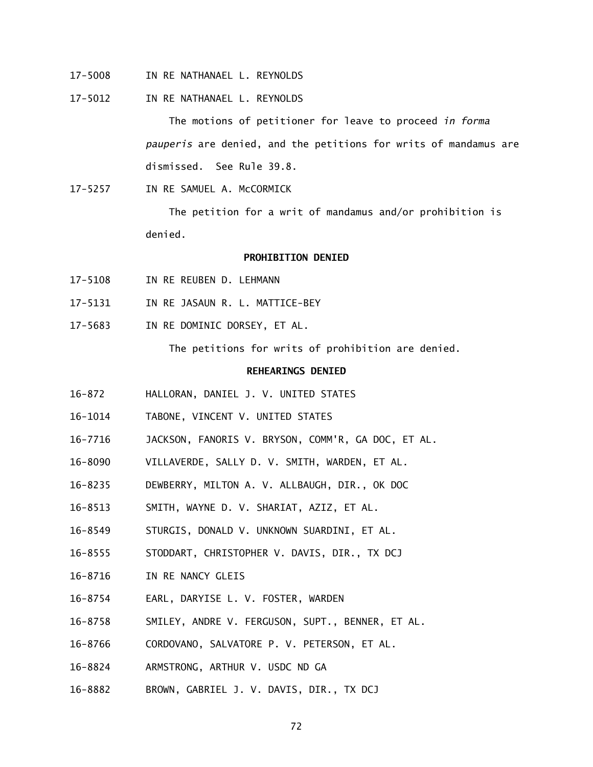- 17-5008 IN RE NATHANAEL L. REYNOLDS
- 17-5012 IN RE NATHANAEL L. REYNOLDS

 The motions of petitioner for leave to proceed *in forma pauperis* are denied, and the petitions for writs of mandamus are dismissed. See Rule 39.8.

17-5257 IN RE SAMUEL A. McCORMICK

 The petition for a writ of mandamus and/or prohibition is denied.

### **PROHIBITION DENIED**

- 17-5108 IN RE REUBEN D. LEHMANN
- 17-5131 IN RE JASAUN R. L. MATTICE-BEY
- 17-5683 IN RE DOMINIC DORSEY, ET AL.

The petitions for writs of prohibition are denied.

### **REHEARINGS DENIED**

- $16 872$ 16-872 HALLORAN, DANIEL J. V. UNITED STATES
- 16-1014 TABONE, VINCENT V. UNITED STATES
- 16-7716 JACKSON, FANORIS V. BRYSON, COMM'R, GA DOC, ET AL.
- 16-8090 VILLAVERDE, SALLY D. V. SMITH, WARDEN, ET AL.
- 16-8235 DEWBERRY, MILTON A. V. ALLBAUGH, DIR., OK DOC
- 16-8513 SMITH, WAYNE D. V. SHARIAT, AZIZ, ET AL.
- 16-8549 STURGIS, DONALD V. UNKNOWN SUARDINI, ET AL.
- 16-8555 STODDART, CHRISTOPHER V. DAVIS, DIR., TX DCJ
- 16-8716 IN RE NANCY GLEIS
- 16-8754 EARL, DARYISE L. V. FOSTER, WARDEN
- 16-8758 SMILEY, ANDRE V. FERGUSON, SUPT., BENNER, ET AL.
- 16-8766 CORDOVANO, SALVATORE P. V. PETERSON, ET AL.
- 16-8824 ARMSTRONG, ARTHUR V. USDC ND GA
- 16-8882 BROWN, GABRIEL J. V. DAVIS, DIR., TX DCJ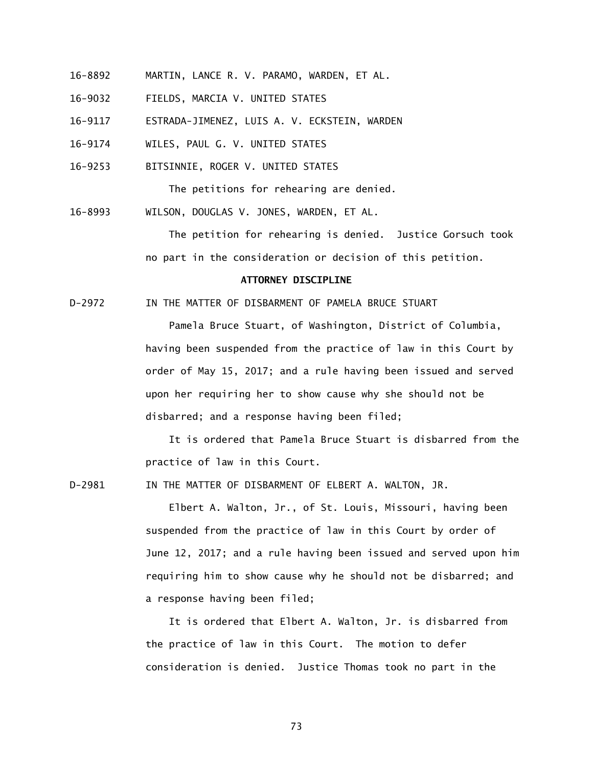- 16-8892 MARTIN, LANCE R. V. PARAMO, WARDEN, ET AL.
- 16-9032 FIELDS, MARCIA V. UNITED STATES
- 16-9117 ESTRADA-JIMENEZ, LUIS A. V. ECKSTEIN, WARDEN
- 16-9174 WILES, PAUL G. V. UNITED STATES
- 16-9253 BITSINNIE, ROGER V. UNITED STATES

The petitions for rehearing are denied.

16-8993 WILSON, DOUGLAS V. JONES, WARDEN, ET AL.

 The petition for rehearing is denied. Justice Gorsuch took no part in the consideration or decision of this petition.

## **ATTORNEY DISCIPLINE**

 $D-2972$ IN THE MATTER OF DISBARMENT OF PAMELA BRUCE STUART

> Pamela Bruce Stuart, of Washington, District of Columbia, having been suspended from the practice of law in this Court by order of May 15, 2017; and a rule having been issued and served upon her requiring her to show cause why she should not be disbarred; and a response having been filed;

 It is ordered that Pamela Bruce Stuart is disbarred from the practice of law in this Court.

 $D-2981$ IN THE MATTER OF DISBARMENT OF ELBERT A. WALTON, JR.

> Elbert A. Walton, Jr., of St. Louis, Missouri, having been suspended from the practice of law in this Court by order of June 12, 2017; and a rule having been issued and served upon him requiring him to show cause why he should not be disbarred; and a response having been filed;

 It is ordered that Elbert A. Walton, Jr. is disbarred from the practice of law in this Court. The motion to defer consideration is denied. Justice Thomas took no part in the

73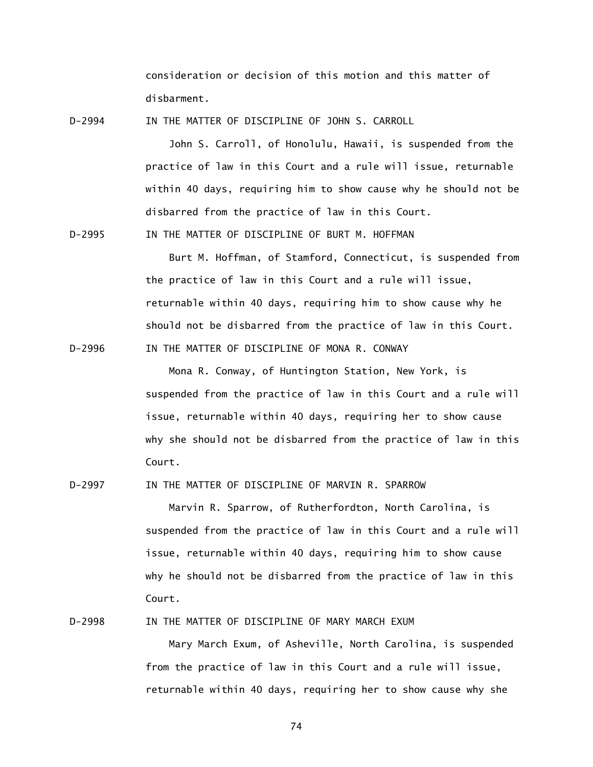consideration or decision of this motion and this matter of disbarment.

 $D - 2994$ IN THE MATTER OF DISCIPLINE OF JOHN S. CARROLL

> John S. Carroll, of Honolulu, Hawaii, is suspended from the practice of law in this Court and a rule will issue, returnable within 40 days, requiring him to show cause why he should not be disbarred from the practice of law in this Court.

 $D - 2995$ IN THE MATTER OF DISCIPLINE OF BURT M. HOFFMAN

 $D - 2996$ 

 Burt M. Hoffman, of Stamford, Connecticut, is suspended from the practice of law in this Court and a rule will issue, returnable within 40 days, requiring him to show cause why he should not be disbarred from the practice of law in this Court. IN THE MATTER OF DISCIPLINE OF MONA R. CONWAY

 Mona R. Conway, of Huntington Station, New York, is suspended from the practice of law in this Court and a rule will issue, returnable within 40 days, requiring her to show cause why she should not be disbarred from the practice of law in this Court.

 $D-2997$ IN THE MATTER OF DISCIPLINE OF MARVIN R. SPARROW

> Marvin R. Sparrow, of Rutherfordton, North Carolina, is suspended from the practice of law in this Court and a rule will issue, returnable within 40 days, requiring him to show cause why he should not be disbarred from the practice of law in this Court.

D-2998 IN THE MATTER OF DISCIPLINE OF MARY MARCH EXUM

 Mary March Exum, of Asheville, North Carolina, is suspended from the practice of law in this Court and a rule will issue, returnable within 40 days, requiring her to show cause why she

74